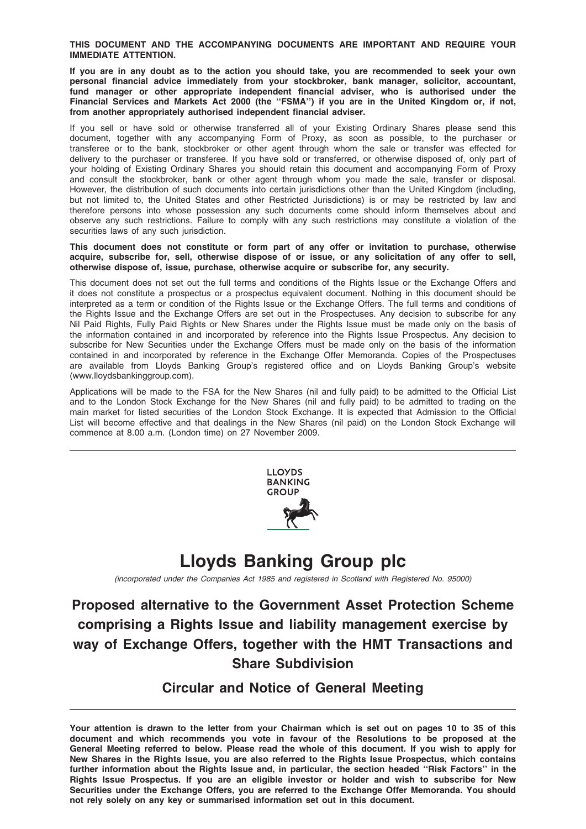#### THIS DOCUMENT AND THE ACCOMPANYING DOCUMENTS ARE IMPORTANT AND REQUIRE YOUR IMMEDIATE ATTENTION.

If you are in any doubt as to the action you should take, you are recommended to seek your own personal financial advice immediately from your stockbroker, bank manager, solicitor, accountant, fund manager or other appropriate independent financial adviser, who is authorised under the Financial Services and Markets Act 2000 (the ''FSMA'') if you are in the United Kingdom or, if not, from another appropriately authorised independent financial adviser.

If you sell or have sold or otherwise transferred all of your Existing Ordinary Shares please send this document, together with any accompanying Form of Proxy, as soon as possible, to the purchaser or transferee or to the bank, stockbroker or other agent through whom the sale or transfer was effected for delivery to the purchaser or transferee. If you have sold or transferred, or otherwise disposed of, only part of your holding of Existing Ordinary Shares you should retain this document and accompanying Form of Proxy and consult the stockbroker, bank or other agent through whom you made the sale, transfer or disposal. However, the distribution of such documents into certain jurisdictions other than the United Kingdom (including, but not limited to, the United States and other Restricted Jurisdictions) is or may be restricted by law and therefore persons into whose possession any such documents come should inform themselves about and observe any such restrictions. Failure to comply with any such restrictions may constitute a violation of the securities laws of any such jurisdiction.

This document does not constitute or form part of any offer or invitation to purchase, otherwise acquire, subscribe for, sell, otherwise dispose of or issue, or any solicitation of any offer to sell, otherwise dispose of, issue, purchase, otherwise acquire or subscribe for, any security.

This document does not set out the full terms and conditions of the Rights Issue or the Exchange Offers and it does not constitute a prospectus or a prospectus equivalent document. Nothing in this document should be interpreted as a term or condition of the Rights Issue or the Exchange Offers. The full terms and conditions of the Rights Issue and the Exchange Offers are set out in the Prospectuses. Any decision to subscribe for any Nil Paid Rights, Fully Paid Rights or New Shares under the Rights Issue must be made only on the basis of the information contained in and incorporated by reference into the Rights Issue Prospectus. Any decision to subscribe for New Securities under the Exchange Offers must be made only on the basis of the information contained in and incorporated by reference in the Exchange Offer Memoranda. Copies of the Prospectuses are available from Lloyds Banking Group's registered office and on Lloyds Banking Group's website (www.lloydsbankinggroup.com).

Applications will be made to the FSA for the New Shares (nil and fully paid) to be admitted to the Official List and to the London Stock Exchange for the New Shares (nil and fully paid) to be admitted to trading on the main market for listed securities of the London Stock Exchange. It is expected that Admission to the Official List will become effective and that dealings in the New Shares (nil paid) on the London Stock Exchange will commence at 8.00 a.m. (London time) on 27 November 2009.



# Lloyds Banking Group plc

(incorporated under the Companies Act 1985 and registered in Scotland with Registered No. 95000)

# Proposed alternative to the Government Asset Protection Scheme comprising a Rights Issue and liability management exercise by way of Exchange Offers, together with the HMT Transactions and Share Subdivision

# Circular and Notice of General Meeting

Your attention is drawn to the letter from your Chairman which is set out on pages 10 to 35 of this document and which recommends you vote in favour of the Resolutions to be proposed at the General Meeting referred to below. Please read the whole of this document. If you wish to apply for New Shares in the Rights Issue, you are also referred to the Rights Issue Prospectus, which contains further information about the Rights Issue and, in particular, the section headed ''Risk Factors'' in the Rights Issue Prospectus. If you are an eligible investor or holder and wish to subscribe for New Securities under the Exchange Offers, you are referred to the Exchange Offer Memoranda. You should not rely solely on any key or summarised information set out in this document.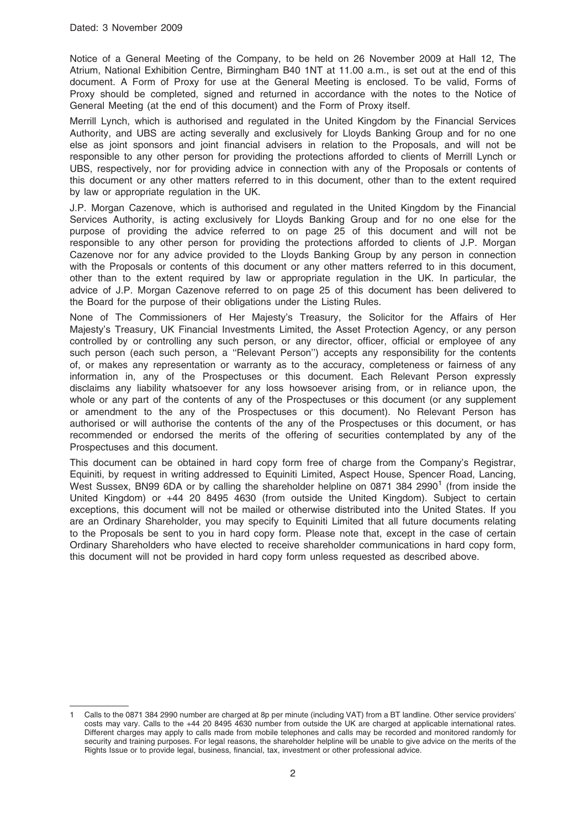Notice of a General Meeting of the Company, to be held on 26 November 2009 at Hall 12, The Atrium, National Exhibition Centre, Birmingham B40 1NT at 11.00 a.m., is set out at the end of this document. A Form of Proxy for use at the General Meeting is enclosed. To be valid, Forms of Proxy should be completed, signed and returned in accordance with the notes to the Notice of General Meeting (at the end of this document) and the Form of Proxy itself.

Merrill Lynch, which is authorised and regulated in the United Kingdom by the Financial Services Authority, and UBS are acting severally and exclusively for Lloyds Banking Group and for no one else as joint sponsors and joint financial advisers in relation to the Proposals, and will not be responsible to any other person for providing the protections afforded to clients of Merrill Lynch or UBS, respectively, nor for providing advice in connection with any of the Proposals or contents of this document or any other matters referred to in this document, other than to the extent required by law or appropriate regulation in the UK.

J.P. Morgan Cazenove, which is authorised and regulated in the United Kingdom by the Financial Services Authority, is acting exclusively for Lloyds Banking Group and for no one else for the purpose of providing the advice referred to on page 25 of this document and will not be responsible to any other person for providing the protections afforded to clients of J.P. Morgan Cazenove nor for any advice provided to the Lloyds Banking Group by any person in connection with the Proposals or contents of this document or any other matters referred to in this document, other than to the extent required by law or appropriate regulation in the UK. In particular, the advice of J.P. Morgan Cazenove referred to on page 25 of this document has been delivered to the Board for the purpose of their obligations under the Listing Rules.

None of The Commissioners of Her Majesty's Treasury, the Solicitor for the Affairs of Her Majesty's Treasury, UK Financial Investments Limited, the Asset Protection Agency, or any person controlled by or controlling any such person, or any director, officer, official or employee of any such person (each such person, a ''Relevant Person'') accepts any responsibility for the contents of, or makes any representation or warranty as to the accuracy, completeness or fairness of any information in, any of the Prospectuses or this document. Each Relevant Person expressly disclaims any liability whatsoever for any loss howsoever arising from, or in reliance upon, the whole or any part of the contents of any of the Prospectuses or this document (or any supplement or amendment to the any of the Prospectuses or this document). No Relevant Person has authorised or will authorise the contents of the any of the Prospectuses or this document, or has recommended or endorsed the merits of the offering of securities contemplated by any of the Prospectuses and this document.

This document can be obtained in hard copy form free of charge from the Company's Registrar, Equiniti, by request in writing addressed to Equiniti Limited, Aspect House, Spencer Road, Lancing, West Sussex, BN99 6DA or by calling the shareholder helpline on 0871 384 2990<sup>1</sup> (from inside the United Kingdom) or +44 20 8495 4630 (from outside the United Kingdom). Subject to certain exceptions, this document will not be mailed or otherwise distributed into the United States. If you are an Ordinary Shareholder, you may specify to Equiniti Limited that all future documents relating to the Proposals be sent to you in hard copy form. Please note that, except in the case of certain Ordinary Shareholders who have elected to receive shareholder communications in hard copy form, this document will not be provided in hard copy form unless requested as described above.

<sup>1</sup> Calls to the 0871 384 2990 number are charged at 8p per minute (including VAT) from a BT landline. Other service providers' costs may vary. Calls to the +44 20 8495 4630 number from outside the UK are charged at applicable international rates. Different charges may apply to calls made from mobile telephones and calls may be recorded and monitored randomly for security and training purposes. For legal reasons, the shareholder helpline will be unable to give advice on the merits of the Rights Issue or to provide legal, business, financial, tax, investment or other professional advice.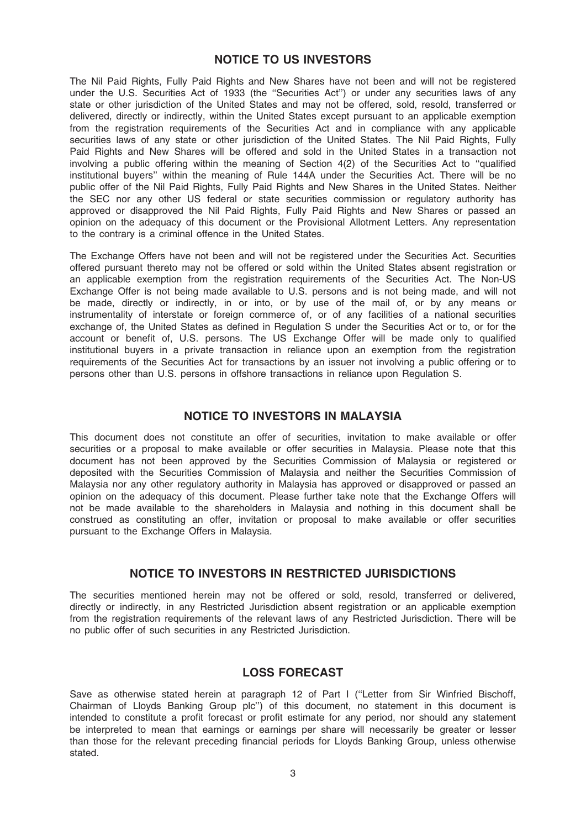### NOTICE TO US INVESTORS

The Nil Paid Rights, Fully Paid Rights and New Shares have not been and will not be registered under the U.S. Securities Act of 1933 (the ''Securities Act'') or under any securities laws of any state or other jurisdiction of the United States and may not be offered, sold, resold, transferred or delivered, directly or indirectly, within the United States except pursuant to an applicable exemption from the registration requirements of the Securities Act and in compliance with any applicable securities laws of any state or other jurisdiction of the United States. The Nil Paid Rights, Fully Paid Rights and New Shares will be offered and sold in the United States in a transaction not involving a public offering within the meaning of Section 4(2) of the Securities Act to ''qualified institutional buyers'' within the meaning of Rule 144A under the Securities Act. There will be no public offer of the Nil Paid Rights, Fully Paid Rights and New Shares in the United States. Neither the SEC nor any other US federal or state securities commission or regulatory authority has approved or disapproved the Nil Paid Rights, Fully Paid Rights and New Shares or passed an opinion on the adequacy of this document or the Provisional Allotment Letters. Any representation to the contrary is a criminal offence in the United States.

The Exchange Offers have not been and will not be registered under the Securities Act. Securities offered pursuant thereto may not be offered or sold within the United States absent registration or an applicable exemption from the registration requirements of the Securities Act. The Non-US Exchange Offer is not being made available to U.S. persons and is not being made, and will not be made, directly or indirectly, in or into, or by use of the mail of, or by any means or instrumentality of interstate or foreign commerce of, or of any facilities of a national securities exchange of, the United States as defined in Regulation S under the Securities Act or to, or for the account or benefit of, U.S. persons. The US Exchange Offer will be made only to qualified institutional buyers in a private transaction in reliance upon an exemption from the registration requirements of the Securities Act for transactions by an issuer not involving a public offering or to persons other than U.S. persons in offshore transactions in reliance upon Regulation S.

### NOTICE TO INVESTORS IN MALAYSIA

This document does not constitute an offer of securities, invitation to make available or offer securities or a proposal to make available or offer securities in Malaysia. Please note that this document has not been approved by the Securities Commission of Malaysia or registered or deposited with the Securities Commission of Malaysia and neither the Securities Commission of Malaysia nor any other regulatory authority in Malaysia has approved or disapproved or passed an opinion on the adequacy of this document. Please further take note that the Exchange Offers will not be made available to the shareholders in Malaysia and nothing in this document shall be construed as constituting an offer, invitation or proposal to make available or offer securities pursuant to the Exchange Offers in Malaysia.

### NOTICE TO INVESTORS IN RESTRICTED JURISDICTIONS

The securities mentioned herein may not be offered or sold, resold, transferred or delivered, directly or indirectly, in any Restricted Jurisdiction absent registration or an applicable exemption from the registration requirements of the relevant laws of any Restricted Jurisdiction. There will be no public offer of such securities in any Restricted Jurisdiction.

### LOSS FORECAST

Save as otherwise stated herein at paragraph 12 of Part I (''Letter from Sir Winfried Bischoff, Chairman of Lloyds Banking Group plc'') of this document, no statement in this document is intended to constitute a profit forecast or profit estimate for any period, nor should any statement be interpreted to mean that earnings or earnings per share will necessarily be greater or lesser than those for the relevant preceding financial periods for Lloyds Banking Group, unless otherwise stated.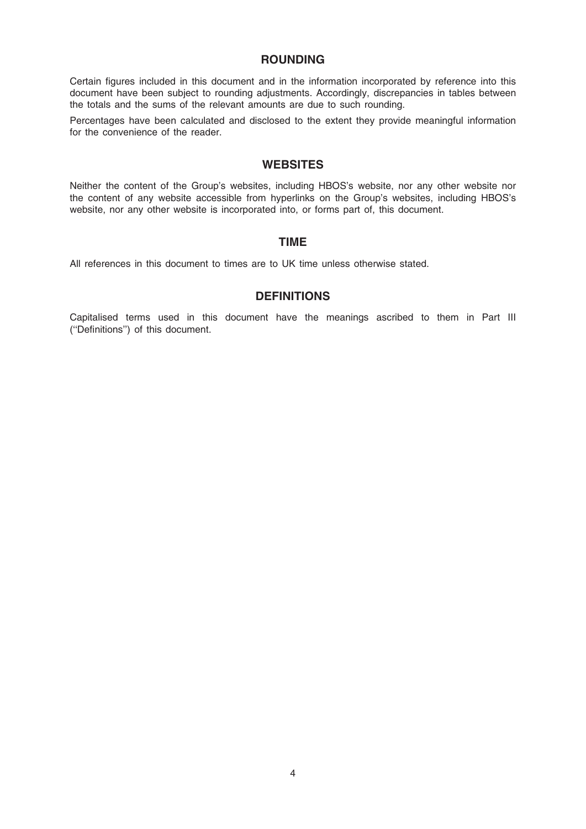### ROUNDING

Certain figures included in this document and in the information incorporated by reference into this document have been subject to rounding adjustments. Accordingly, discrepancies in tables between the totals and the sums of the relevant amounts are due to such rounding.

Percentages have been calculated and disclosed to the extent they provide meaningful information for the convenience of the reader.

### **WEBSITES**

Neither the content of the Group's websites, including HBOS's website, nor any other website nor the content of any website accessible from hyperlinks on the Group's websites, including HBOS's website, nor any other website is incorporated into, or forms part of, this document.

### TIME

All references in this document to times are to UK time unless otherwise stated.

### **DEFINITIONS**

Capitalised terms used in this document have the meanings ascribed to them in Part III (''Definitions'') of this document.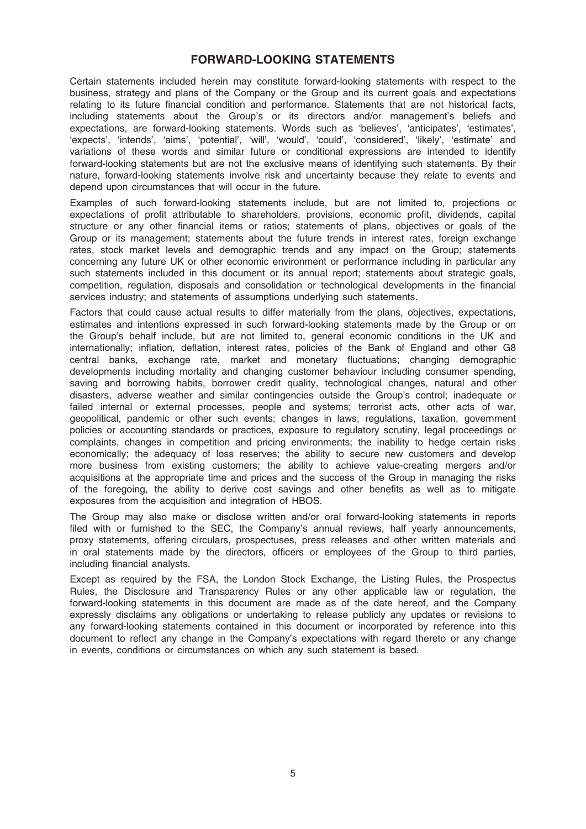### FORWARD-LOOKING STATEMENTS

Certain statements included herein may constitute forward-looking statements with respect to the business, strategy and plans of the Company or the Group and its current goals and expectations relating to its future financial condition and performance. Statements that are not historical facts, including statements about the Group's or its directors and/or management's beliefs and expectations, are forward-looking statements. Words such as 'believes', 'anticipates', 'estimates', 'expects', 'intends', 'aims', 'potential', 'will', 'would', 'could', 'considered', 'likely', 'estimate' and variations of these words and similar future or conditional expressions are intended to identify forward-looking statements but are not the exclusive means of identifying such statements. By their nature, forward-looking statements involve risk and uncertainty because they relate to events and depend upon circumstances that will occur in the future.

Examples of such forward-looking statements include, but are not limited to, projections or expectations of profit attributable to shareholders, provisions, economic profit, dividends, capital structure or any other financial items or ratios; statements of plans, objectives or goals of the Group or its management; statements about the future trends in interest rates, foreign exchange rates, stock market levels and demographic trends and any impact on the Group; statements concerning any future UK or other economic environment or performance including in particular any such statements included in this document or its annual report; statements about strategic goals, competition, regulation, disposals and consolidation or technological developments in the financial services industry; and statements of assumptions underlying such statements.

Factors that could cause actual results to differ materially from the plans, objectives, expectations, estimates and intentions expressed in such forward-looking statements made by the Group or on the Group's behalf include, but are not limited to, general economic conditions in the UK and internationally; inflation, deflation, interest rates, policies of the Bank of England and other G8 central banks, exchange rate, market and monetary fluctuations; changing demographic developments including mortality and changing customer behaviour including consumer spending, saving and borrowing habits, borrower credit quality, technological changes, natural and other disasters, adverse weather and similar contingencies outside the Group's control; inadequate or failed internal or external processes, people and systems; terrorist acts, other acts of war, geopolitical, pandemic or other such events; changes in laws, regulations, taxation, government policies or accounting standards or practices, exposure to regulatory scrutiny, legal proceedings or complaints, changes in competition and pricing environments; the inability to hedge certain risks economically; the adequacy of loss reserves; the ability to secure new customers and develop more business from existing customers; the ability to achieve value-creating mergers and/or acquisitions at the appropriate time and prices and the success of the Group in managing the risks of the foregoing, the ability to derive cost savings and other benefits as well as to mitigate exposures from the acquisition and integration of HBOS.

The Group may also make or disclose written and/or oral forward-looking statements in reports filed with or furnished to the SEC, the Company's annual reviews, half yearly announcements, proxy statements, offering circulars, prospectuses, press releases and other written materials and in oral statements made by the directors, officers or employees of the Group to third parties, including financial analysts.

Except as required by the FSA, the London Stock Exchange, the Listing Rules, the Prospectus Rules, the Disclosure and Transparency Rules or any other applicable law or regulation, the forward-looking statements in this document are made as of the date hereof, and the Company expressly disclaims any obligations or undertaking to release publicly any updates or revisions to any forward-looking statements contained in this document or incorporated by reference into this document to reflect any change in the Company's expectations with regard thereto or any change in events, conditions or circumstances on which any such statement is based.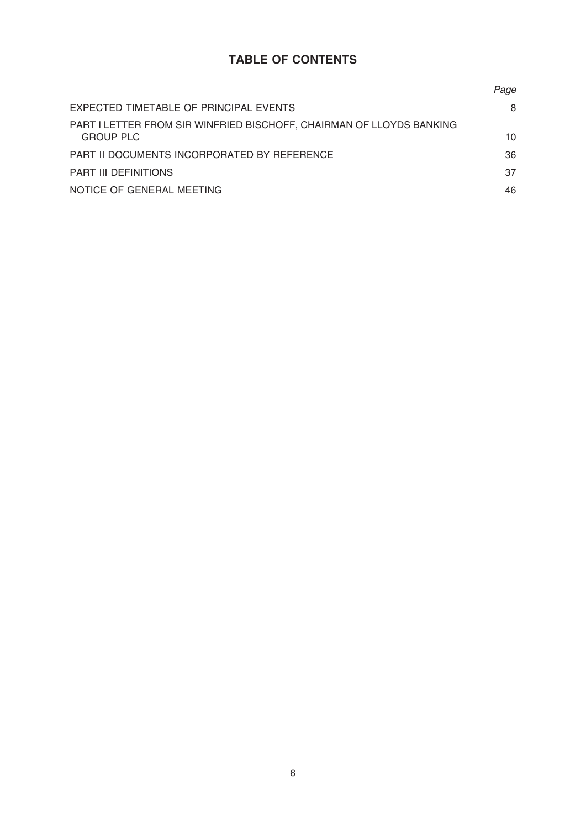# TABLE OF CONTENTS

|                                                                                          | Page |
|------------------------------------------------------------------------------------------|------|
| EXPECTED TIMETABLE OF PRINCIPAL EVENTS                                                   | 8    |
| PART I LETTER FROM SIR WINFRIED BISCHOFF, CHAIRMAN OF LLOYDS BANKING<br><b>GROUP PLC</b> | 10   |
| PART II DOCUMENTS INCORPORATED BY REFERENCE                                              | 36   |
| <b>PART III DEFINITIONS</b>                                                              | 37   |
| NOTICE OF GENERAL MEETING                                                                | 46   |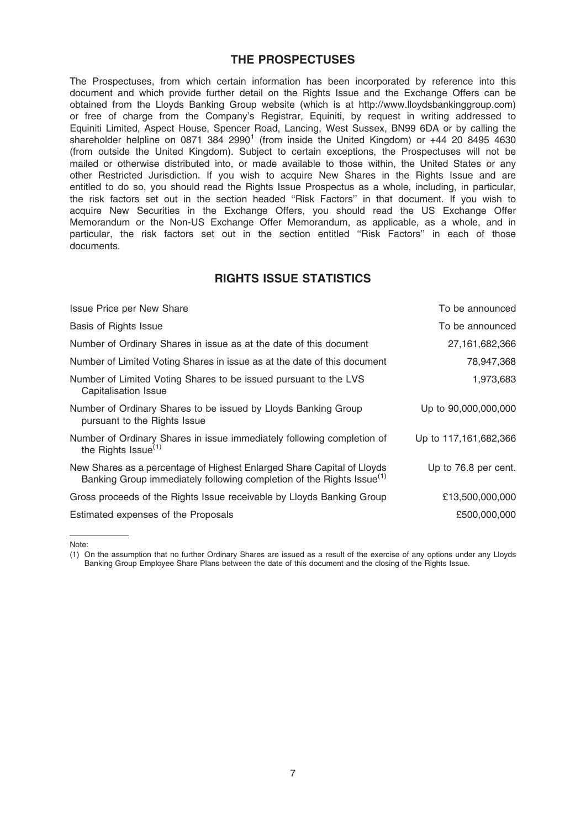### THE PROSPECTUSES

The Prospectuses, from which certain information has been incorporated by reference into this document and which provide further detail on the Rights Issue and the Exchange Offers can be obtained from the Lloyds Banking Group website (which is at http://www.lloydsbankinggroup.com) or free of charge from the Company's Registrar, Equiniti, by request in writing addressed to Equiniti Limited, Aspect House, Spencer Road, Lancing, West Sussex, BN99 6DA or by calling the shareholder helpline on 0871 384 2990<sup>1</sup> (from inside the United Kingdom) or  $+44$  20 8495 4630 (from outside the United Kingdom). Subject to certain exceptions, the Prospectuses will not be mailed or otherwise distributed into, or made available to those within, the United States or any other Restricted Jurisdiction. If you wish to acquire New Shares in the Rights Issue and are entitled to do so, you should read the Rights Issue Prospectus as a whole, including, in particular, the risk factors set out in the section headed ''Risk Factors'' in that document. If you wish to acquire New Securities in the Exchange Offers, you should read the US Exchange Offer Memorandum or the Non-US Exchange Offer Memorandum, as applicable, as a whole, and in particular, the risk factors set out in the section entitled "Risk Factors" in each of those documents.

## RIGHTS ISSUE STATISTICS

| <b>Issue Price per New Share</b>                                                                                                                            | To be announced       |
|-------------------------------------------------------------------------------------------------------------------------------------------------------------|-----------------------|
| Basis of Rights Issue                                                                                                                                       | To be announced       |
| Number of Ordinary Shares in issue as at the date of this document                                                                                          | 27, 161, 682, 366     |
| Number of Limited Voting Shares in issue as at the date of this document                                                                                    | 78,947,368            |
| Number of Limited Voting Shares to be issued pursuant to the LVS<br>Capitalisation Issue                                                                    | 1,973,683             |
| Number of Ordinary Shares to be issued by Lloyds Banking Group<br>pursuant to the Rights Issue                                                              | Up to 90,000,000,000  |
| Number of Ordinary Shares in issue immediately following completion of<br>the Rights Issue <sup>(1)</sup>                                                   | Up to 117,161,682,366 |
| New Shares as a percentage of Highest Enlarged Share Capital of Lloyds<br>Banking Group immediately following completion of the Rights Issue <sup>(1)</sup> | Up to 76.8 per cent.  |
| Gross proceeds of the Rights Issue receivable by Lloyds Banking Group                                                                                       | £13,500,000,000       |
| Estimated expenses of the Proposals                                                                                                                         | £500,000,000          |

Note:

(1) On the assumption that no further Ordinary Shares are issued as a result of the exercise of any options under any Lloyds Banking Group Employee Share Plans between the date of this document and the closing of the Rights Issue.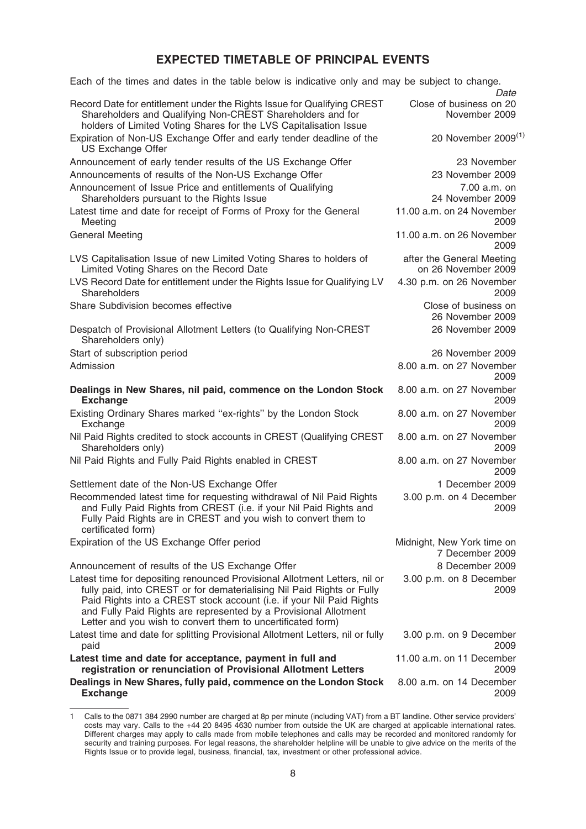# EXPECTED TIMETABLE OF PRINCIPAL EVENTS

| Record Date for entitlement under the Rights Issue for Qualifying CREST<br>Close of business on 20<br>Shareholders and Qualifying Non-CREST Shareholders and for<br>November 2009<br>holders of Limited Voting Shares for the LVS Capitalisation Issue<br>Expiration of Non-US Exchange Offer and early tender deadline of the<br><b>US Exchange Offer</b><br>Announcement of early tender results of the US Exchange Offer<br>23 November<br>Announcements of results of the Non-US Exchange Offer<br>23 November 2009<br>Announcement of Issue Price and entitlements of Qualifying<br>$7.00 a.m.$ on<br>24 November 2009<br>Shareholders pursuant to the Rights Issue<br>Latest time and date for receipt of Forms of Proxy for the General<br>11.00 a.m. on 24 November<br>2009<br>Meeting<br><b>General Meeting</b><br>11.00 a.m. on 26 November<br>2009<br>LVS Capitalisation Issue of new Limited Voting Shares to holders of<br>after the General Meeting<br>Limited Voting Shares on the Record Date<br>on 26 November 2009<br>4.30 p.m. on 26 November<br>LVS Record Date for entitlement under the Rights Issue for Qualifying LV<br>Shareholders<br>2009<br>Share Subdivision becomes effective<br>Close of business on<br>26 November 2009<br>Despatch of Provisional Allotment Letters (to Qualifying Non-CREST<br>26 November 2009<br>Shareholders only)<br>Start of subscription period<br>26 November 2009<br>Admission<br>8.00 a.m. on 27 November<br>2009<br>Dealings in New Shares, nil paid, commence on the London Stock<br>8.00 a.m. on 27 November<br><b>Exchange</b><br>2009<br>Existing Ordinary Shares marked "ex-rights" by the London Stock<br>8.00 a.m. on 27 November<br>Exchange<br>2009<br>Nil Paid Rights credited to stock accounts in CREST (Qualifying CREST<br>8.00 a.m. on 27 November<br>Shareholders only)<br>2009<br>Nil Paid Rights and Fully Paid Rights enabled in CREST<br>8.00 a.m. on 27 November<br>2009<br>Settlement date of the Non-US Exchange Offer<br>1 December 2009<br>Recommended latest time for requesting withdrawal of Nil Paid Rights<br>3.00 p.m. on 4 December<br>and Fully Paid Rights from CREST (i.e. if your Nil Paid Rights and<br>2009<br>Fully Paid Rights are in CREST and you wish to convert them to<br>certificated form)<br>Expiration of the US Exchange Offer period<br>Midnight, New York time on<br>7 December 2009<br>Announcement of results of the US Exchange Offer<br>8 December 2009<br>Latest time for depositing renounced Provisional Allotment Letters, nil or<br>3.00 p.m. on 8 December<br>fully paid, into CREST or for dematerialising Nil Paid Rights or Fully<br>2009<br>Paid Rights into a CREST stock account (i.e. if your Nil Paid Rights<br>and Fully Paid Rights are represented by a Provisional Allotment<br>Letter and you wish to convert them to uncertificated form)<br>Latest time and date for splitting Provisional Allotment Letters, nil or fully<br>3.00 p.m. on 9 December<br>2009<br>paid<br>Latest time and date for acceptance, payment in full and<br>11.00 a.m. on 11 December<br>registration or renunciation of Provisional Allotment Letters<br>2009<br>Dealings in New Shares, fully paid, commence on the London Stock<br>8.00 a.m. on 14 December<br><b>Exchange</b><br>2009 | Each of the times and dates in the table below is indicative only and may be subject to change. | Date                            |
|-------------------------------------------------------------------------------------------------------------------------------------------------------------------------------------------------------------------------------------------------------------------------------------------------------------------------------------------------------------------------------------------------------------------------------------------------------------------------------------------------------------------------------------------------------------------------------------------------------------------------------------------------------------------------------------------------------------------------------------------------------------------------------------------------------------------------------------------------------------------------------------------------------------------------------------------------------------------------------------------------------------------------------------------------------------------------------------------------------------------------------------------------------------------------------------------------------------------------------------------------------------------------------------------------------------------------------------------------------------------------------------------------------------------------------------------------------------------------------------------------------------------------------------------------------------------------------------------------------------------------------------------------------------------------------------------------------------------------------------------------------------------------------------------------------------------------------------------------------------------------------------------------------------------------------------------------------------------------------------------------------------------------------------------------------------------------------------------------------------------------------------------------------------------------------------------------------------------------------------------------------------------------------------------------------------------------------------------------------------------------------------------------------------------------------------------------------------------------------------------------------------------------------------------------------------------------------------------------------------------------------------------------------------------------------------------------------------------------------------------------------------------------------------------------------------------------------------------------------------------------------------------------------------------------------------------------------------------------------------------------------------------------------------------------------------------------------------------------------------------------------------------------------------------------------------------------------------------------------------------------------------------------------------------------------------|-------------------------------------------------------------------------------------------------|---------------------------------|
|                                                                                                                                                                                                                                                                                                                                                                                                                                                                                                                                                                                                                                                                                                                                                                                                                                                                                                                                                                                                                                                                                                                                                                                                                                                                                                                                                                                                                                                                                                                                                                                                                                                                                                                                                                                                                                                                                                                                                                                                                                                                                                                                                                                                                                                                                                                                                                                                                                                                                                                                                                                                                                                                                                                                                                                                                                                                                                                                                                                                                                                                                                                                                                                                                                                                                                             |                                                                                                 |                                 |
|                                                                                                                                                                                                                                                                                                                                                                                                                                                                                                                                                                                                                                                                                                                                                                                                                                                                                                                                                                                                                                                                                                                                                                                                                                                                                                                                                                                                                                                                                                                                                                                                                                                                                                                                                                                                                                                                                                                                                                                                                                                                                                                                                                                                                                                                                                                                                                                                                                                                                                                                                                                                                                                                                                                                                                                                                                                                                                                                                                                                                                                                                                                                                                                                                                                                                                             |                                                                                                 | 20 November 2009 <sup>(1)</sup> |
|                                                                                                                                                                                                                                                                                                                                                                                                                                                                                                                                                                                                                                                                                                                                                                                                                                                                                                                                                                                                                                                                                                                                                                                                                                                                                                                                                                                                                                                                                                                                                                                                                                                                                                                                                                                                                                                                                                                                                                                                                                                                                                                                                                                                                                                                                                                                                                                                                                                                                                                                                                                                                                                                                                                                                                                                                                                                                                                                                                                                                                                                                                                                                                                                                                                                                                             |                                                                                                 |                                 |
|                                                                                                                                                                                                                                                                                                                                                                                                                                                                                                                                                                                                                                                                                                                                                                                                                                                                                                                                                                                                                                                                                                                                                                                                                                                                                                                                                                                                                                                                                                                                                                                                                                                                                                                                                                                                                                                                                                                                                                                                                                                                                                                                                                                                                                                                                                                                                                                                                                                                                                                                                                                                                                                                                                                                                                                                                                                                                                                                                                                                                                                                                                                                                                                                                                                                                                             |                                                                                                 |                                 |
|                                                                                                                                                                                                                                                                                                                                                                                                                                                                                                                                                                                                                                                                                                                                                                                                                                                                                                                                                                                                                                                                                                                                                                                                                                                                                                                                                                                                                                                                                                                                                                                                                                                                                                                                                                                                                                                                                                                                                                                                                                                                                                                                                                                                                                                                                                                                                                                                                                                                                                                                                                                                                                                                                                                                                                                                                                                                                                                                                                                                                                                                                                                                                                                                                                                                                                             |                                                                                                 |                                 |
|                                                                                                                                                                                                                                                                                                                                                                                                                                                                                                                                                                                                                                                                                                                                                                                                                                                                                                                                                                                                                                                                                                                                                                                                                                                                                                                                                                                                                                                                                                                                                                                                                                                                                                                                                                                                                                                                                                                                                                                                                                                                                                                                                                                                                                                                                                                                                                                                                                                                                                                                                                                                                                                                                                                                                                                                                                                                                                                                                                                                                                                                                                                                                                                                                                                                                                             |                                                                                                 |                                 |
|                                                                                                                                                                                                                                                                                                                                                                                                                                                                                                                                                                                                                                                                                                                                                                                                                                                                                                                                                                                                                                                                                                                                                                                                                                                                                                                                                                                                                                                                                                                                                                                                                                                                                                                                                                                                                                                                                                                                                                                                                                                                                                                                                                                                                                                                                                                                                                                                                                                                                                                                                                                                                                                                                                                                                                                                                                                                                                                                                                                                                                                                                                                                                                                                                                                                                                             |                                                                                                 |                                 |
|                                                                                                                                                                                                                                                                                                                                                                                                                                                                                                                                                                                                                                                                                                                                                                                                                                                                                                                                                                                                                                                                                                                                                                                                                                                                                                                                                                                                                                                                                                                                                                                                                                                                                                                                                                                                                                                                                                                                                                                                                                                                                                                                                                                                                                                                                                                                                                                                                                                                                                                                                                                                                                                                                                                                                                                                                                                                                                                                                                                                                                                                                                                                                                                                                                                                                                             |                                                                                                 |                                 |
|                                                                                                                                                                                                                                                                                                                                                                                                                                                                                                                                                                                                                                                                                                                                                                                                                                                                                                                                                                                                                                                                                                                                                                                                                                                                                                                                                                                                                                                                                                                                                                                                                                                                                                                                                                                                                                                                                                                                                                                                                                                                                                                                                                                                                                                                                                                                                                                                                                                                                                                                                                                                                                                                                                                                                                                                                                                                                                                                                                                                                                                                                                                                                                                                                                                                                                             |                                                                                                 |                                 |
|                                                                                                                                                                                                                                                                                                                                                                                                                                                                                                                                                                                                                                                                                                                                                                                                                                                                                                                                                                                                                                                                                                                                                                                                                                                                                                                                                                                                                                                                                                                                                                                                                                                                                                                                                                                                                                                                                                                                                                                                                                                                                                                                                                                                                                                                                                                                                                                                                                                                                                                                                                                                                                                                                                                                                                                                                                                                                                                                                                                                                                                                                                                                                                                                                                                                                                             |                                                                                                 |                                 |
|                                                                                                                                                                                                                                                                                                                                                                                                                                                                                                                                                                                                                                                                                                                                                                                                                                                                                                                                                                                                                                                                                                                                                                                                                                                                                                                                                                                                                                                                                                                                                                                                                                                                                                                                                                                                                                                                                                                                                                                                                                                                                                                                                                                                                                                                                                                                                                                                                                                                                                                                                                                                                                                                                                                                                                                                                                                                                                                                                                                                                                                                                                                                                                                                                                                                                                             |                                                                                                 |                                 |
|                                                                                                                                                                                                                                                                                                                                                                                                                                                                                                                                                                                                                                                                                                                                                                                                                                                                                                                                                                                                                                                                                                                                                                                                                                                                                                                                                                                                                                                                                                                                                                                                                                                                                                                                                                                                                                                                                                                                                                                                                                                                                                                                                                                                                                                                                                                                                                                                                                                                                                                                                                                                                                                                                                                                                                                                                                                                                                                                                                                                                                                                                                                                                                                                                                                                                                             |                                                                                                 |                                 |
|                                                                                                                                                                                                                                                                                                                                                                                                                                                                                                                                                                                                                                                                                                                                                                                                                                                                                                                                                                                                                                                                                                                                                                                                                                                                                                                                                                                                                                                                                                                                                                                                                                                                                                                                                                                                                                                                                                                                                                                                                                                                                                                                                                                                                                                                                                                                                                                                                                                                                                                                                                                                                                                                                                                                                                                                                                                                                                                                                                                                                                                                                                                                                                                                                                                                                                             |                                                                                                 |                                 |
|                                                                                                                                                                                                                                                                                                                                                                                                                                                                                                                                                                                                                                                                                                                                                                                                                                                                                                                                                                                                                                                                                                                                                                                                                                                                                                                                                                                                                                                                                                                                                                                                                                                                                                                                                                                                                                                                                                                                                                                                                                                                                                                                                                                                                                                                                                                                                                                                                                                                                                                                                                                                                                                                                                                                                                                                                                                                                                                                                                                                                                                                                                                                                                                                                                                                                                             |                                                                                                 |                                 |
|                                                                                                                                                                                                                                                                                                                                                                                                                                                                                                                                                                                                                                                                                                                                                                                                                                                                                                                                                                                                                                                                                                                                                                                                                                                                                                                                                                                                                                                                                                                                                                                                                                                                                                                                                                                                                                                                                                                                                                                                                                                                                                                                                                                                                                                                                                                                                                                                                                                                                                                                                                                                                                                                                                                                                                                                                                                                                                                                                                                                                                                                                                                                                                                                                                                                                                             |                                                                                                 |                                 |
|                                                                                                                                                                                                                                                                                                                                                                                                                                                                                                                                                                                                                                                                                                                                                                                                                                                                                                                                                                                                                                                                                                                                                                                                                                                                                                                                                                                                                                                                                                                                                                                                                                                                                                                                                                                                                                                                                                                                                                                                                                                                                                                                                                                                                                                                                                                                                                                                                                                                                                                                                                                                                                                                                                                                                                                                                                                                                                                                                                                                                                                                                                                                                                                                                                                                                                             |                                                                                                 |                                 |
|                                                                                                                                                                                                                                                                                                                                                                                                                                                                                                                                                                                                                                                                                                                                                                                                                                                                                                                                                                                                                                                                                                                                                                                                                                                                                                                                                                                                                                                                                                                                                                                                                                                                                                                                                                                                                                                                                                                                                                                                                                                                                                                                                                                                                                                                                                                                                                                                                                                                                                                                                                                                                                                                                                                                                                                                                                                                                                                                                                                                                                                                                                                                                                                                                                                                                                             |                                                                                                 |                                 |
|                                                                                                                                                                                                                                                                                                                                                                                                                                                                                                                                                                                                                                                                                                                                                                                                                                                                                                                                                                                                                                                                                                                                                                                                                                                                                                                                                                                                                                                                                                                                                                                                                                                                                                                                                                                                                                                                                                                                                                                                                                                                                                                                                                                                                                                                                                                                                                                                                                                                                                                                                                                                                                                                                                                                                                                                                                                                                                                                                                                                                                                                                                                                                                                                                                                                                                             |                                                                                                 |                                 |
|                                                                                                                                                                                                                                                                                                                                                                                                                                                                                                                                                                                                                                                                                                                                                                                                                                                                                                                                                                                                                                                                                                                                                                                                                                                                                                                                                                                                                                                                                                                                                                                                                                                                                                                                                                                                                                                                                                                                                                                                                                                                                                                                                                                                                                                                                                                                                                                                                                                                                                                                                                                                                                                                                                                                                                                                                                                                                                                                                                                                                                                                                                                                                                                                                                                                                                             |                                                                                                 |                                 |
|                                                                                                                                                                                                                                                                                                                                                                                                                                                                                                                                                                                                                                                                                                                                                                                                                                                                                                                                                                                                                                                                                                                                                                                                                                                                                                                                                                                                                                                                                                                                                                                                                                                                                                                                                                                                                                                                                                                                                                                                                                                                                                                                                                                                                                                                                                                                                                                                                                                                                                                                                                                                                                                                                                                                                                                                                                                                                                                                                                                                                                                                                                                                                                                                                                                                                                             |                                                                                                 |                                 |
|                                                                                                                                                                                                                                                                                                                                                                                                                                                                                                                                                                                                                                                                                                                                                                                                                                                                                                                                                                                                                                                                                                                                                                                                                                                                                                                                                                                                                                                                                                                                                                                                                                                                                                                                                                                                                                                                                                                                                                                                                                                                                                                                                                                                                                                                                                                                                                                                                                                                                                                                                                                                                                                                                                                                                                                                                                                                                                                                                                                                                                                                                                                                                                                                                                                                                                             |                                                                                                 |                                 |
|                                                                                                                                                                                                                                                                                                                                                                                                                                                                                                                                                                                                                                                                                                                                                                                                                                                                                                                                                                                                                                                                                                                                                                                                                                                                                                                                                                                                                                                                                                                                                                                                                                                                                                                                                                                                                                                                                                                                                                                                                                                                                                                                                                                                                                                                                                                                                                                                                                                                                                                                                                                                                                                                                                                                                                                                                                                                                                                                                                                                                                                                                                                                                                                                                                                                                                             |                                                                                                 |                                 |
|                                                                                                                                                                                                                                                                                                                                                                                                                                                                                                                                                                                                                                                                                                                                                                                                                                                                                                                                                                                                                                                                                                                                                                                                                                                                                                                                                                                                                                                                                                                                                                                                                                                                                                                                                                                                                                                                                                                                                                                                                                                                                                                                                                                                                                                                                                                                                                                                                                                                                                                                                                                                                                                                                                                                                                                                                                                                                                                                                                                                                                                                                                                                                                                                                                                                                                             |                                                                                                 |                                 |
|                                                                                                                                                                                                                                                                                                                                                                                                                                                                                                                                                                                                                                                                                                                                                                                                                                                                                                                                                                                                                                                                                                                                                                                                                                                                                                                                                                                                                                                                                                                                                                                                                                                                                                                                                                                                                                                                                                                                                                                                                                                                                                                                                                                                                                                                                                                                                                                                                                                                                                                                                                                                                                                                                                                                                                                                                                                                                                                                                                                                                                                                                                                                                                                                                                                                                                             |                                                                                                 |                                 |
|                                                                                                                                                                                                                                                                                                                                                                                                                                                                                                                                                                                                                                                                                                                                                                                                                                                                                                                                                                                                                                                                                                                                                                                                                                                                                                                                                                                                                                                                                                                                                                                                                                                                                                                                                                                                                                                                                                                                                                                                                                                                                                                                                                                                                                                                                                                                                                                                                                                                                                                                                                                                                                                                                                                                                                                                                                                                                                                                                                                                                                                                                                                                                                                                                                                                                                             |                                                                                                 |                                 |

<sup>1</sup> Calls to the 0871 384 2990 number are charged at 8p per minute (including VAT) from a BT landline. Other service providers' costs may vary. Calls to the +44 20 8495 4630 number from outside the UK are charged at applicable international rates. Different charges may apply to calls made from mobile telephones and calls may be recorded and monitored randomly for security and training purposes. For legal reasons, the shareholder helpline will be unable to give advice on the merits of the Rights Issue or to provide legal, business, financial, tax, investment or other professional advice.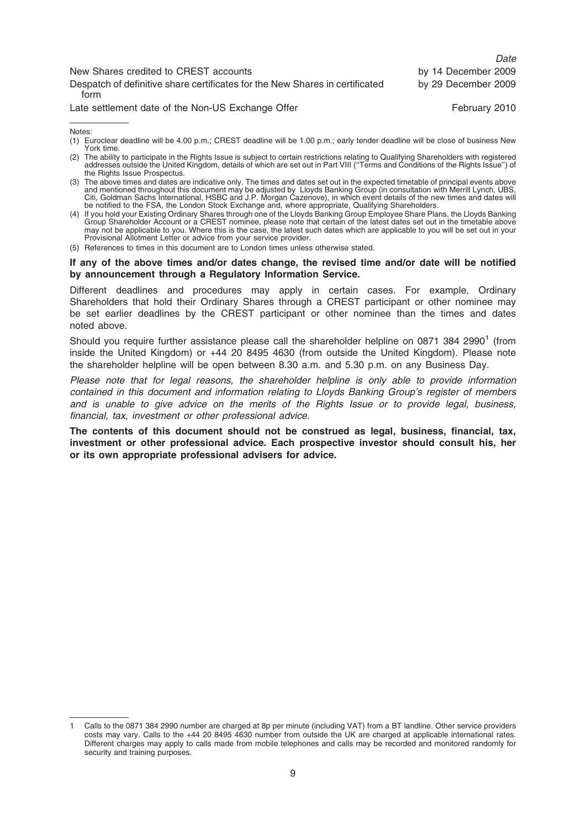|                                                                                      | <i><u>Light</u></i> |
|--------------------------------------------------------------------------------------|---------------------|
| New Shares credited to CREST accounts                                                | by 14 December 2009 |
| Despatch of definitive share certificates for the New Shares in certificated<br>form | by 29 December 2009 |
| Late settlement date of the Non-US Exchange Offer                                    | February 2010       |

 $D<sub>0</sub>$ 

#### If any of the above times and/or dates change, the revised time and/or date will be notified by announcement through a Regulatory Information Service.

Different deadlines and procedures may apply in certain cases. For example, Ordinary Shareholders that hold their Ordinary Shares through a CREST participant or other nominee may be set earlier deadlines by the CREST participant or other nominee than the times and dates noted above.

Should you require further assistance please call the shareholder helpline on 0871 384 2990<sup>1</sup> (from inside the United Kingdom) or +44 20 8495 4630 (from outside the United Kingdom). Please note the shareholder helpline will be open between 8.30 a.m. and 5.30 p.m. on any Business Day.

Please note that for legal reasons, the shareholder helpline is only able to provide information contained in this document and information relating to Lloyds Banking Group's register of members and is unable to give advice on the merits of the Rights Issue or to provide legal, business, financial, tax, investment or other professional advice.

The contents of this document should not be construed as legal, business, financial, tax, investment or other professional advice. Each prospective investor should consult his, her or its own appropriate professional advisers for advice.

Notes: (1) Euroclear deadline will be 4.00 p.m.; CREST deadline will be 1.00 p.m.; early tender deadline will be close of business New York time.

<sup>(2)</sup> The ability to participate in the Rights Issue is subject to certain restrictions relating to Qualifying Shareholders with registered addresses outside the United Kingdom, details of which are set out in Part VIII (''Terms and Conditions of the Rights Issue'') of the Rights Issue Prospectus.

<sup>(3)</sup> The above times and dates are indicative only. The times and dates set out in the expected timetable of principal events above and mentioned throughout this document may be adjusted by Lloyds Banking Group (in consultation with Merrill Lynch, UBS,<br>Citi, Goldman Sachs International, HSBC and J.P. Morgan Cazenove), in which event details of the new be notified to the FSA, the London Stock Exchange and, where appropriate, Qualifying Shareholders.

<sup>(4)</sup> If you hold your Existing Ordinary Shares through one of the Lloyds Banking Group Employee Share Plans, the Lloyds Banking Group Shareholder Account or a CREST nominee, please note that certain of the latest dates set out in the timetable above<br>may not be applicable to you. Where this is the case, the latest such dates which are applicable to Provisional Allotment Letter or advice from your service provider.

<sup>(5)</sup> References to times in this document are to London times unless otherwise stated.

<sup>1</sup> Calls to the 0871 384 2990 number are charged at 8p per minute (including VAT) from a BT landline. Other service providers costs may vary. Calls to the +44 20 8495 4630 number from outside the UK are charged at applicable international rates. Different charges may apply to calls made from mobile telephones and calls may be recorded and monitored randomly for security and training purposes.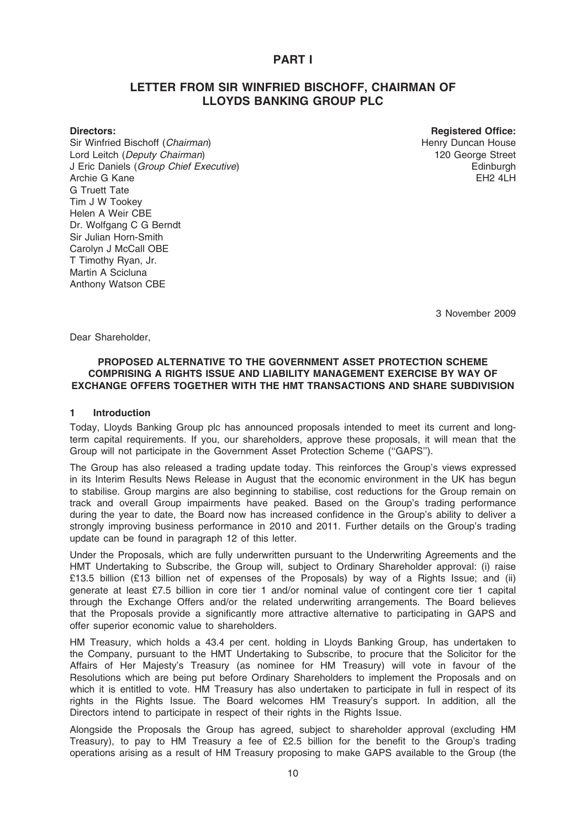### PART I

### LETTER FROM SIR WINFRIED BISCHOFF, CHAIRMAN OF LLOYDS BANKING GROUP PLC

Sir Winfried Bischoff (Chairman) Lord Leitch (Deputy Chairman) J Eric Daniels (Group Chief Executive) Archie G Kane G Truett Tate Tim J W Tookey Helen A Weir CBE Dr. Wolfgang C G Berndt Sir Julian Horn-Smith Carolyn J McCall OBE T Timothy Ryan, Jr. Martin A Scicluna Anthony Watson CBE

Directors: Registered Office: Henry Duncan House 120 George Street **Edinburgh**  $FH2$  4LH

3 November 2009

Dear Shareholder,

### PROPOSED ALTERNATIVE TO THE GOVERNMENT ASSET PROTECTION SCHEME COMPRISING A RIGHTS ISSUE AND LIABILITY MANAGEMENT EXERCISE BY WAY OF EXCHANGE OFFERS TOGETHER WITH THE HMT TRANSACTIONS AND SHARE SUBDIVISION

#### 1 Introduction

Today, Lloyds Banking Group plc has announced proposals intended to meet its current and longterm capital requirements. If you, our shareholders, approve these proposals, it will mean that the Group will not participate in the Government Asset Protection Scheme (''GAPS'').

The Group has also released a trading update today. This reinforces the Group's views expressed in its Interim Results News Release in August that the economic environment in the UK has begun to stabilise. Group margins are also beginning to stabilise, cost reductions for the Group remain on track and overall Group impairments have peaked. Based on the Group's trading performance during the year to date, the Board now has increased confidence in the Group's ability to deliver a strongly improving business performance in 2010 and 2011. Further details on the Group's trading update can be found in paragraph 12 of this letter.

Under the Proposals, which are fully underwritten pursuant to the Underwriting Agreements and the HMT Undertaking to Subscribe, the Group will, subject to Ordinary Shareholder approval: (i) raise £13.5 billion (£13 billion net of expenses of the Proposals) by way of a Rights Issue; and (ii) generate at least £7.5 billion in core tier 1 and/or nominal value of contingent core tier 1 capital through the Exchange Offers and/or the related underwriting arrangements. The Board believes that the Proposals provide a significantly more attractive alternative to participating in GAPS and offer superior economic value to shareholders.

HM Treasury, which holds a 43.4 per cent. holding in Lloyds Banking Group, has undertaken to the Company, pursuant to the HMT Undertaking to Subscribe, to procure that the Solicitor for the Affairs of Her Majesty's Treasury (as nominee for HM Treasury) will vote in favour of the Resolutions which are being put before Ordinary Shareholders to implement the Proposals and on which it is entitled to vote. HM Treasury has also undertaken to participate in full in respect of its rights in the Rights Issue. The Board welcomes HM Treasury's support. In addition, all the Directors intend to participate in respect of their rights in the Rights Issue.

Alongside the Proposals the Group has agreed, subject to shareholder approval (excluding HM Treasury), to pay to HM Treasury a fee of £2.5 billion for the benefit to the Group's trading operations arising as a result of HM Treasury proposing to make GAPS available to the Group (the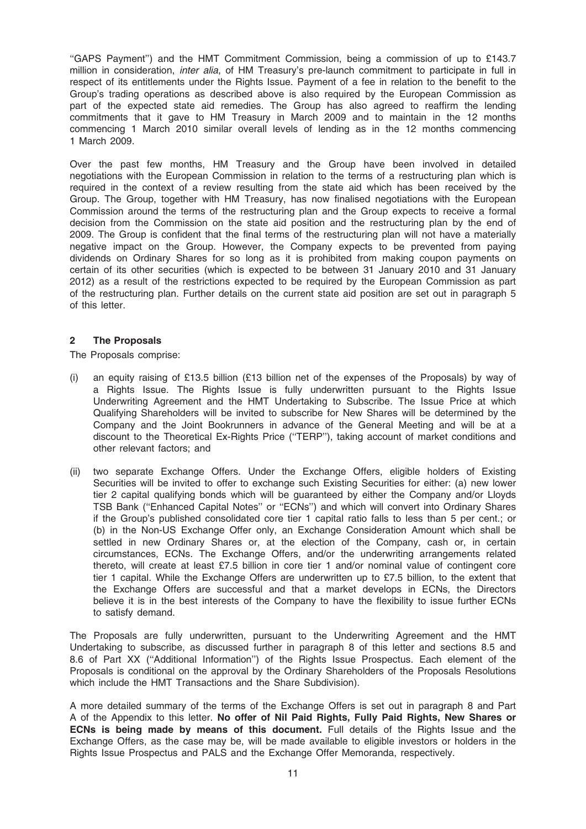''GAPS Payment'') and the HMT Commitment Commission, being a commission of up to £143.7 million in consideration, *inter alia*, of HM Treasury's pre-launch commitment to participate in full in respect of its entitlements under the Rights Issue. Payment of a fee in relation to the benefit to the Group's trading operations as described above is also required by the European Commission as part of the expected state aid remedies. The Group has also agreed to reaffirm the lending commitments that it gave to HM Treasury in March 2009 and to maintain in the 12 months commencing 1 March 2010 similar overall levels of lending as in the 12 months commencing 1 March 2009.

Over the past few months, HM Treasury and the Group have been involved in detailed negotiations with the European Commission in relation to the terms of a restructuring plan which is required in the context of a review resulting from the state aid which has been received by the Group. The Group, together with HM Treasury, has now finalised negotiations with the European Commission around the terms of the restructuring plan and the Group expects to receive a formal decision from the Commission on the state aid position and the restructuring plan by the end of 2009. The Group is confident that the final terms of the restructuring plan will not have a materially negative impact on the Group. However, the Company expects to be prevented from paying dividends on Ordinary Shares for so long as it is prohibited from making coupon payments on certain of its other securities (which is expected to be between 31 January 2010 and 31 January 2012) as a result of the restrictions expected to be required by the European Commission as part of the restructuring plan. Further details on the current state aid position are set out in paragraph 5 of this letter.

### 2 The Proposals

The Proposals comprise:

- (i) an equity raising of £13.5 billion (£13 billion net of the expenses of the Proposals) by way of a Rights Issue. The Rights Issue is fully underwritten pursuant to the Rights Issue Underwriting Agreement and the HMT Undertaking to Subscribe. The Issue Price at which Qualifying Shareholders will be invited to subscribe for New Shares will be determined by the Company and the Joint Bookrunners in advance of the General Meeting and will be at a discount to the Theoretical Ex-Rights Price (''TERP''), taking account of market conditions and other relevant factors; and
- (ii) two separate Exchange Offers. Under the Exchange Offers, eligible holders of Existing Securities will be invited to offer to exchange such Existing Securities for either: (a) new lower tier 2 capital qualifying bonds which will be guaranteed by either the Company and/or Lloyds TSB Bank (''Enhanced Capital Notes'' or ''ECNs'') and which will convert into Ordinary Shares if the Group's published consolidated core tier 1 capital ratio falls to less than 5 per cent.; or (b) in the Non-US Exchange Offer only, an Exchange Consideration Amount which shall be settled in new Ordinary Shares or, at the election of the Company, cash or, in certain circumstances, ECNs. The Exchange Offers, and/or the underwriting arrangements related thereto, will create at least £7.5 billion in core tier 1 and/or nominal value of contingent core tier 1 capital. While the Exchange Offers are underwritten up to £7.5 billion, to the extent that the Exchange Offers are successful and that a market develops in ECNs, the Directors believe it is in the best interests of the Company to have the flexibility to issue further ECNs to satisfy demand.

The Proposals are fully underwritten, pursuant to the Underwriting Agreement and the HMT Undertaking to subscribe, as discussed further in paragraph 8 of this letter and sections 8.5 and 8.6 of Part XX (''Additional Information'') of the Rights Issue Prospectus. Each element of the Proposals is conditional on the approval by the Ordinary Shareholders of the Proposals Resolutions which include the HMT Transactions and the Share Subdivision).

A more detailed summary of the terms of the Exchange Offers is set out in paragraph 8 and Part A of the Appendix to this letter. No offer of Nil Paid Rights, Fully Paid Rights, New Shares or ECNs is being made by means of this document. Full details of the Rights Issue and the Exchange Offers, as the case may be, will be made available to eligible investors or holders in the Rights Issue Prospectus and PALS and the Exchange Offer Memoranda, respectively.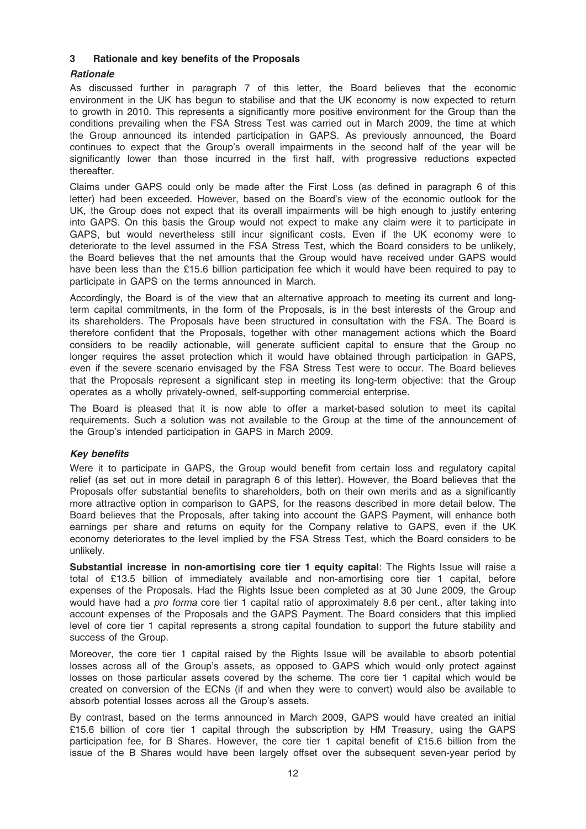### 3 Rationale and key benefits of the Proposals

### **Rationale**

As discussed further in paragraph 7 of this letter, the Board believes that the economic environment in the UK has begun to stabilise and that the UK economy is now expected to return to growth in 2010. This represents a significantly more positive environment for the Group than the conditions prevailing when the FSA Stress Test was carried out in March 2009, the time at which the Group announced its intended participation in GAPS. As previously announced, the Board continues to expect that the Group's overall impairments in the second half of the year will be significantly lower than those incurred in the first half, with progressive reductions expected thereafter.

Claims under GAPS could only be made after the First Loss (as defined in paragraph 6 of this letter) had been exceeded. However, based on the Board's view of the economic outlook for the UK, the Group does not expect that its overall impairments will be high enough to justify entering into GAPS. On this basis the Group would not expect to make any claim were it to participate in GAPS, but would nevertheless still incur significant costs. Even if the UK economy were to deteriorate to the level assumed in the FSA Stress Test, which the Board considers to be unlikely, the Board believes that the net amounts that the Group would have received under GAPS would have been less than the £15.6 billion participation fee which it would have been required to pay to participate in GAPS on the terms announced in March.

Accordingly, the Board is of the view that an alternative approach to meeting its current and longterm capital commitments, in the form of the Proposals, is in the best interests of the Group and its shareholders. The Proposals have been structured in consultation with the FSA. The Board is therefore confident that the Proposals, together with other management actions which the Board considers to be readily actionable, will generate sufficient capital to ensure that the Group no longer requires the asset protection which it would have obtained through participation in GAPS, even if the severe scenario envisaged by the FSA Stress Test were to occur. The Board believes that the Proposals represent a significant step in meeting its long-term objective: that the Group operates as a wholly privately-owned, self-supporting commercial enterprise.

The Board is pleased that it is now able to offer a market-based solution to meet its capital requirements. Such a solution was not available to the Group at the time of the announcement of the Group's intended participation in GAPS in March 2009.

### Key benefits

Were it to participate in GAPS, the Group would benefit from certain loss and regulatory capital relief (as set out in more detail in paragraph 6 of this letter). However, the Board believes that the Proposals offer substantial benefits to shareholders, both on their own merits and as a significantly more attractive option in comparison to GAPS, for the reasons described in more detail below. The Board believes that the Proposals, after taking into account the GAPS Payment, will enhance both earnings per share and returns on equity for the Company relative to GAPS, even if the UK economy deteriorates to the level implied by the FSA Stress Test, which the Board considers to be unlikely.

Substantial increase in non-amortising core tier 1 equity capital: The Rights Issue will raise a total of £13.5 billion of immediately available and non-amortising core tier 1 capital, before expenses of the Proposals. Had the Rights Issue been completed as at 30 June 2009, the Group would have had a *pro forma* core tier 1 capital ratio of approximately 8.6 per cent., after taking into account expenses of the Proposals and the GAPS Payment. The Board considers that this implied level of core tier 1 capital represents a strong capital foundation to support the future stability and success of the Group.

Moreover, the core tier 1 capital raised by the Rights Issue will be available to absorb potential losses across all of the Group's assets, as opposed to GAPS which would only protect against losses on those particular assets covered by the scheme. The core tier 1 capital which would be created on conversion of the ECNs (if and when they were to convert) would also be available to absorb potential losses across all the Group's assets.

By contrast, based on the terms announced in March 2009, GAPS would have created an initial £15.6 billion of core tier 1 capital through the subscription by HM Treasury, using the GAPS participation fee, for B Shares. However, the core tier 1 capital benefit of £15.6 billion from the issue of the B Shares would have been largely offset over the subsequent seven-year period by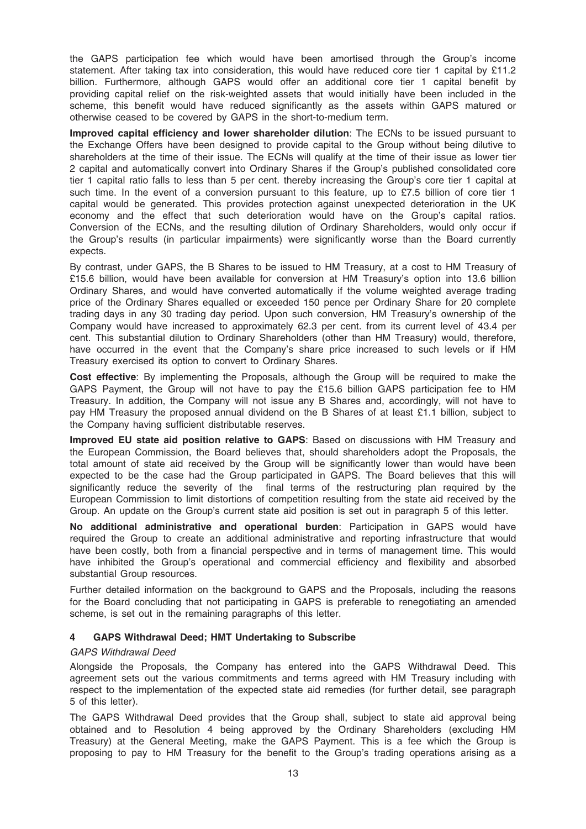the GAPS participation fee which would have been amortised through the Group's income statement. After taking tax into consideration, this would have reduced core tier 1 capital by £11.2 billion. Furthermore, although GAPS would offer an additional core tier 1 capital benefit by providing capital relief on the risk-weighted assets that would initially have been included in the scheme, this benefit would have reduced significantly as the assets within GAPS matured or otherwise ceased to be covered by GAPS in the short-to-medium term.

Improved capital efficiency and lower shareholder dilution: The ECNs to be issued pursuant to the Exchange Offers have been designed to provide capital to the Group without being dilutive to shareholders at the time of their issue. The ECNs will qualify at the time of their issue as lower tier 2 capital and automatically convert into Ordinary Shares if the Group's published consolidated core tier 1 capital ratio falls to less than 5 per cent. thereby increasing the Group's core tier 1 capital at such time. In the event of a conversion pursuant to this feature, up to £7.5 billion of core tier 1 capital would be generated. This provides protection against unexpected deterioration in the UK economy and the effect that such deterioration would have on the Group's capital ratios. Conversion of the ECNs, and the resulting dilution of Ordinary Shareholders, would only occur if the Group's results (in particular impairments) were significantly worse than the Board currently expects.

By contrast, under GAPS, the B Shares to be issued to HM Treasury, at a cost to HM Treasury of £15.6 billion, would have been available for conversion at HM Treasury's option into 13.6 billion Ordinary Shares, and would have converted automatically if the volume weighted average trading price of the Ordinary Shares equalled or exceeded 150 pence per Ordinary Share for 20 complete trading days in any 30 trading day period. Upon such conversion, HM Treasury's ownership of the Company would have increased to approximately 62.3 per cent. from its current level of 43.4 per cent. This substantial dilution to Ordinary Shareholders (other than HM Treasury) would, therefore, have occurred in the event that the Company's share price increased to such levels or if HM Treasury exercised its option to convert to Ordinary Shares.

Cost effective: By implementing the Proposals, although the Group will be required to make the GAPS Payment, the Group will not have to pay the £15.6 billion GAPS participation fee to HM Treasury. In addition, the Company will not issue any B Shares and, accordingly, will not have to pay HM Treasury the proposed annual dividend on the B Shares of at least £1.1 billion, subject to the Company having sufficient distributable reserves.

Improved EU state aid position relative to GAPS: Based on discussions with HM Treasury and the European Commission, the Board believes that, should shareholders adopt the Proposals, the total amount of state aid received by the Group will be significantly lower than would have been expected to be the case had the Group participated in GAPS. The Board believes that this will significantly reduce the severity of the final terms of the restructuring plan required by the European Commission to limit distortions of competition resulting from the state aid received by the Group. An update on the Group's current state aid position is set out in paragraph 5 of this letter.

No additional administrative and operational burden: Participation in GAPS would have required the Group to create an additional administrative and reporting infrastructure that would have been costly, both from a financial perspective and in terms of management time. This would have inhibited the Group's operational and commercial efficiency and flexibility and absorbed substantial Group resources.

Further detailed information on the background to GAPS and the Proposals, including the reasons for the Board concluding that not participating in GAPS is preferable to renegotiating an amended scheme, is set out in the remaining paragraphs of this letter.

### 4 GAPS Withdrawal Deed; HMT Undertaking to Subscribe

### GAPS Withdrawal Deed

Alongside the Proposals, the Company has entered into the GAPS Withdrawal Deed. This agreement sets out the various commitments and terms agreed with HM Treasury including with respect to the implementation of the expected state aid remedies (for further detail, see paragraph 5 of this letter).

The GAPS Withdrawal Deed provides that the Group shall, subject to state aid approval being obtained and to Resolution 4 being approved by the Ordinary Shareholders (excluding HM Treasury) at the General Meeting, make the GAPS Payment. This is a fee which the Group is proposing to pay to HM Treasury for the benefit to the Group's trading operations arising as a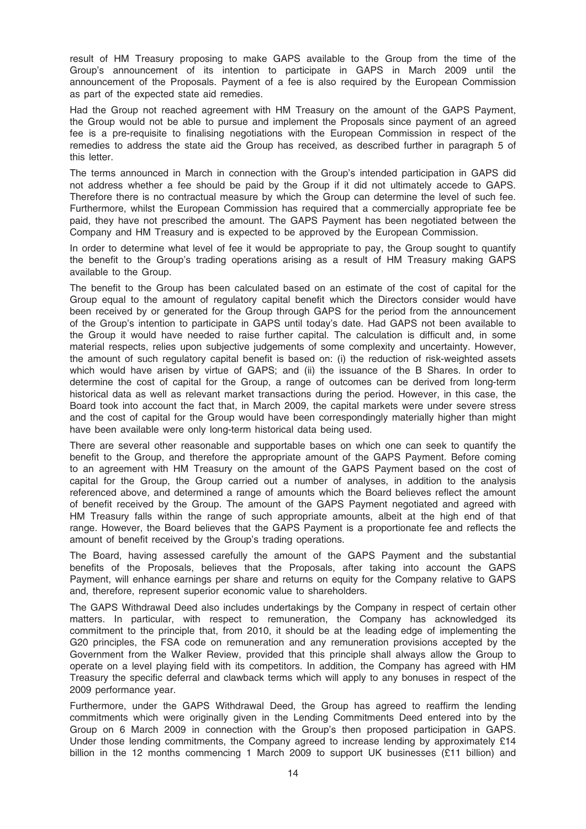result of HM Treasury proposing to make GAPS available to the Group from the time of the Group's announcement of its intention to participate in GAPS in March 2009 until the announcement of the Proposals. Payment of a fee is also required by the European Commission as part of the expected state aid remedies.

Had the Group not reached agreement with HM Treasury on the amount of the GAPS Payment, the Group would not be able to pursue and implement the Proposals since payment of an agreed fee is a pre-requisite to finalising negotiations with the European Commission in respect of the remedies to address the state aid the Group has received, as described further in paragraph 5 of this letter.

The terms announced in March in connection with the Group's intended participation in GAPS did not address whether a fee should be paid by the Group if it did not ultimately accede to GAPS. Therefore there is no contractual measure by which the Group can determine the level of such fee. Furthermore, whilst the European Commission has required that a commercially appropriate fee be paid, they have not prescribed the amount. The GAPS Payment has been negotiated between the Company and HM Treasury and is expected to be approved by the European Commission.

In order to determine what level of fee it would be appropriate to pay, the Group sought to quantify the benefit to the Group's trading operations arising as a result of HM Treasury making GAPS available to the Group.

The benefit to the Group has been calculated based on an estimate of the cost of capital for the Group equal to the amount of regulatory capital benefit which the Directors consider would have been received by or generated for the Group through GAPS for the period from the announcement of the Group's intention to participate in GAPS until today's date. Had GAPS not been available to the Group it would have needed to raise further capital. The calculation is difficult and, in some material respects, relies upon subjective judgements of some complexity and uncertainty. However, the amount of such regulatory capital benefit is based on: (i) the reduction of risk-weighted assets which would have arisen by virtue of GAPS; and (ii) the issuance of the B Shares. In order to determine the cost of capital for the Group, a range of outcomes can be derived from long-term historical data as well as relevant market transactions during the period. However, in this case, the Board took into account the fact that, in March 2009, the capital markets were under severe stress and the cost of capital for the Group would have been correspondingly materially higher than might have been available were only long-term historical data being used.

There are several other reasonable and supportable bases on which one can seek to quantify the benefit to the Group, and therefore the appropriate amount of the GAPS Payment. Before coming to an agreement with HM Treasury on the amount of the GAPS Payment based on the cost of capital for the Group, the Group carried out a number of analyses, in addition to the analysis referenced above, and determined a range of amounts which the Board believes reflect the amount of benefit received by the Group. The amount of the GAPS Payment negotiated and agreed with HM Treasury falls within the range of such appropriate amounts, albeit at the high end of that range. However, the Board believes that the GAPS Payment is a proportionate fee and reflects the amount of benefit received by the Group's trading operations.

The Board, having assessed carefully the amount of the GAPS Payment and the substantial benefits of the Proposals, believes that the Proposals, after taking into account the GAPS Payment, will enhance earnings per share and returns on equity for the Company relative to GAPS and, therefore, represent superior economic value to shareholders.

The GAPS Withdrawal Deed also includes undertakings by the Company in respect of certain other matters. In particular, with respect to remuneration, the Company has acknowledged its commitment to the principle that, from 2010, it should be at the leading edge of implementing the G20 principles, the FSA code on remuneration and any remuneration provisions accepted by the Government from the Walker Review, provided that this principle shall always allow the Group to operate on a level playing field with its competitors. In addition, the Company has agreed with HM Treasury the specific deferral and clawback terms which will apply to any bonuses in respect of the 2009 performance year.

Furthermore, under the GAPS Withdrawal Deed, the Group has agreed to reaffirm the lending commitments which were originally given in the Lending Commitments Deed entered into by the Group on 6 March 2009 in connection with the Group's then proposed participation in GAPS. Under those lending commitments, the Company agreed to increase lending by approximately  $£14$ billion in the 12 months commencing 1 March 2009 to support UK businesses (£11 billion) and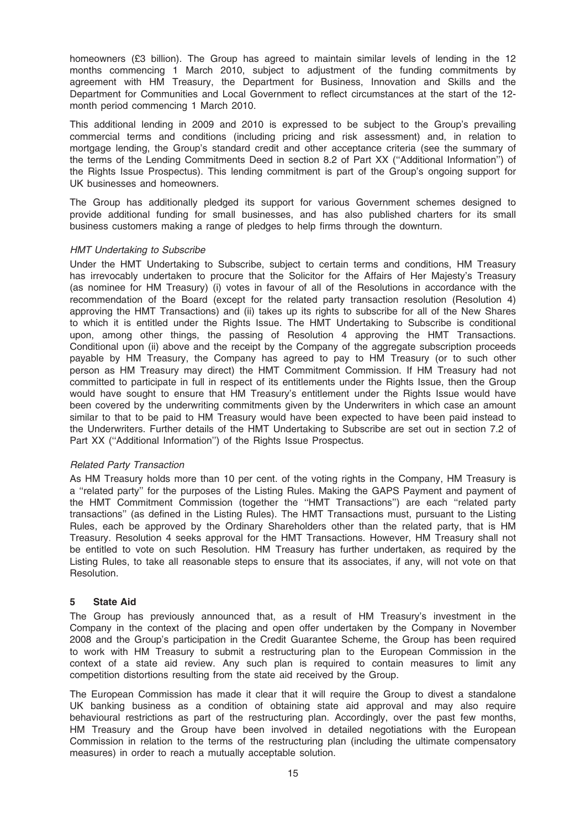homeowners (£3 billion). The Group has agreed to maintain similar levels of lending in the 12 months commencing 1 March 2010, subject to adjustment of the funding commitments by agreement with HM Treasury, the Department for Business, Innovation and Skills and the Department for Communities and Local Government to reflect circumstances at the start of the 12 month period commencing 1 March 2010.

This additional lending in 2009 and 2010 is expressed to be subject to the Group's prevailing commercial terms and conditions (including pricing and risk assessment) and, in relation to mortgage lending, the Group's standard credit and other acceptance criteria (see the summary of the terms of the Lending Commitments Deed in section 8.2 of Part XX (''Additional Information'') of the Rights Issue Prospectus). This lending commitment is part of the Group's ongoing support for UK businesses and homeowners.

The Group has additionally pledged its support for various Government schemes designed to provide additional funding for small businesses, and has also published charters for its small business customers making a range of pledges to help firms through the downturn.

### HMT Undertaking to Subscribe

Under the HMT Undertaking to Subscribe, subject to certain terms and conditions, HM Treasury has irrevocably undertaken to procure that the Solicitor for the Affairs of Her Majesty's Treasury (as nominee for HM Treasury) (i) votes in favour of all of the Resolutions in accordance with the recommendation of the Board (except for the related party transaction resolution (Resolution 4) approving the HMT Transactions) and (ii) takes up its rights to subscribe for all of the New Shares to which it is entitled under the Rights Issue. The HMT Undertaking to Subscribe is conditional upon, among other things, the passing of Resolution 4 approving the HMT Transactions. Conditional upon (ii) above and the receipt by the Company of the aggregate subscription proceeds payable by HM Treasury, the Company has agreed to pay to HM Treasury (or to such other person as HM Treasury may direct) the HMT Commitment Commission. If HM Treasury had not committed to participate in full in respect of its entitlements under the Rights Issue, then the Group would have sought to ensure that HM Treasury's entitlement under the Rights Issue would have been covered by the underwriting commitments given by the Underwriters in which case an amount similar to that to be paid to HM Treasury would have been expected to have been paid instead to the Underwriters. Further details of the HMT Undertaking to Subscribe are set out in section 7.2 of Part XX ("Additional Information") of the Rights Issue Prospectus.

### Related Party Transaction

As HM Treasury holds more than 10 per cent. of the voting rights in the Company, HM Treasury is a ''related party'' for the purposes of the Listing Rules. Making the GAPS Payment and payment of the HMT Commitment Commission (together the ''HMT Transactions'') are each ''related party transactions'' (as defined in the Listing Rules). The HMT Transactions must, pursuant to the Listing Rules, each be approved by the Ordinary Shareholders other than the related party, that is HM Treasury. Resolution 4 seeks approval for the HMT Transactions. However, HM Treasury shall not be entitled to vote on such Resolution. HM Treasury has further undertaken, as required by the Listing Rules, to take all reasonable steps to ensure that its associates, if any, will not vote on that Resolution.

### 5 State Aid

The Group has previously announced that, as a result of HM Treasury's investment in the Company in the context of the placing and open offer undertaken by the Company in November 2008 and the Group's participation in the Credit Guarantee Scheme, the Group has been required to work with HM Treasury to submit a restructuring plan to the European Commission in the context of a state aid review. Any such plan is required to contain measures to limit any competition distortions resulting from the state aid received by the Group.

The European Commission has made it clear that it will require the Group to divest a standalone UK banking business as a condition of obtaining state aid approval and may also require behavioural restrictions as part of the restructuring plan. Accordingly, over the past few months, HM Treasury and the Group have been involved in detailed negotiations with the European Commission in relation to the terms of the restructuring plan (including the ultimate compensatory measures) in order to reach a mutually acceptable solution.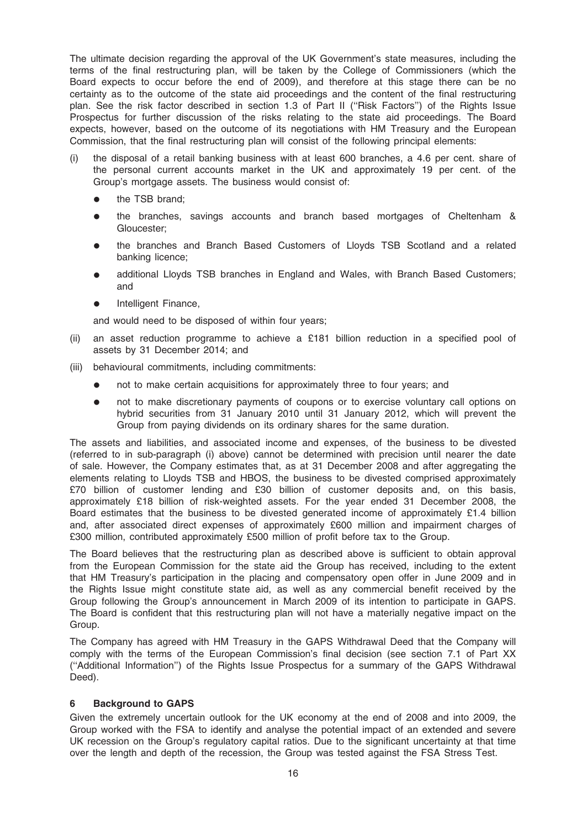The ultimate decision regarding the approval of the UK Government's state measures, including the terms of the final restructuring plan, will be taken by the College of Commissioners (which the Board expects to occur before the end of 2009), and therefore at this stage there can be no certainty as to the outcome of the state aid proceedings and the content of the final restructuring plan. See the risk factor described in section 1.3 of Part II ("Risk Factors") of the Rights Issue Prospectus for further discussion of the risks relating to the state aid proceedings. The Board expects, however, based on the outcome of its negotiations with HM Treasury and the European Commission, that the final restructuring plan will consist of the following principal elements:

- (i) the disposal of a retail banking business with at least 600 branches, a 4.6 per cent. share of the personal current accounts market in the UK and approximately 19 per cent. of the Group's mortgage assets. The business would consist of:
	- the TSB brand:
	- the branches, savings accounts and branch based mortgages of Cheltenham & Gloucester;
	- the branches and Branch Based Customers of Lloyds TSB Scotland and a related banking licence;
	- additional Lloyds TSB branches in England and Wales, with Branch Based Customers; and
	- Intelligent Finance,

and would need to be disposed of within four years;

- (ii) an asset reduction programme to achieve a £181 billion reduction in a specified pool of assets by 31 December 2014; and
- (iii) behavioural commitments, including commitments:
	- not to make certain acquisitions for approximately three to four years; and
	- not to make discretionary payments of coupons or to exercise voluntary call options on hybrid securities from 31 January 2010 until 31 January 2012, which will prevent the Group from paying dividends on its ordinary shares for the same duration.

The assets and liabilities, and associated income and expenses, of the business to be divested (referred to in sub-paragraph (i) above) cannot be determined with precision until nearer the date of sale. However, the Company estimates that, as at 31 December 2008 and after aggregating the elements relating to Lloyds TSB and HBOS, the business to be divested comprised approximately £70 billion of customer lending and £30 billion of customer deposits and, on this basis, approximately £18 billion of risk-weighted assets. For the year ended 31 December 2008, the Board estimates that the business to be divested generated income of approximately £1.4 billion and, after associated direct expenses of approximately £600 million and impairment charges of £300 million, contributed approximately £500 million of profit before tax to the Group.

The Board believes that the restructuring plan as described above is sufficient to obtain approval from the European Commission for the state aid the Group has received, including to the extent that HM Treasury's participation in the placing and compensatory open offer in June 2009 and in the Rights Issue might constitute state aid, as well as any commercial benefit received by the Group following the Group's announcement in March 2009 of its intention to participate in GAPS. The Board is confident that this restructuring plan will not have a materially negative impact on the Group.

The Company has agreed with HM Treasury in the GAPS Withdrawal Deed that the Company will comply with the terms of the European Commission's final decision (see section 7.1 of Part XX (''Additional Information'') of the Rights Issue Prospectus for a summary of the GAPS Withdrawal Deed).

### 6 Background to GAPS

Given the extremely uncertain outlook for the UK economy at the end of 2008 and into 2009, the Group worked with the FSA to identify and analyse the potential impact of an extended and severe UK recession on the Group's regulatory capital ratios. Due to the significant uncertainty at that time over the length and depth of the recession, the Group was tested against the FSA Stress Test.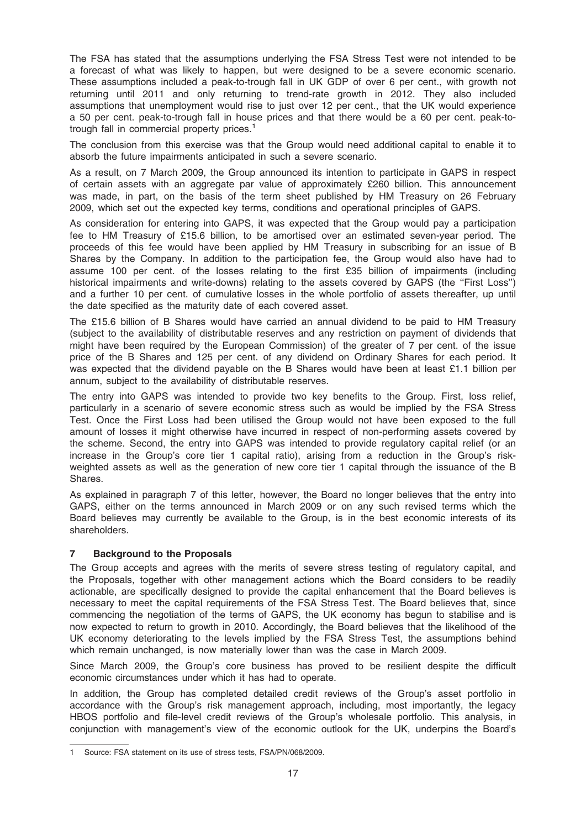The FSA has stated that the assumptions underlying the FSA Stress Test were not intended to be a forecast of what was likely to happen, but were designed to be a severe economic scenario. These assumptions included a peak-to-trough fall in UK GDP of over 6 per cent., with growth not returning until 2011 and only returning to trend-rate growth in 2012. They also included assumptions that unemployment would rise to just over 12 per cent., that the UK would experience a 50 per cent. peak-to-trough fall in house prices and that there would be a 60 per cent. peak-totrough fall in commercial property prices.<sup>1</sup>

The conclusion from this exercise was that the Group would need additional capital to enable it to absorb the future impairments anticipated in such a severe scenario.

As a result, on 7 March 2009, the Group announced its intention to participate in GAPS in respect of certain assets with an aggregate par value of approximately £260 billion. This announcement was made, in part, on the basis of the term sheet published by HM Treasury on 26 February 2009, which set out the expected key terms, conditions and operational principles of GAPS.

As consideration for entering into GAPS, it was expected that the Group would pay a participation fee to HM Treasury of £15.6 billion, to be amortised over an estimated seven-year period. The proceeds of this fee would have been applied by HM Treasury in subscribing for an issue of B Shares by the Company. In addition to the participation fee, the Group would also have had to assume 100 per cent. of the losses relating to the first £35 billion of impairments (including historical impairments and write-downs) relating to the assets covered by GAPS (the "First Loss") and a further 10 per cent. of cumulative losses in the whole portfolio of assets thereafter, up until the date specified as the maturity date of each covered asset.

The £15.6 billion of B Shares would have carried an annual dividend to be paid to HM Treasury (subject to the availability of distributable reserves and any restriction on payment of dividends that might have been required by the European Commission) of the greater of 7 per cent. of the issue price of the B Shares and 125 per cent. of any dividend on Ordinary Shares for each period. It was expected that the dividend payable on the B Shares would have been at least £1.1 billion per annum, subject to the availability of distributable reserves.

The entry into GAPS was intended to provide two key benefits to the Group. First, loss relief, particularly in a scenario of severe economic stress such as would be implied by the FSA Stress Test. Once the First Loss had been utilised the Group would not have been exposed to the full amount of losses it might otherwise have incurred in respect of non-performing assets covered by the scheme. Second, the entry into GAPS was intended to provide regulatory capital relief (or an increase in the Group's core tier 1 capital ratio), arising from a reduction in the Group's riskweighted assets as well as the generation of new core tier 1 capital through the issuance of the B Shares.

As explained in paragraph 7 of this letter, however, the Board no longer believes that the entry into GAPS, either on the terms announced in March 2009 or on any such revised terms which the Board believes may currently be available to the Group, is in the best economic interests of its shareholders.

### 7 Background to the Proposals

The Group accepts and agrees with the merits of severe stress testing of regulatory capital, and the Proposals, together with other management actions which the Board considers to be readily actionable, are specifically designed to provide the capital enhancement that the Board believes is necessary to meet the capital requirements of the FSA Stress Test. The Board believes that, since commencing the negotiation of the terms of GAPS, the UK economy has begun to stabilise and is now expected to return to growth in 2010. Accordingly, the Board believes that the likelihood of the UK economy deteriorating to the levels implied by the FSA Stress Test, the assumptions behind which remain unchanged, is now materially lower than was the case in March 2009.

Since March 2009, the Group's core business has proved to be resilient despite the difficult economic circumstances under which it has had to operate.

In addition, the Group has completed detailed credit reviews of the Group's asset portfolio in accordance with the Group's risk management approach, including, most importantly, the legacy HBOS portfolio and file-level credit reviews of the Group's wholesale portfolio. This analysis, in conjunction with management's view of the economic outlook for the UK, underpins the Board's

<sup>1</sup> Source: FSA statement on its use of stress tests, FSA/PN/068/2009.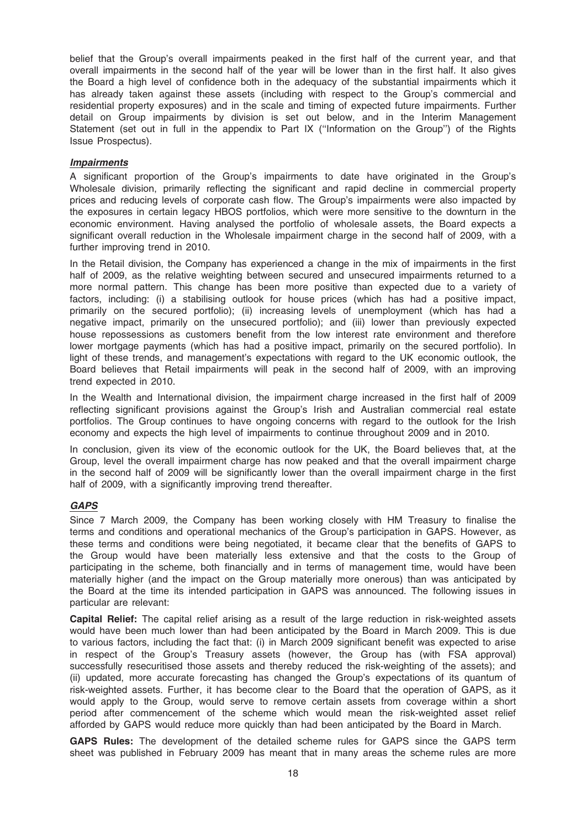belief that the Group's overall impairments peaked in the first half of the current year, and that overall impairments in the second half of the year will be lower than in the first half. It also gives the Board a high level of confidence both in the adequacy of the substantial impairments which it has already taken against these assets (including with respect to the Group's commercial and residential property exposures) and in the scale and timing of expected future impairments. Further detail on Group impairments by division is set out below, and in the Interim Management Statement (set out in full in the appendix to Part IX (''Information on the Group'') of the Rights Issue Prospectus).

### Impairments

A significant proportion of the Group's impairments to date have originated in the Group's Wholesale division, primarily reflecting the significant and rapid decline in commercial property prices and reducing levels of corporate cash flow. The Group's impairments were also impacted by the exposures in certain legacy HBOS portfolios, which were more sensitive to the downturn in the economic environment. Having analysed the portfolio of wholesale assets, the Board expects a significant overall reduction in the Wholesale impairment charge in the second half of 2009, with a further improving trend in 2010.

In the Retail division, the Company has experienced a change in the mix of impairments in the first half of 2009, as the relative weighting between secured and unsecured impairments returned to a more normal pattern. This change has been more positive than expected due to a variety of factors, including: (i) a stabilising outlook for house prices (which has had a positive impact, primarily on the secured portfolio); (ii) increasing levels of unemployment (which has had a negative impact, primarily on the unsecured portfolio); and (iii) lower than previously expected house repossessions as customers benefit from the low interest rate environment and therefore lower mortgage payments (which has had a positive impact, primarily on the secured portfolio). In light of these trends, and management's expectations with regard to the UK economic outlook, the Board believes that Retail impairments will peak in the second half of 2009, with an improving trend expected in 2010.

In the Wealth and International division, the impairment charge increased in the first half of 2009 reflecting significant provisions against the Group's Irish and Australian commercial real estate portfolios. The Group continues to have ongoing concerns with regard to the outlook for the Irish economy and expects the high level of impairments to continue throughout 2009 and in 2010.

In conclusion, given its view of the economic outlook for the UK, the Board believes that, at the Group, level the overall impairment charge has now peaked and that the overall impairment charge in the second half of 2009 will be significantly lower than the overall impairment charge in the first half of 2009, with a significantly improving trend thereafter.

### GAPS

Since 7 March 2009, the Company has been working closely with HM Treasury to finalise the terms and conditions and operational mechanics of the Group's participation in GAPS. However, as these terms and conditions were being negotiated, it became clear that the benefits of GAPS to the Group would have been materially less extensive and that the costs to the Group of participating in the scheme, both financially and in terms of management time, would have been materially higher (and the impact on the Group materially more onerous) than was anticipated by the Board at the time its intended participation in GAPS was announced. The following issues in particular are relevant:

Capital Relief: The capital relief arising as a result of the large reduction in risk-weighted assets would have been much lower than had been anticipated by the Board in March 2009. This is due to various factors, including the fact that: (i) in March 2009 significant benefit was expected to arise in respect of the Group's Treasury assets (however, the Group has (with FSA approval) successfully resecuritised those assets and thereby reduced the risk-weighting of the assets); and (ii) updated, more accurate forecasting has changed the Group's expectations of its quantum of risk-weighted assets. Further, it has become clear to the Board that the operation of GAPS, as it would apply to the Group, would serve to remove certain assets from coverage within a short period after commencement of the scheme which would mean the risk-weighted asset relief afforded by GAPS would reduce more quickly than had been anticipated by the Board in March.

GAPS Rules: The development of the detailed scheme rules for GAPS since the GAPS term sheet was published in February 2009 has meant that in many areas the scheme rules are more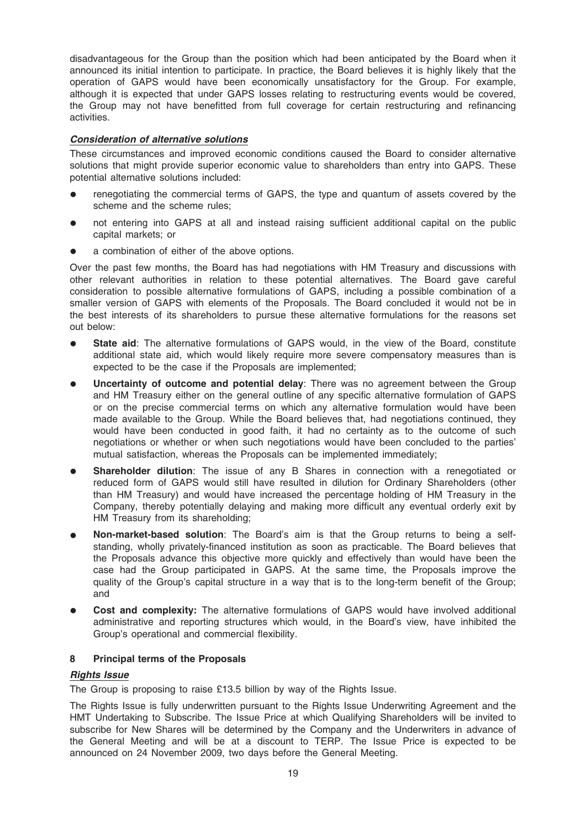disadvantageous for the Group than the position which had been anticipated by the Board when it announced its initial intention to participate. In practice, the Board believes it is highly likely that the operation of GAPS would have been economically unsatisfactory for the Group. For example, although it is expected that under GAPS losses relating to restructuring events would be covered, the Group may not have benefitted from full coverage for certain restructuring and refinancing activities.

### Consideration of alternative solutions

These circumstances and improved economic conditions caused the Board to consider alternative solutions that might provide superior economic value to shareholders than entry into GAPS. These potential alternative solutions included:

- renegotiating the commercial terms of GAPS, the type and quantum of assets covered by the scheme and the scheme rules;
- not entering into GAPS at all and instead raising sufficient additional capital on the public capital markets; or
- a combination of either of the above options.

Over the past few months, the Board has had negotiations with HM Treasury and discussions with other relevant authorities in relation to these potential alternatives. The Board gave careful consideration to possible alternative formulations of GAPS, including a possible combination of a smaller version of GAPS with elements of the Proposals. The Board concluded it would not be in the best interests of its shareholders to pursue these alternative formulations for the reasons set out below:

- State aid: The alternative formulations of GAPS would, in the view of the Board, constitute additional state aid, which would likely require more severe compensatory measures than is expected to be the case if the Proposals are implemented;
- Uncertainty of outcome and potential delay: There was no agreement between the Group and HM Treasury either on the general outline of any specific alternative formulation of GAPS or on the precise commercial terms on which any alternative formulation would have been made available to the Group. While the Board believes that, had negotiations continued, they would have been conducted in good faith, it had no certainty as to the outcome of such negotiations or whether or when such negotiations would have been concluded to the parties' mutual satisfaction, whereas the Proposals can be implemented immediately;
- **Shareholder dilution**: The issue of any B Shares in connection with a renegotiated or reduced form of GAPS would still have resulted in dilution for Ordinary Shareholders (other than HM Treasury) and would have increased the percentage holding of HM Treasury in the Company, thereby potentially delaying and making more difficult any eventual orderly exit by HM Treasury from its shareholding;
- Non-market-based solution: The Board's aim is that the Group returns to being a selfstanding, wholly privately-financed institution as soon as practicable. The Board believes that the Proposals advance this objective more quickly and effectively than would have been the case had the Group participated in GAPS. At the same time, the Proposals improve the quality of the Group's capital structure in a way that is to the long-term benefit of the Group; and
- **Cost and complexity:** The alternative formulations of GAPS would have involved additional administrative and reporting structures which would, in the Board's view, have inhibited the Group's operational and commercial flexibility.

### 8 Principal terms of the Proposals

### Rights Issue

The Group is proposing to raise £13.5 billion by way of the Rights Issue.

The Rights Issue is fully underwritten pursuant to the Rights Issue Underwriting Agreement and the HMT Undertaking to Subscribe. The Issue Price at which Qualifying Shareholders will be invited to subscribe for New Shares will be determined by the Company and the Underwriters in advance of the General Meeting and will be at a discount to TERP. The Issue Price is expected to be announced on 24 November 2009, two days before the General Meeting.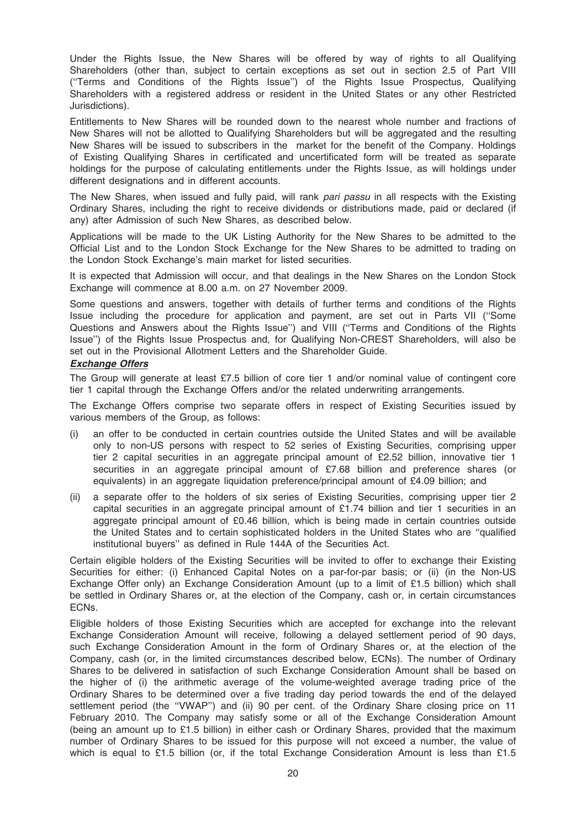Under the Rights Issue, the New Shares will be offered by way of rights to all Qualifying Shareholders (other than, subject to certain exceptions as set out in section 2.5 of Part VIII (''Terms and Conditions of the Rights Issue'') of the Rights Issue Prospectus, Qualifying Shareholders with a registered address or resident in the United States or any other Restricted Jurisdictions).

Entitlements to New Shares will be rounded down to the nearest whole number and fractions of New Shares will not be allotted to Qualifying Shareholders but will be aggregated and the resulting New Shares will be issued to subscribers in the market for the benefit of the Company. Holdings of Existing Qualifying Shares in certificated and uncertificated form will be treated as separate holdings for the purpose of calculating entitlements under the Rights Issue, as will holdings under different designations and in different accounts.

The New Shares, when issued and fully paid, will rank pari passu in all respects with the Existing Ordinary Shares, including the right to receive dividends or distributions made, paid or declared (if any) after Admission of such New Shares, as described below.

Applications will be made to the UK Listing Authority for the New Shares to be admitted to the Official List and to the London Stock Exchange for the New Shares to be admitted to trading on the London Stock Exchange's main market for listed securities.

It is expected that Admission will occur, and that dealings in the New Shares on the London Stock Exchange will commence at 8.00 a.m. on 27 November 2009.

Some questions and answers, together with details of further terms and conditions of the Rights Issue including the procedure for application and payment, are set out in Parts VII (''Some Questions and Answers about the Rights Issue'') and VIII (''Terms and Conditions of the Rights Issue'') of the Rights Issue Prospectus and, for Qualifying Non-CREST Shareholders, will also be set out in the Provisional Allotment Letters and the Shareholder Guide.

### Exchange Offers

The Group will generate at least £7.5 billion of core tier 1 and/or nominal value of contingent core tier 1 capital through the Exchange Offers and/or the related underwriting arrangements.

The Exchange Offers comprise two separate offers in respect of Existing Securities issued by various members of the Group, as follows:

- (i) an offer to be conducted in certain countries outside the United States and will be available only to non-US persons with respect to 52 series of Existing Securities, comprising upper tier 2 capital securities in an aggregate principal amount of £2.52 billion, innovative tier 1 securities in an aggregate principal amount of £7.68 billion and preference shares (or equivalents) in an aggregate liquidation preference/principal amount of £4.09 billion; and
- (ii) a separate offer to the holders of six series of Existing Securities, comprising upper tier 2 capital securities in an aggregate principal amount of £1.74 billion and tier 1 securities in an aggregate principal amount of £0.46 billion, which is being made in certain countries outside the United States and to certain sophisticated holders in the United States who are ''qualified institutional buyers'' as defined in Rule 144A of the Securities Act.

Certain eligible holders of the Existing Securities will be invited to offer to exchange their Existing Securities for either: (i) Enhanced Capital Notes on a par-for-par basis; or (ii) (in the Non-US Exchange Offer only) an Exchange Consideration Amount (up to a limit of £1.5 billion) which shall be settled in Ordinary Shares or, at the election of the Company, cash or, in certain circumstances ECNs.

Eligible holders of those Existing Securities which are accepted for exchange into the relevant Exchange Consideration Amount will receive, following a delayed settlement period of 90 days, such Exchange Consideration Amount in the form of Ordinary Shares or, at the election of the Company, cash (or, in the limited circumstances described below, ECNs). The number of Ordinary Shares to be delivered in satisfaction of such Exchange Consideration Amount shall be based on the higher of (i) the arithmetic average of the volume-weighted average trading price of the Ordinary Shares to be determined over a five trading day period towards the end of the delayed settlement period (the ''VWAP'') and (ii) 90 per cent. of the Ordinary Share closing price on 11 February 2010. The Company may satisfy some or all of the Exchange Consideration Amount (being an amount up to £1.5 billion) in either cash or Ordinary Shares, provided that the maximum number of Ordinary Shares to be issued for this purpose will not exceed a number, the value of which is equal to £1.5 billion (or, if the total Exchange Consideration Amount is less than £1.5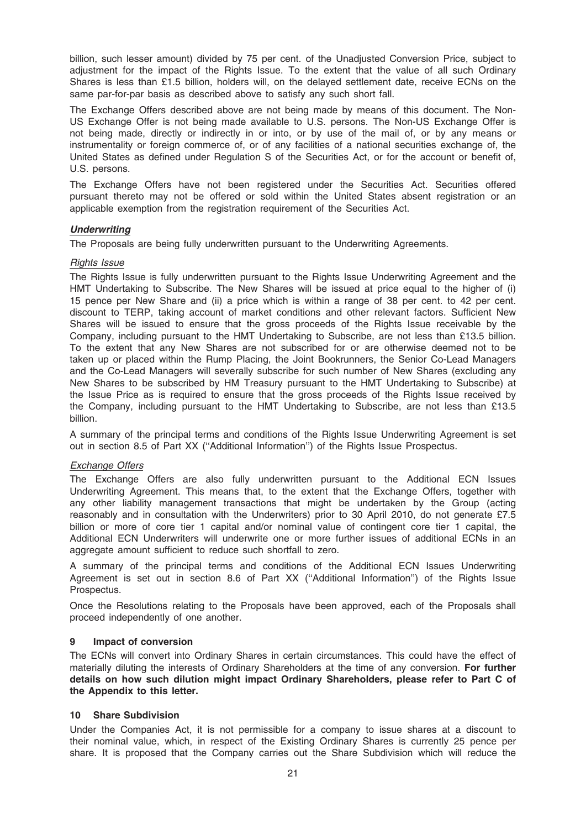billion, such lesser amount) divided by 75 per cent. of the Unadjusted Conversion Price, subject to adjustment for the impact of the Rights Issue. To the extent that the value of all such Ordinary Shares is less than £1.5 billion, holders will, on the delayed settlement date, receive ECNs on the same par-for-par basis as described above to satisfy any such short fall.

The Exchange Offers described above are not being made by means of this document. The Non-US Exchange Offer is not being made available to U.S. persons. The Non-US Exchange Offer is not being made, directly or indirectly in or into, or by use of the mail of, or by any means or instrumentality or foreign commerce of, or of any facilities of a national securities exchange of, the United States as defined under Regulation S of the Securities Act, or for the account or benefit of, U.S. persons.

The Exchange Offers have not been registered under the Securities Act. Securities offered pursuant thereto may not be offered or sold within the United States absent registration or an applicable exemption from the registration requirement of the Securities Act.

### **Underwriting**

The Proposals are being fully underwritten pursuant to the Underwriting Agreements.

### Rights Issue

The Rights Issue is fully underwritten pursuant to the Rights Issue Underwriting Agreement and the HMT Undertaking to Subscribe. The New Shares will be issued at price equal to the higher of (i) 15 pence per New Share and (ii) a price which is within a range of 38 per cent. to 42 per cent. discount to TERP, taking account of market conditions and other relevant factors. Sufficient New Shares will be issued to ensure that the gross proceeds of the Rights Issue receivable by the Company, including pursuant to the HMT Undertaking to Subscribe, are not less than £13.5 billion. To the extent that any New Shares are not subscribed for or are otherwise deemed not to be taken up or placed within the Rump Placing, the Joint Bookrunners, the Senior Co-Lead Managers and the Co-Lead Managers will severally subscribe for such number of New Shares (excluding any New Shares to be subscribed by HM Treasury pursuant to the HMT Undertaking to Subscribe) at the Issue Price as is required to ensure that the gross proceeds of the Rights Issue received by the Company, including pursuant to the HMT Undertaking to Subscribe, are not less than £13.5 billion.

A summary of the principal terms and conditions of the Rights Issue Underwriting Agreement is set out in section 8.5 of Part XX (''Additional Information'') of the Rights Issue Prospectus.

### Exchange Offers

The Exchange Offers are also fully underwritten pursuant to the Additional ECN Issues Underwriting Agreement. This means that, to the extent that the Exchange Offers, together with any other liability management transactions that might be undertaken by the Group (acting reasonably and in consultation with the Underwriters) prior to 30 April 2010, do not generate £7.5 billion or more of core tier 1 capital and/or nominal value of contingent core tier 1 capital, the Additional ECN Underwriters will underwrite one or more further issues of additional ECNs in an aggregate amount sufficient to reduce such shortfall to zero.

A summary of the principal terms and conditions of the Additional ECN Issues Underwriting Agreement is set out in section 8.6 of Part XX (''Additional Information'') of the Rights Issue Prospectus.

Once the Resolutions relating to the Proposals have been approved, each of the Proposals shall proceed independently of one another.

### 9 Impact of conversion

The ECNs will convert into Ordinary Shares in certain circumstances. This could have the effect of materially diluting the interests of Ordinary Shareholders at the time of any conversion. For further details on how such dilution might impact Ordinary Shareholders, please refer to Part C of the Appendix to this letter.

### 10 Share Subdivision

Under the Companies Act, it is not permissible for a company to issue shares at a discount to their nominal value, which, in respect of the Existing Ordinary Shares is currently 25 pence per share. It is proposed that the Company carries out the Share Subdivision which will reduce the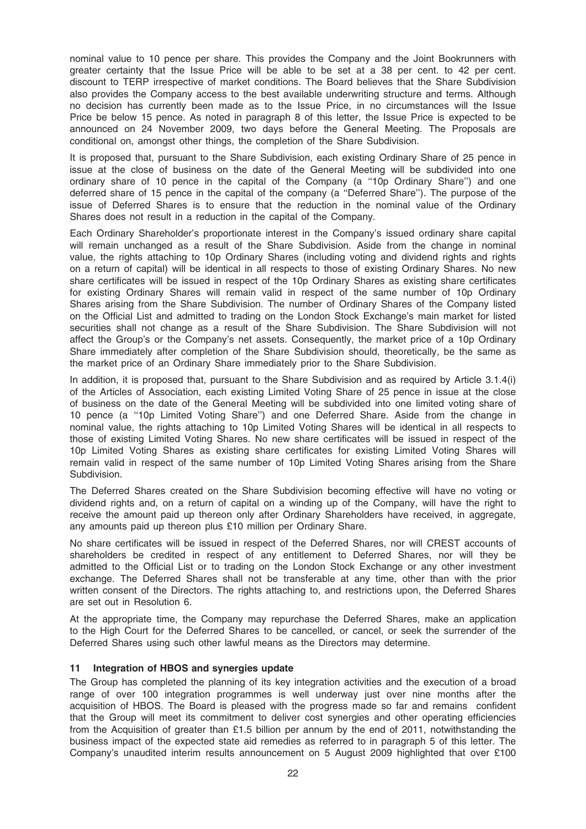nominal value to 10 pence per share. This provides the Company and the Joint Bookrunners with greater certainty that the Issue Price will be able to be set at a 38 per cent. to 42 per cent. discount to TERP irrespective of market conditions. The Board believes that the Share Subdivision also provides the Company access to the best available underwriting structure and terms. Although no decision has currently been made as to the Issue Price, in no circumstances will the Issue Price be below 15 pence. As noted in paragraph 8 of this letter, the Issue Price is expected to be announced on 24 November 2009, two days before the General Meeting. The Proposals are conditional on, amongst other things, the completion of the Share Subdivision.

It is proposed that, pursuant to the Share Subdivision, each existing Ordinary Share of 25 pence in issue at the close of business on the date of the General Meeting will be subdivided into one ordinary share of 10 pence in the capital of the Company (a ''10p Ordinary Share'') and one deferred share of 15 pence in the capital of the company (a ''Deferred Share''). The purpose of the issue of Deferred Shares is to ensure that the reduction in the nominal value of the Ordinary Shares does not result in a reduction in the capital of the Company.

Each Ordinary Shareholder's proportionate interest in the Company's issued ordinary share capital will remain unchanged as a result of the Share Subdivision. Aside from the change in nominal value, the rights attaching to 10p Ordinary Shares (including voting and dividend rights and rights on a return of capital) will be identical in all respects to those of existing Ordinary Shares. No new share certificates will be issued in respect of the 10p Ordinary Shares as existing share certificates for existing Ordinary Shares will remain valid in respect of the same number of 10p Ordinary Shares arising from the Share Subdivision. The number of Ordinary Shares of the Company listed on the Official List and admitted to trading on the London Stock Exchange's main market for listed securities shall not change as a result of the Share Subdivision. The Share Subdivision will not affect the Group's or the Company's net assets. Consequently, the market price of a 10p Ordinary Share immediately after completion of the Share Subdivision should, theoretically, be the same as the market price of an Ordinary Share immediately prior to the Share Subdivision.

In addition, it is proposed that, pursuant to the Share Subdivision and as required by Article 3.1.4(i) of the Articles of Association, each existing Limited Voting Share of 25 pence in issue at the close of business on the date of the General Meeting will be subdivided into one limited voting share of 10 pence (a ''10p Limited Voting Share'') and one Deferred Share. Aside from the change in nominal value, the rights attaching to 10p Limited Voting Shares will be identical in all respects to those of existing Limited Voting Shares. No new share certificates will be issued in respect of the 10p Limited Voting Shares as existing share certificates for existing Limited Voting Shares will remain valid in respect of the same number of 10p Limited Voting Shares arising from the Share Subdivision.

The Deferred Shares created on the Share Subdivision becoming effective will have no voting or dividend rights and, on a return of capital on a winding up of the Company, will have the right to receive the amount paid up thereon only after Ordinary Shareholders have received, in aggregate, any amounts paid up thereon plus £10 million per Ordinary Share.

No share certificates will be issued in respect of the Deferred Shares, nor will CREST accounts of shareholders be credited in respect of any entitlement to Deferred Shares, nor will they be admitted to the Official List or to trading on the London Stock Exchange or any other investment exchange. The Deferred Shares shall not be transferable at any time, other than with the prior written consent of the Directors. The rights attaching to, and restrictions upon, the Deferred Shares are set out in Resolution 6.

At the appropriate time, the Company may repurchase the Deferred Shares, make an application to the High Court for the Deferred Shares to be cancelled, or cancel, or seek the surrender of the Deferred Shares using such other lawful means as the Directors may determine.

### 11 Integration of HBOS and synergies update

The Group has completed the planning of its key integration activities and the execution of a broad range of over 100 integration programmes is well underway just over nine months after the acquisition of HBOS. The Board is pleased with the progress made so far and remains confident that the Group will meet its commitment to deliver cost synergies and other operating efficiencies from the Acquisition of greater than £1.5 billion per annum by the end of 2011, notwithstanding the business impact of the expected state aid remedies as referred to in paragraph 5 of this letter. The Company's unaudited interim results announcement on 5 August 2009 highlighted that over £100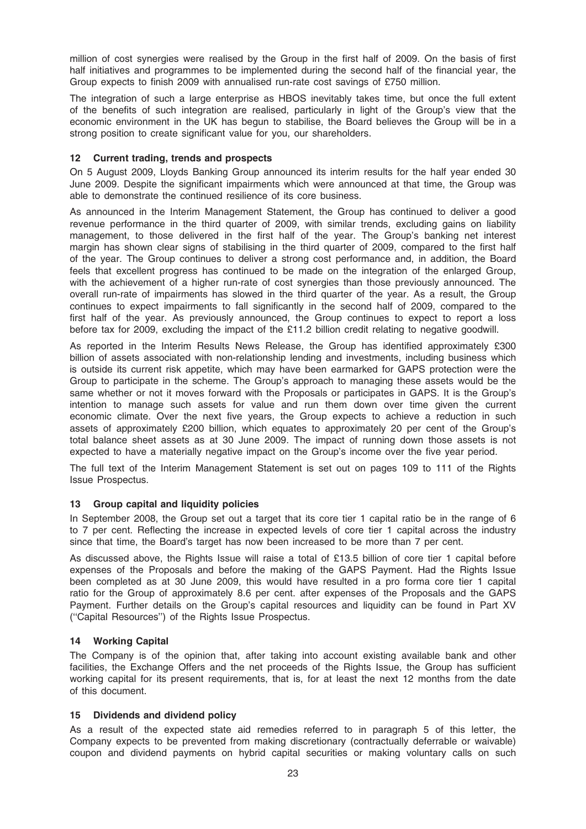million of cost synergies were realised by the Group in the first half of 2009. On the basis of first half initiatives and programmes to be implemented during the second half of the financial year, the Group expects to finish 2009 with annualised run-rate cost savings of £750 million.

The integration of such a large enterprise as HBOS inevitably takes time, but once the full extent of the benefits of such integration are realised, particularly in light of the Group's view that the economic environment in the UK has begun to stabilise, the Board believes the Group will be in a strong position to create significant value for you, our shareholders.

### 12 Current trading, trends and prospects

On 5 August 2009, Lloyds Banking Group announced its interim results for the half year ended 30 June 2009. Despite the significant impairments which were announced at that time, the Group was able to demonstrate the continued resilience of its core business.

As announced in the Interim Management Statement, the Group has continued to deliver a good revenue performance in the third quarter of 2009, with similar trends, excluding gains on liability management, to those delivered in the first half of the year. The Group's banking net interest margin has shown clear signs of stabilising in the third quarter of 2009, compared to the first half of the year. The Group continues to deliver a strong cost performance and, in addition, the Board feels that excellent progress has continued to be made on the integration of the enlarged Group, with the achievement of a higher run-rate of cost synergies than those previously announced. The overall run-rate of impairments has slowed in the third quarter of the year. As a result, the Group continues to expect impairments to fall significantly in the second half of 2009, compared to the first half of the year. As previously announced, the Group continues to expect to report a loss before tax for 2009, excluding the impact of the £11.2 billion credit relating to negative goodwill.

As reported in the Interim Results News Release, the Group has identified approximately £300 billion of assets associated with non-relationship lending and investments, including business which is outside its current risk appetite, which may have been earmarked for GAPS protection were the Group to participate in the scheme. The Group's approach to managing these assets would be the same whether or not it moves forward with the Proposals or participates in GAPS. It is the Group's intention to manage such assets for value and run them down over time given the current economic climate. Over the next five years, the Group expects to achieve a reduction in such assets of approximately £200 billion, which equates to approximately 20 per cent of the Group's total balance sheet assets as at 30 June 2009. The impact of running down those assets is not expected to have a materially negative impact on the Group's income over the five year period.

The full text of the Interim Management Statement is set out on pages 109 to 111 of the Rights Issue Prospectus.

### 13 Group capital and liquidity policies

In September 2008, the Group set out a target that its core tier 1 capital ratio be in the range of 6 to 7 per cent. Reflecting the increase in expected levels of core tier 1 capital across the industry since that time, the Board's target has now been increased to be more than 7 per cent.

As discussed above, the Rights Issue will raise a total of £13.5 billion of core tier 1 capital before expenses of the Proposals and before the making of the GAPS Payment. Had the Rights Issue been completed as at 30 June 2009, this would have resulted in a pro forma core tier 1 capital ratio for the Group of approximately 8.6 per cent. after expenses of the Proposals and the GAPS Payment. Further details on the Group's capital resources and liquidity can be found in Part XV (''Capital Resources'') of the Rights Issue Prospectus.

### 14 Working Capital

The Company is of the opinion that, after taking into account existing available bank and other facilities, the Exchange Offers and the net proceeds of the Rights Issue, the Group has sufficient working capital for its present requirements, that is, for at least the next 12 months from the date of this document.

### 15 Dividends and dividend policy

As a result of the expected state aid remedies referred to in paragraph 5 of this letter, the Company expects to be prevented from making discretionary (contractually deferrable or waivable) coupon and dividend payments on hybrid capital securities or making voluntary calls on such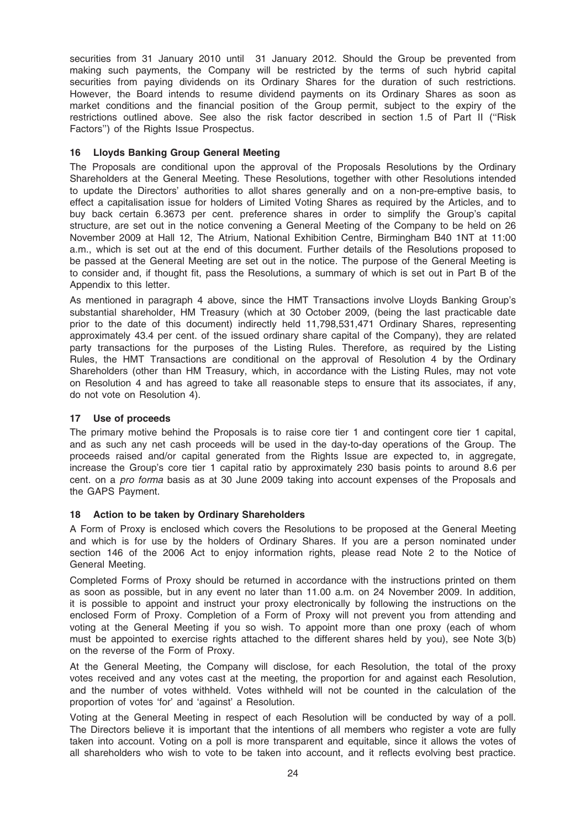securities from 31 January 2010 until 31 January 2012. Should the Group be prevented from making such payments, the Company will be restricted by the terms of such hybrid capital securities from paying dividends on its Ordinary Shares for the duration of such restrictions. However, the Board intends to resume dividend payments on its Ordinary Shares as soon as market conditions and the financial position of the Group permit, subject to the expiry of the restrictions outlined above. See also the risk factor described in section 1.5 of Part II (''Risk Factors'') of the Rights Issue Prospectus.

### 16 Lloyds Banking Group General Meeting

The Proposals are conditional upon the approval of the Proposals Resolutions by the Ordinary Shareholders at the General Meeting. These Resolutions, together with other Resolutions intended to update the Directors' authorities to allot shares generally and on a non-pre-emptive basis, to effect a capitalisation issue for holders of Limited Voting Shares as required by the Articles, and to buy back certain 6.3673 per cent. preference shares in order to simplify the Group's capital structure, are set out in the notice convening a General Meeting of the Company to be held on 26 November 2009 at Hall 12, The Atrium, National Exhibition Centre, Birmingham B40 1NT at 11:00 a.m., which is set out at the end of this document. Further details of the Resolutions proposed to be passed at the General Meeting are set out in the notice. The purpose of the General Meeting is to consider and, if thought fit, pass the Resolutions, a summary of which is set out in Part B of the Appendix to this letter.

As mentioned in paragraph 4 above, since the HMT Transactions involve Lloyds Banking Group's substantial shareholder, HM Treasury (which at 30 October 2009, (being the last practicable date prior to the date of this document) indirectly held 11,798,531,471 Ordinary Shares, representing approximately 43.4 per cent. of the issued ordinary share capital of the Company), they are related party transactions for the purposes of the Listing Rules. Therefore, as required by the Listing Rules, the HMT Transactions are conditional on the approval of Resolution 4 by the Ordinary Shareholders (other than HM Treasury, which, in accordance with the Listing Rules, may not vote on Resolution 4 and has agreed to take all reasonable steps to ensure that its associates, if any, do not vote on Resolution 4).

### 17 Use of proceeds

The primary motive behind the Proposals is to raise core tier 1 and contingent core tier 1 capital, and as such any net cash proceeds will be used in the day-to-day operations of the Group. The proceeds raised and/or capital generated from the Rights Issue are expected to, in aggregate, increase the Group's core tier 1 capital ratio by approximately 230 basis points to around 8.6 per cent. on a pro forma basis as at 30 June 2009 taking into account expenses of the Proposals and the GAPS Payment.

### 18 Action to be taken by Ordinary Shareholders

A Form of Proxy is enclosed which covers the Resolutions to be proposed at the General Meeting and which is for use by the holders of Ordinary Shares. If you are a person nominated under section 146 of the 2006 Act to enjoy information rights, please read Note 2 to the Notice of General Meeting.

Completed Forms of Proxy should be returned in accordance with the instructions printed on them as soon as possible, but in any event no later than 11.00 a.m. on 24 November 2009. In addition, it is possible to appoint and instruct your proxy electronically by following the instructions on the enclosed Form of Proxy. Completion of a Form of Proxy will not prevent you from attending and voting at the General Meeting if you so wish. To appoint more than one proxy (each of whom must be appointed to exercise rights attached to the different shares held by you), see Note 3(b) on the reverse of the Form of Proxy.

At the General Meeting, the Company will disclose, for each Resolution, the total of the proxy votes received and any votes cast at the meeting, the proportion for and against each Resolution, and the number of votes withheld. Votes withheld will not be counted in the calculation of the proportion of votes 'for' and 'against' a Resolution.

Voting at the General Meeting in respect of each Resolution will be conducted by way of a poll. The Directors believe it is important that the intentions of all members who register a vote are fully taken into account. Voting on a poll is more transparent and equitable, since it allows the votes of all shareholders who wish to vote to be taken into account, and it reflects evolving best practice.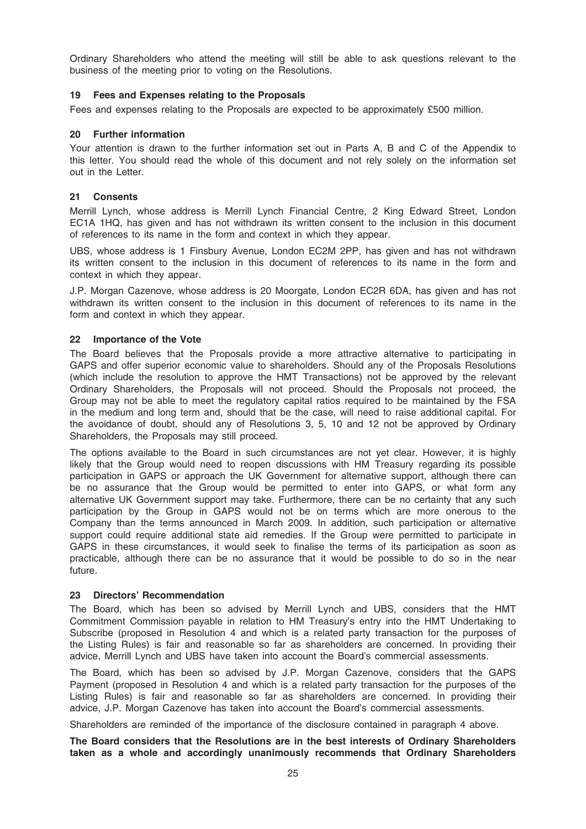Ordinary Shareholders who attend the meeting will still be able to ask questions relevant to the business of the meeting prior to voting on the Resolutions.

### 19 Fees and Expenses relating to the Proposals

Fees and expenses relating to the Proposals are expected to be approximately £500 million.

### 20 Further information

Your attention is drawn to the further information set out in Parts A, B and C of the Appendix to this letter. You should read the whole of this document and not rely solely on the information set out in the Letter.

### 21 Consents

Merrill Lynch, whose address is Merrill Lynch Financial Centre, 2 King Edward Street, London EC1A 1HQ, has given and has not withdrawn its written consent to the inclusion in this document of references to its name in the form and context in which they appear.

UBS, whose address is 1 Finsbury Avenue, London EC2M 2PP, has given and has not withdrawn its written consent to the inclusion in this document of references to its name in the form and context in which they appear.

J.P. Morgan Cazenove, whose address is 20 Moorgate, London EC2R 6DA, has given and has not withdrawn its written consent to the inclusion in this document of references to its name in the form and context in which they appear.

### 22 Importance of the Vote

The Board believes that the Proposals provide a more attractive alternative to participating in GAPS and offer superior economic value to shareholders. Should any of the Proposals Resolutions (which include the resolution to approve the HMT Transactions) not be approved by the relevant Ordinary Shareholders, the Proposals will not proceed. Should the Proposals not proceed, the Group may not be able to meet the regulatory capital ratios required to be maintained by the FSA in the medium and long term and, should that be the case, will need to raise additional capital. For the avoidance of doubt, should any of Resolutions 3, 5, 10 and 12 not be approved by Ordinary Shareholders, the Proposals may still proceed.

The options available to the Board in such circumstances are not yet clear. However, it is highly likely that the Group would need to reopen discussions with HM Treasury regarding its possible participation in GAPS or approach the UK Government for alternative support, although there can be no assurance that the Group would be permitted to enter into GAPS, or what form any alternative UK Government support may take. Furthermore, there can be no certainty that any such participation by the Group in GAPS would not be on terms which are more onerous to the Company than the terms announced in March 2009. In addition, such participation or alternative support could require additional state aid remedies. If the Group were permitted to participate in GAPS in these circumstances, it would seek to finalise the terms of its participation as soon as practicable, although there can be no assurance that it would be possible to do so in the near future.

### 23 Directors' Recommendation

The Board, which has been so advised by Merrill Lynch and UBS, considers that the HMT Commitment Commission payable in relation to HM Treasury's entry into the HMT Undertaking to Subscribe (proposed in Resolution 4 and which is a related party transaction for the purposes of the Listing Rules) is fair and reasonable so far as shareholders are concerned. In providing their advice, Merrill Lynch and UBS have taken into account the Board's commercial assessments.

The Board, which has been so advised by J.P. Morgan Cazenove, considers that the GAPS Payment (proposed in Resolution 4 and which is a related party transaction for the purposes of the Listing Rules) is fair and reasonable so far as shareholders are concerned. In providing their advice, J.P. Morgan Cazenove has taken into account the Board's commercial assessments.

Shareholders are reminded of the importance of the disclosure contained in paragraph 4 above.

The Board considers that the Resolutions are in the best interests of Ordinary Shareholders taken as a whole and accordingly unanimously recommends that Ordinary Shareholders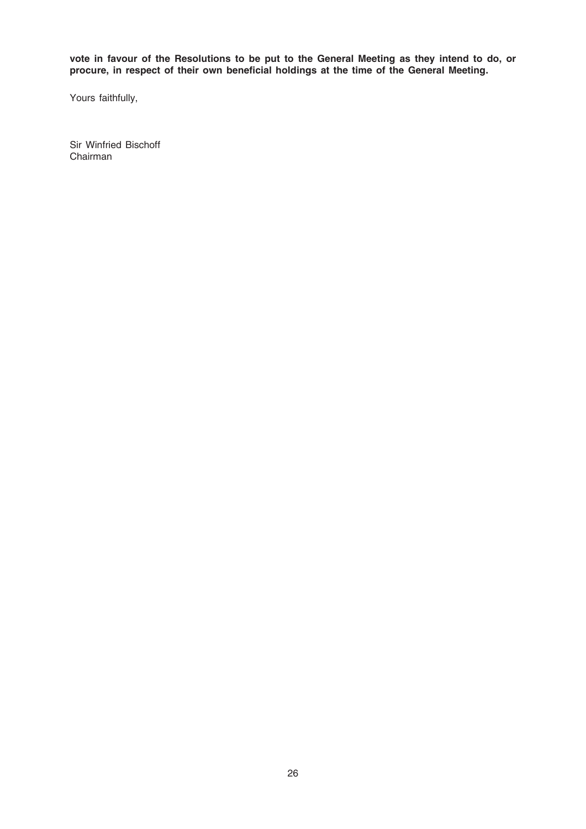vote in favour of the Resolutions to be put to the General Meeting as they intend to do, or procure, in respect of their own beneficial holdings at the time of the General Meeting.

Yours faithfully,

Sir Winfried Bischoff Chairman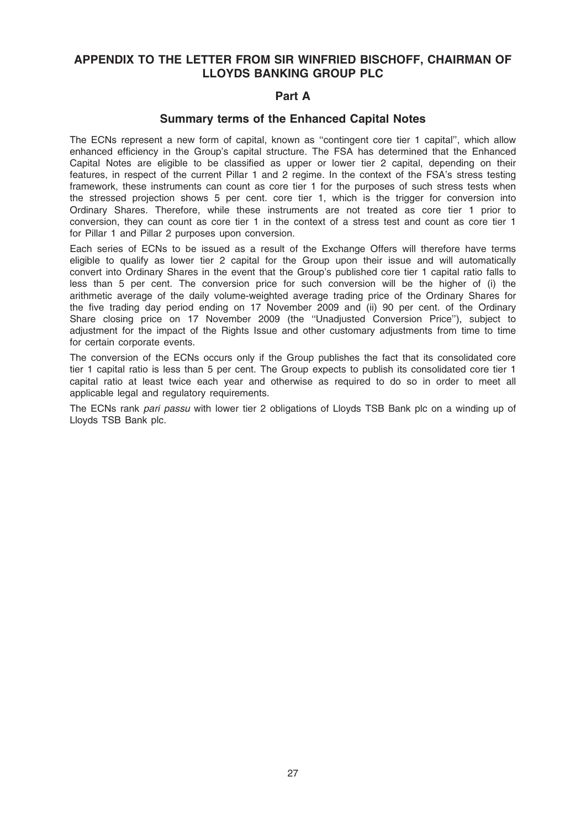### APPENDIX TO THE LETTER FROM SIR WINFRIED BISCHOFF, CHAIRMAN OF LLOYDS BANKING GROUP PLC

### Part A

### Summary terms of the Enhanced Capital Notes

The ECNs represent a new form of capital, known as ''contingent core tier 1 capital'', which allow enhanced efficiency in the Group's capital structure. The FSA has determined that the Enhanced Capital Notes are eligible to be classified as upper or lower tier 2 capital, depending on their features, in respect of the current Pillar 1 and 2 regime. In the context of the FSA's stress testing framework, these instruments can count as core tier 1 for the purposes of such stress tests when the stressed projection shows 5 per cent. core tier 1, which is the trigger for conversion into Ordinary Shares. Therefore, while these instruments are not treated as core tier 1 prior to conversion, they can count as core tier 1 in the context of a stress test and count as core tier 1 for Pillar 1 and Pillar 2 purposes upon conversion.

Each series of ECNs to be issued as a result of the Exchange Offers will therefore have terms eligible to qualify as lower tier 2 capital for the Group upon their issue and will automatically convert into Ordinary Shares in the event that the Group's published core tier 1 capital ratio falls to less than 5 per cent. The conversion price for such conversion will be the higher of (i) the arithmetic average of the daily volume-weighted average trading price of the Ordinary Shares for the five trading day period ending on 17 November 2009 and (ii) 90 per cent. of the Ordinary Share closing price on 17 November 2009 (the ''Unadjusted Conversion Price''), subject to adjustment for the impact of the Rights Issue and other customary adjustments from time to time for certain corporate events.

The conversion of the ECNs occurs only if the Group publishes the fact that its consolidated core tier 1 capital ratio is less than 5 per cent. The Group expects to publish its consolidated core tier 1 capital ratio at least twice each year and otherwise as required to do so in order to meet all applicable legal and regulatory requirements.

The ECNs rank pari passu with lower tier 2 obligations of Lloyds TSB Bank plc on a winding up of Lloyds TSB Bank plc.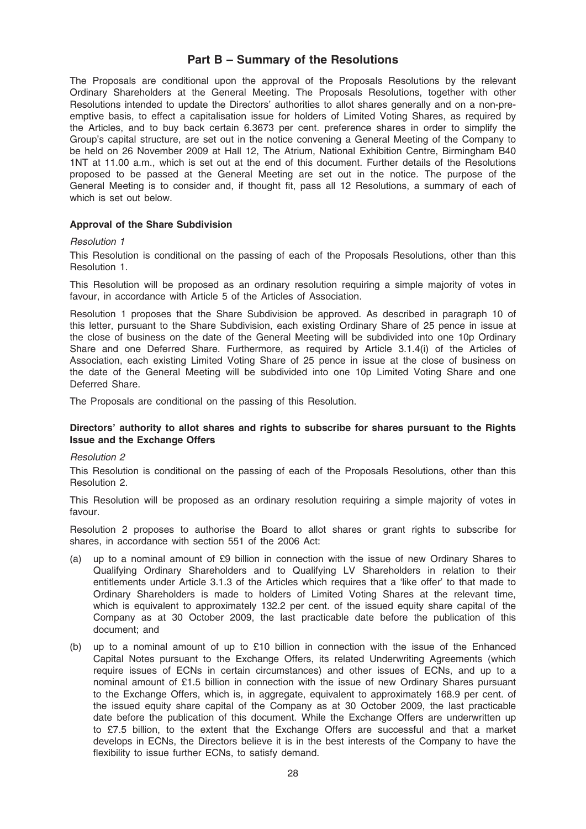### Part B – Summary of the Resolutions

The Proposals are conditional upon the approval of the Proposals Resolutions by the relevant Ordinary Shareholders at the General Meeting. The Proposals Resolutions, together with other Resolutions intended to update the Directors' authorities to allot shares generally and on a non-preemptive basis, to effect a capitalisation issue for holders of Limited Voting Shares, as required by the Articles, and to buy back certain 6.3673 per cent. preference shares in order to simplify the Group's capital structure, are set out in the notice convening a General Meeting of the Company to be held on 26 November 2009 at Hall 12, The Atrium, National Exhibition Centre, Birmingham B40 1NT at 11.00 a.m., which is set out at the end of this document. Further details of the Resolutions proposed to be passed at the General Meeting are set out in the notice. The purpose of the General Meeting is to consider and, if thought fit, pass all 12 Resolutions, a summary of each of which is set out below.

### Approval of the Share Subdivision

### Resolution 1

This Resolution is conditional on the passing of each of the Proposals Resolutions, other than this Resolution 1.

This Resolution will be proposed as an ordinary resolution requiring a simple majority of votes in favour, in accordance with Article 5 of the Articles of Association.

Resolution 1 proposes that the Share Subdivision be approved. As described in paragraph 10 of this letter, pursuant to the Share Subdivision, each existing Ordinary Share of 25 pence in issue at the close of business on the date of the General Meeting will be subdivided into one 10p Ordinary Share and one Deferred Share. Furthermore, as required by Article 3.1.4(i) of the Articles of Association, each existing Limited Voting Share of 25 pence in issue at the close of business on the date of the General Meeting will be subdivided into one 10p Limited Voting Share and one Deferred Share.

The Proposals are conditional on the passing of this Resolution.

### Directors' authority to allot shares and rights to subscribe for shares pursuant to the Rights Issue and the Exchange Offers

### Resolution 2

This Resolution is conditional on the passing of each of the Proposals Resolutions, other than this Resolution 2.

This Resolution will be proposed as an ordinary resolution requiring a simple majority of votes in favour.

Resolution 2 proposes to authorise the Board to allot shares or grant rights to subscribe for shares, in accordance with section 551 of the 2006 Act:

- (a) up to a nominal amount of £9 billion in connection with the issue of new Ordinary Shares to Qualifying Ordinary Shareholders and to Qualifying LV Shareholders in relation to their entitlements under Article 3.1.3 of the Articles which requires that a 'like offer' to that made to Ordinary Shareholders is made to holders of Limited Voting Shares at the relevant time, which is equivalent to approximately 132.2 per cent. of the issued equity share capital of the Company as at 30 October 2009, the last practicable date before the publication of this document; and
- (b) up to a nominal amount of up to £10 billion in connection with the issue of the Enhanced Capital Notes pursuant to the Exchange Offers, its related Underwriting Agreements (which require issues of ECNs in certain circumstances) and other issues of ECNs, and up to a nominal amount of £1.5 billion in connection with the issue of new Ordinary Shares pursuant to the Exchange Offers, which is, in aggregate, equivalent to approximately 168.9 per cent. of the issued equity share capital of the Company as at 30 October 2009, the last practicable date before the publication of this document. While the Exchange Offers are underwritten up to £7.5 billion, to the extent that the Exchange Offers are successful and that a market develops in ECNs, the Directors believe it is in the best interests of the Company to have the flexibility to issue further ECNs, to satisfy demand.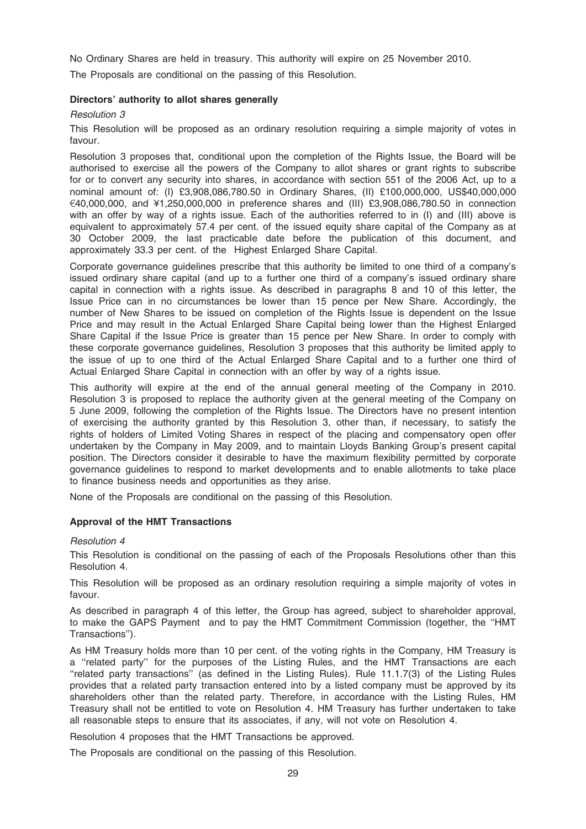No Ordinary Shares are held in treasury. This authority will expire on 25 November 2010.

The Proposals are conditional on the passing of this Resolution.

### Directors' authority to allot shares generally

### Resolution 3

This Resolution will be proposed as an ordinary resolution requiring a simple majority of votes in favour.

Resolution 3 proposes that, conditional upon the completion of the Rights Issue, the Board will be authorised to exercise all the powers of the Company to allot shares or grant rights to subscribe for or to convert any security into shares, in accordance with section 551 of the 2006 Act, up to a nominal amount of: (I) £3,908,086,780.50 in Ordinary Shares, (II) £100,000,000, US\$40,000,000  $€40,000,000$ , and ¥1,250,000,000 in preference shares and (III) £3,908,086,780.50 in connection with an offer by way of a rights issue. Each of the authorities referred to in (I) and (III) above is equivalent to approximately 57.4 per cent. of the issued equity share capital of the Company as at 30 October 2009, the last practicable date before the publication of this document, and approximately 33.3 per cent. of the Highest Enlarged Share Capital.

Corporate governance guidelines prescribe that this authority be limited to one third of a company's issued ordinary share capital (and up to a further one third of a company's issued ordinary share capital in connection with a rights issue. As described in paragraphs 8 and 10 of this letter, the Issue Price can in no circumstances be lower than 15 pence per New Share. Accordingly, the number of New Shares to be issued on completion of the Rights Issue is dependent on the Issue Price and may result in the Actual Enlarged Share Capital being lower than the Highest Enlarged Share Capital if the Issue Price is greater than 15 pence per New Share. In order to comply with these corporate governance guidelines, Resolution 3 proposes that this authority be limited apply to the issue of up to one third of the Actual Enlarged Share Capital and to a further one third of Actual Enlarged Share Capital in connection with an offer by way of a rights issue.

This authority will expire at the end of the annual general meeting of the Company in 2010. Resolution 3 is proposed to replace the authority given at the general meeting of the Company on 5 June 2009, following the completion of the Rights Issue. The Directors have no present intention of exercising the authority granted by this Resolution 3, other than, if necessary, to satisfy the rights of holders of Limited Voting Shares in respect of the placing and compensatory open offer undertaken by the Company in May 2009, and to maintain Lloyds Banking Group's present capital position. The Directors consider it desirable to have the maximum flexibility permitted by corporate governance guidelines to respond to market developments and to enable allotments to take place to finance business needs and opportunities as they arise.

None of the Proposals are conditional on the passing of this Resolution.

### Approval of the HMT Transactions

### Resolution 4

This Resolution is conditional on the passing of each of the Proposals Resolutions other than this Resolution 4.

This Resolution will be proposed as an ordinary resolution requiring a simple majority of votes in favour.

As described in paragraph 4 of this letter, the Group has agreed, subject to shareholder approval, to make the GAPS Payment and to pay the HMT Commitment Commission (together, the ''HMT Transactions'').

As HM Treasury holds more than 10 per cent. of the voting rights in the Company, HM Treasury is a ''related party'' for the purposes of the Listing Rules, and the HMT Transactions are each ''related party transactions'' (as defined in the Listing Rules). Rule 11.1.7(3) of the Listing Rules provides that a related party transaction entered into by a listed company must be approved by its shareholders other than the related party. Therefore, in accordance with the Listing Rules, HM Treasury shall not be entitled to vote on Resolution 4. HM Treasury has further undertaken to take all reasonable steps to ensure that its associates, if any, will not vote on Resolution 4.

Resolution 4 proposes that the HMT Transactions be approved.

The Proposals are conditional on the passing of this Resolution.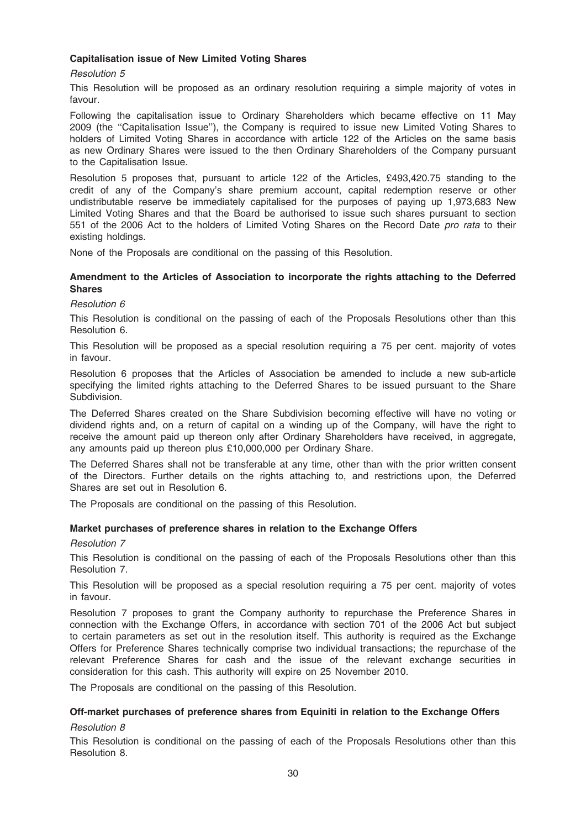### Capitalisation issue of New Limited Voting Shares

### Resolution 5

This Resolution will be proposed as an ordinary resolution requiring a simple majority of votes in favour.

Following the capitalisation issue to Ordinary Shareholders which became effective on 11 May 2009 (the ''Capitalisation Issue''), the Company is required to issue new Limited Voting Shares to holders of Limited Voting Shares in accordance with article 122 of the Articles on the same basis as new Ordinary Shares were issued to the then Ordinary Shareholders of the Company pursuant to the Capitalisation Issue.

Resolution 5 proposes that, pursuant to article 122 of the Articles, £493,420.75 standing to the credit of any of the Company's share premium account, capital redemption reserve or other undistributable reserve be immediately capitalised for the purposes of paying up 1,973,683 New Limited Voting Shares and that the Board be authorised to issue such shares pursuant to section 551 of the 2006 Act to the holders of Limited Voting Shares on the Record Date pro rata to their existing holdings.

None of the Proposals are conditional on the passing of this Resolution.

### Amendment to the Articles of Association to incorporate the rights attaching to the Deferred Shares

### Resolution 6

This Resolution is conditional on the passing of each of the Proposals Resolutions other than this Resolution 6.

This Resolution will be proposed as a special resolution requiring a 75 per cent. majority of votes in favour.

Resolution 6 proposes that the Articles of Association be amended to include a new sub-article specifying the limited rights attaching to the Deferred Shares to be issued pursuant to the Share Subdivision.

The Deferred Shares created on the Share Subdivision becoming effective will have no voting or dividend rights and, on a return of capital on a winding up of the Company, will have the right to receive the amount paid up thereon only after Ordinary Shareholders have received, in aggregate, any amounts paid up thereon plus £10,000,000 per Ordinary Share.

The Deferred Shares shall not be transferable at any time, other than with the prior written consent of the Directors. Further details on the rights attaching to, and restrictions upon, the Deferred Shares are set out in Resolution 6.

The Proposals are conditional on the passing of this Resolution.

### Market purchases of preference shares in relation to the Exchange Offers

### Resolution 7

This Resolution is conditional on the passing of each of the Proposals Resolutions other than this Resolution 7.

This Resolution will be proposed as a special resolution requiring a 75 per cent. majority of votes in favour.

Resolution 7 proposes to grant the Company authority to repurchase the Preference Shares in connection with the Exchange Offers, in accordance with section 701 of the 2006 Act but subject to certain parameters as set out in the resolution itself. This authority is required as the Exchange Offers for Preference Shares technically comprise two individual transactions; the repurchase of the relevant Preference Shares for cash and the issue of the relevant exchange securities in consideration for this cash. This authority will expire on 25 November 2010.

The Proposals are conditional on the passing of this Resolution.

### Off-market purchases of preference shares from Equiniti in relation to the Exchange Offers

### Resolution 8

This Resolution is conditional on the passing of each of the Proposals Resolutions other than this Resolution 8.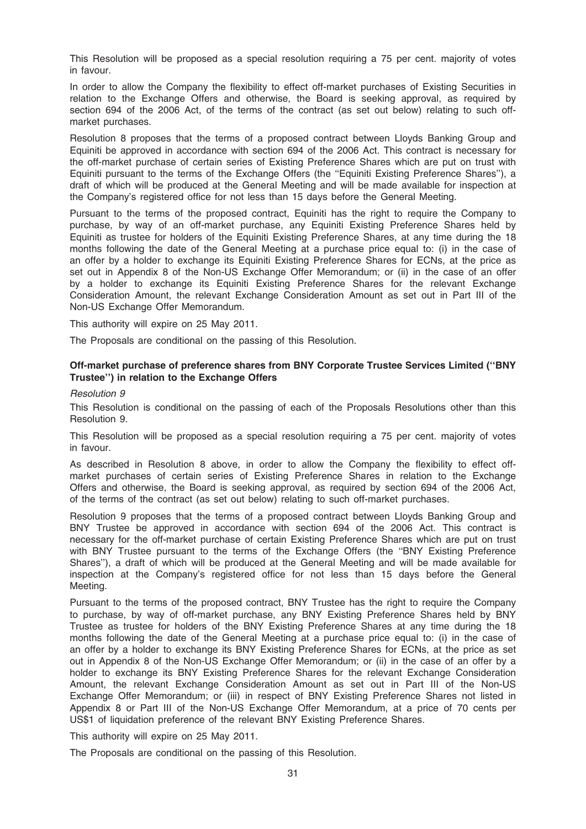This Resolution will be proposed as a special resolution requiring a 75 per cent. majority of votes in favour.

In order to allow the Company the flexibility to effect off-market purchases of Existing Securities in relation to the Exchange Offers and otherwise, the Board is seeking approval, as required by section 694 of the 2006 Act, of the terms of the contract (as set out below) relating to such offmarket purchases.

Resolution 8 proposes that the terms of a proposed contract between Lloyds Banking Group and Equiniti be approved in accordance with section 694 of the 2006 Act. This contract is necessary for the off-market purchase of certain series of Existing Preference Shares which are put on trust with Equiniti pursuant to the terms of the Exchange Offers (the ''Equiniti Existing Preference Shares''), a draft of which will be produced at the General Meeting and will be made available for inspection at the Company's registered office for not less than 15 days before the General Meeting.

Pursuant to the terms of the proposed contract, Equiniti has the right to require the Company to purchase, by way of an off-market purchase, any Equiniti Existing Preference Shares held by Equiniti as trustee for holders of the Equiniti Existing Preference Shares, at any time during the 18 months following the date of the General Meeting at a purchase price equal to: (i) in the case of an offer by a holder to exchange its Equiniti Existing Preference Shares for ECNs, at the price as set out in Appendix 8 of the Non-US Exchange Offer Memorandum; or (ii) in the case of an offer by a holder to exchange its Equiniti Existing Preference Shares for the relevant Exchange Consideration Amount, the relevant Exchange Consideration Amount as set out in Part III of the Non-US Exchange Offer Memorandum.

This authority will expire on 25 May 2011.

The Proposals are conditional on the passing of this Resolution.

### Off-market purchase of preference shares from BNY Corporate Trustee Services Limited (''BNY Trustee'') in relation to the Exchange Offers

#### Resolution 9

This Resolution is conditional on the passing of each of the Proposals Resolutions other than this Resolution 9.

This Resolution will be proposed as a special resolution requiring a 75 per cent. majority of votes in favour.

As described in Resolution 8 above, in order to allow the Company the flexibility to effect offmarket purchases of certain series of Existing Preference Shares in relation to the Exchange Offers and otherwise, the Board is seeking approval, as required by section 694 of the 2006 Act, of the terms of the contract (as set out below) relating to such off-market purchases.

Resolution 9 proposes that the terms of a proposed contract between Lloyds Banking Group and BNY Trustee be approved in accordance with section 694 of the 2006 Act. This contract is necessary for the off-market purchase of certain Existing Preference Shares which are put on trust with BNY Trustee pursuant to the terms of the Exchange Offers (the "BNY Existing Preference Shares''), a draft of which will be produced at the General Meeting and will be made available for inspection at the Company's registered office for not less than 15 days before the General Meeting.

Pursuant to the terms of the proposed contract, BNY Trustee has the right to require the Company to purchase, by way of off-market purchase, any BNY Existing Preference Shares held by BNY Trustee as trustee for holders of the BNY Existing Preference Shares at any time during the 18 months following the date of the General Meeting at a purchase price equal to: (i) in the case of an offer by a holder to exchange its BNY Existing Preference Shares for ECNs, at the price as set out in Appendix 8 of the Non-US Exchange Offer Memorandum; or (ii) in the case of an offer by a holder to exchange its BNY Existing Preference Shares for the relevant Exchange Consideration Amount, the relevant Exchange Consideration Amount as set out in Part III of the Non-US Exchange Offer Memorandum; or (iii) in respect of BNY Existing Preference Shares not listed in Appendix 8 or Part III of the Non-US Exchange Offer Memorandum, at a price of 70 cents per US\$1 of liquidation preference of the relevant BNY Existing Preference Shares.

This authority will expire on 25 May 2011.

The Proposals are conditional on the passing of this Resolution.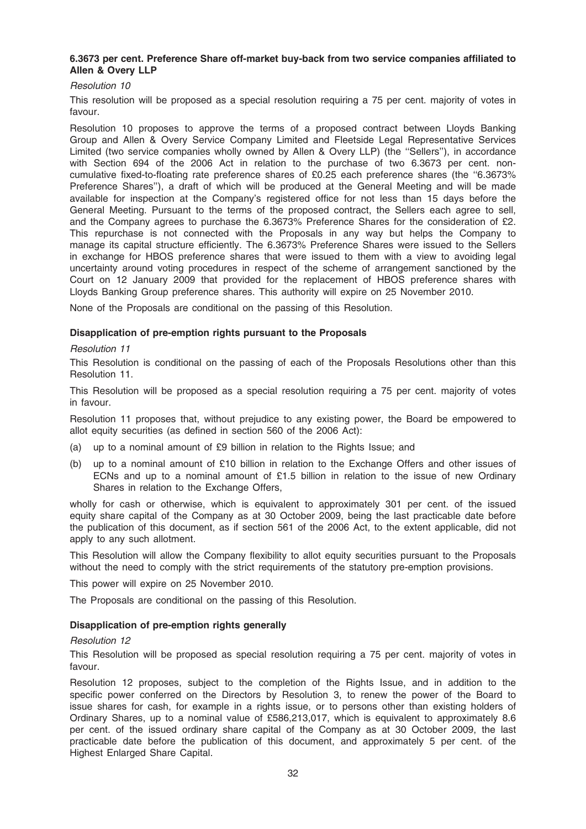### 6.3673 per cent. Preference Share off-market buy-back from two service companies affiliated to Allen & Overy LLP

### Resolution 10

This resolution will be proposed as a special resolution requiring a 75 per cent. majority of votes in favour.

Resolution 10 proposes to approve the terms of a proposed contract between Lloyds Banking Group and Allen & Overy Service Company Limited and Fleetside Legal Representative Services Limited (two service companies wholly owned by Allen & Overy LLP) (the ''Sellers''), in accordance with Section 694 of the 2006 Act in relation to the purchase of two 6.3673 per cent. noncumulative fixed-to-floating rate preference shares of £0.25 each preference shares (the ''6.3673% Preference Shares''), a draft of which will be produced at the General Meeting and will be made available for inspection at the Company's registered office for not less than 15 days before the General Meeting. Pursuant to the terms of the proposed contract, the Sellers each agree to sell, and the Company agrees to purchase the 6.3673% Preference Shares for the consideration of £2. This repurchase is not connected with the Proposals in any way but helps the Company to manage its capital structure efficiently. The 6.3673% Preference Shares were issued to the Sellers in exchange for HBOS preference shares that were issued to them with a view to avoiding legal uncertainty around voting procedures in respect of the scheme of arrangement sanctioned by the Court on 12 January 2009 that provided for the replacement of HBOS preference shares with Lloyds Banking Group preference shares. This authority will expire on 25 November 2010.

None of the Proposals are conditional on the passing of this Resolution.

### Disapplication of pre-emption rights pursuant to the Proposals

### Resolution 11

This Resolution is conditional on the passing of each of the Proposals Resolutions other than this Resolution 11.

This Resolution will be proposed as a special resolution requiring a 75 per cent. majority of votes in favour.

Resolution 11 proposes that, without prejudice to any existing power, the Board be empowered to allot equity securities (as defined in section 560 of the 2006 Act):

- (a) up to a nominal amount of £9 billion in relation to the Rights Issue; and
- (b) up to a nominal amount of £10 billion in relation to the Exchange Offers and other issues of ECNs and up to a nominal amount of £1.5 billion in relation to the issue of new Ordinary Shares in relation to the Exchange Offers,

wholly for cash or otherwise, which is equivalent to approximately 301 per cent. of the issued equity share capital of the Company as at 30 October 2009, being the last practicable date before the publication of this document, as if section 561 of the 2006 Act, to the extent applicable, did not apply to any such allotment.

This Resolution will allow the Company flexibility to allot equity securities pursuant to the Proposals without the need to comply with the strict requirements of the statutory pre-emption provisions.

This power will expire on 25 November 2010.

The Proposals are conditional on the passing of this Resolution.

### Disapplication of pre-emption rights generally

### Resolution 12

This Resolution will be proposed as special resolution requiring a 75 per cent. majority of votes in favour.

Resolution 12 proposes, subject to the completion of the Rights Issue, and in addition to the specific power conferred on the Directors by Resolution 3, to renew the power of the Board to issue shares for cash, for example in a rights issue, or to persons other than existing holders of Ordinary Shares, up to a nominal value of £586,213,017, which is equivalent to approximately 8.6 per cent. of the issued ordinary share capital of the Company as at 30 October 2009, the last practicable date before the publication of this document, and approximately 5 per cent. of the Highest Enlarged Share Capital.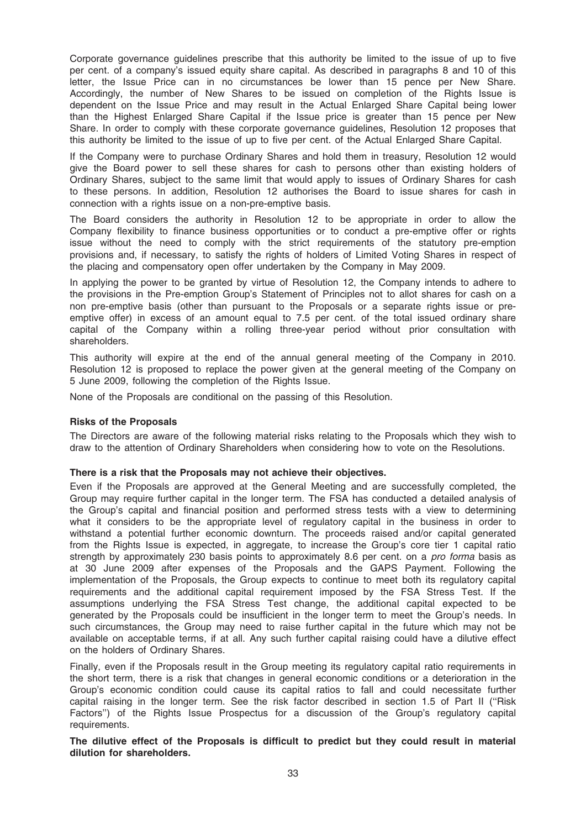Corporate governance guidelines prescribe that this authority be limited to the issue of up to five per cent. of a company's issued equity share capital. As described in paragraphs 8 and 10 of this letter, the Issue Price can in no circumstances be lower than 15 pence per New Share. Accordingly, the number of New Shares to be issued on completion of the Rights Issue is dependent on the Issue Price and may result in the Actual Enlarged Share Capital being lower than the Highest Enlarged Share Capital if the Issue price is greater than 15 pence per New Share. In order to comply with these corporate governance guidelines, Resolution 12 proposes that this authority be limited to the issue of up to five per cent. of the Actual Enlarged Share Capital.

If the Company were to purchase Ordinary Shares and hold them in treasury, Resolution 12 would give the Board power to sell these shares for cash to persons other than existing holders of Ordinary Shares, subject to the same limit that would apply to issues of Ordinary Shares for cash to these persons. In addition, Resolution 12 authorises the Board to issue shares for cash in connection with a rights issue on a non-pre-emptive basis.

The Board considers the authority in Resolution 12 to be appropriate in order to allow the Company flexibility to finance business opportunities or to conduct a pre-emptive offer or rights issue without the need to comply with the strict requirements of the statutory pre-emption provisions and, if necessary, to satisfy the rights of holders of Limited Voting Shares in respect of the placing and compensatory open offer undertaken by the Company in May 2009.

In applying the power to be granted by virtue of Resolution 12, the Company intends to adhere to the provisions in the Pre-emption Group's Statement of Principles not to allot shares for cash on a non pre-emptive basis (other than pursuant to the Proposals or a separate rights issue or preemptive offer) in excess of an amount equal to 7.5 per cent. of the total issued ordinary share capital of the Company within a rolling three-year period without prior consultation with shareholders.

This authority will expire at the end of the annual general meeting of the Company in 2010. Resolution 12 is proposed to replace the power given at the general meeting of the Company on 5 June 2009, following the completion of the Rights Issue.

None of the Proposals are conditional on the passing of this Resolution.

### Risks of the Proposals

The Directors are aware of the following material risks relating to the Proposals which they wish to draw to the attention of Ordinary Shareholders when considering how to vote on the Resolutions.

### There is a risk that the Proposals may not achieve their objectives.

Even if the Proposals are approved at the General Meeting and are successfully completed, the Group may require further capital in the longer term. The FSA has conducted a detailed analysis of the Group's capital and financial position and performed stress tests with a view to determining what it considers to be the appropriate level of regulatory capital in the business in order to withstand a potential further economic downturn. The proceeds raised and/or capital generated from the Rights Issue is expected, in aggregate, to increase the Group's core tier 1 capital ratio strength by approximately 230 basis points to approximately 8.6 per cent. on a *pro forma* basis as at 30 June 2009 after expenses of the Proposals and the GAPS Payment. Following the implementation of the Proposals, the Group expects to continue to meet both its regulatory capital requirements and the additional capital requirement imposed by the FSA Stress Test. If the assumptions underlying the FSA Stress Test change, the additional capital expected to be generated by the Proposals could be insufficient in the longer term to meet the Group's needs. In such circumstances, the Group may need to raise further capital in the future which may not be available on acceptable terms, if at all. Any such further capital raising could have a dilutive effect on the holders of Ordinary Shares.

Finally, even if the Proposals result in the Group meeting its regulatory capital ratio requirements in the short term, there is a risk that changes in general economic conditions or a deterioration in the Group's economic condition could cause its capital ratios to fall and could necessitate further capital raising in the longer term. See the risk factor described in section 1.5 of Part II (''Risk Factors'') of the Rights Issue Prospectus for a discussion of the Group's regulatory capital requirements.

### The dilutive effect of the Proposals is difficult to predict but they could result in material dilution for shareholders.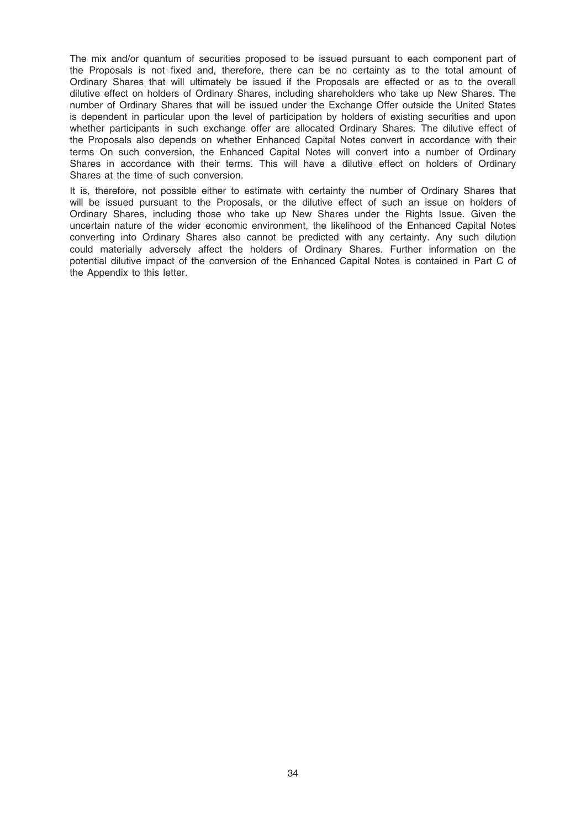The mix and/or quantum of securities proposed to be issued pursuant to each component part of the Proposals is not fixed and, therefore, there can be no certainty as to the total amount of Ordinary Shares that will ultimately be issued if the Proposals are effected or as to the overall dilutive effect on holders of Ordinary Shares, including shareholders who take up New Shares. The number of Ordinary Shares that will be issued under the Exchange Offer outside the United States is dependent in particular upon the level of participation by holders of existing securities and upon whether participants in such exchange offer are allocated Ordinary Shares. The dilutive effect of the Proposals also depends on whether Enhanced Capital Notes convert in accordance with their terms On such conversion, the Enhanced Capital Notes will convert into a number of Ordinary Shares in accordance with their terms. This will have a dilutive effect on holders of Ordinary Shares at the time of such conversion.

It is, therefore, not possible either to estimate with certainty the number of Ordinary Shares that will be issued pursuant to the Proposals, or the dilutive effect of such an issue on holders of Ordinary Shares, including those who take up New Shares under the Rights Issue. Given the uncertain nature of the wider economic environment, the likelihood of the Enhanced Capital Notes converting into Ordinary Shares also cannot be predicted with any certainty. Any such dilution could materially adversely affect the holders of Ordinary Shares. Further information on the potential dilutive impact of the conversion of the Enhanced Capital Notes is contained in Part C of the Appendix to this letter.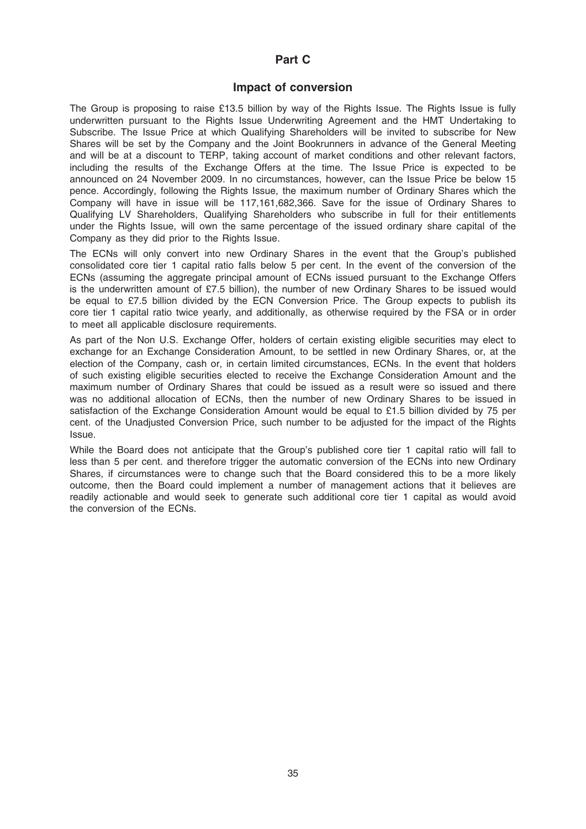### Part C

### Impact of conversion

The Group is proposing to raise £13.5 billion by way of the Rights Issue. The Rights Issue is fully underwritten pursuant to the Rights Issue Underwriting Agreement and the HMT Undertaking to Subscribe. The Issue Price at which Qualifying Shareholders will be invited to subscribe for New Shares will be set by the Company and the Joint Bookrunners in advance of the General Meeting and will be at a discount to TERP, taking account of market conditions and other relevant factors, including the results of the Exchange Offers at the time. The Issue Price is expected to be announced on 24 November 2009. In no circumstances, however, can the Issue Price be below 15 pence. Accordingly, following the Rights Issue, the maximum number of Ordinary Shares which the Company will have in issue will be 117,161,682,366. Save for the issue of Ordinary Shares to Qualifying LV Shareholders, Qualifying Shareholders who subscribe in full for their entitlements under the Rights Issue, will own the same percentage of the issued ordinary share capital of the Company as they did prior to the Rights Issue.

The ECNs will only convert into new Ordinary Shares in the event that the Group's published consolidated core tier 1 capital ratio falls below 5 per cent. In the event of the conversion of the ECNs (assuming the aggregate principal amount of ECNs issued pursuant to the Exchange Offers is the underwritten amount of £7.5 billion), the number of new Ordinary Shares to be issued would be equal to £7.5 billion divided by the ECN Conversion Price. The Group expects to publish its core tier 1 capital ratio twice yearly, and additionally, as otherwise required by the FSA or in order to meet all applicable disclosure requirements.

As part of the Non U.S. Exchange Offer, holders of certain existing eligible securities may elect to exchange for an Exchange Consideration Amount, to be settled in new Ordinary Shares, or, at the election of the Company, cash or, in certain limited circumstances, ECNs. In the event that holders of such existing eligible securities elected to receive the Exchange Consideration Amount and the maximum number of Ordinary Shares that could be issued as a result were so issued and there was no additional allocation of ECNs, then the number of new Ordinary Shares to be issued in satisfaction of the Exchange Consideration Amount would be equal to £1.5 billion divided by 75 per cent. of the Unadjusted Conversion Price, such number to be adjusted for the impact of the Rights Issue.

While the Board does not anticipate that the Group's published core tier 1 capital ratio will fall to less than 5 per cent. and therefore trigger the automatic conversion of the ECNs into new Ordinary Shares, if circumstances were to change such that the Board considered this to be a more likely outcome, then the Board could implement a number of management actions that it believes are readily actionable and would seek to generate such additional core tier 1 capital as would avoid the conversion of the ECNs.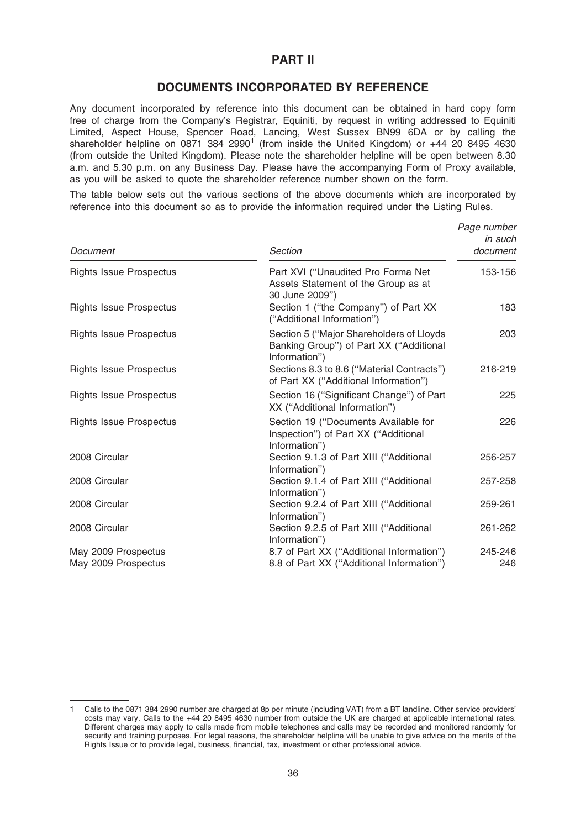### PART II

### DOCUMENTS INCORPORATED BY REFERENCE

Any document incorporated by reference into this document can be obtained in hard copy form free of charge from the Company's Registrar, Equiniti, by request in writing addressed to Equiniti Limited, Aspect House, Spencer Road, Lancing, West Sussex BN99 6DA or by calling the shareholder helpline on 0871 384 2990<sup>1</sup> (from inside the United Kingdom) or  $+44$  20 8495 4630 (from outside the United Kingdom). Please note the shareholder helpline will be open between 8.30 a.m. and 5.30 p.m. on any Business Day. Please have the accompanying Form of Proxy available, as you will be asked to quote the shareholder reference number shown on the form.

The table below sets out the various sections of the above documents which are incorporated by reference into this document so as to provide the information required under the Listing Rules.

| Document                                   | Section                                                                                              | Page number<br>in such<br>document |
|--------------------------------------------|------------------------------------------------------------------------------------------------------|------------------------------------|
| <b>Rights Issue Prospectus</b>             | Part XVI ("Unaudited Pro Forma Net<br>Assets Statement of the Group as at<br>30 June 2009")          | 153-156                            |
| <b>Rights Issue Prospectus</b>             | Section 1 ("the Company") of Part XX<br>("Additional Information")                                   | 183                                |
| <b>Rights Issue Prospectus</b>             | Section 5 ("Major Shareholders of Lloyds<br>Banking Group") of Part XX ("Additional<br>Information") | 203                                |
| <b>Rights Issue Prospectus</b>             | Sections 8.3 to 8.6 ("Material Contracts")<br>of Part XX ("Additional Information")                  | 216-219                            |
| <b>Rights Issue Prospectus</b>             | Section 16 ("Significant Change") of Part<br>XX ("Additional Information")                           | 225                                |
| <b>Rights Issue Prospectus</b>             | Section 19 ("Documents Available for<br>Inspection") of Part XX ("Additional<br>Information")        | 226                                |
| 2008 Circular                              | Section 9.1.3 of Part XIII ("Additional<br>Information")                                             | 256-257                            |
| 2008 Circular                              | Section 9.1.4 of Part XIII ("Additional<br>Information")                                             | 257-258                            |
| 2008 Circular                              | Section 9.2.4 of Part XIII ("Additional<br>Information")                                             | 259-261                            |
| 2008 Circular                              | Section 9.2.5 of Part XIII ("Additional<br>Information")                                             | 261-262                            |
| May 2009 Prospectus<br>May 2009 Prospectus | 8.7 of Part XX ("Additional Information")<br>8.8 of Part XX ("Additional Information")               | 245-246<br>246                     |

<sup>1</sup> Calls to the 0871 384 2990 number are charged at 8p per minute (including VAT) from a BT landline. Other service providers' costs may vary. Calls to the +44 20 8495 4630 number from outside the UK are charged at applicable international rates. Different charges may apply to calls made from mobile telephones and calls may be recorded and monitored randomly for security and training purposes. For legal reasons, the shareholder helpline will be unable to give advice on the merits of the Rights Issue or to provide legal, business, financial, tax, investment or other professional advice.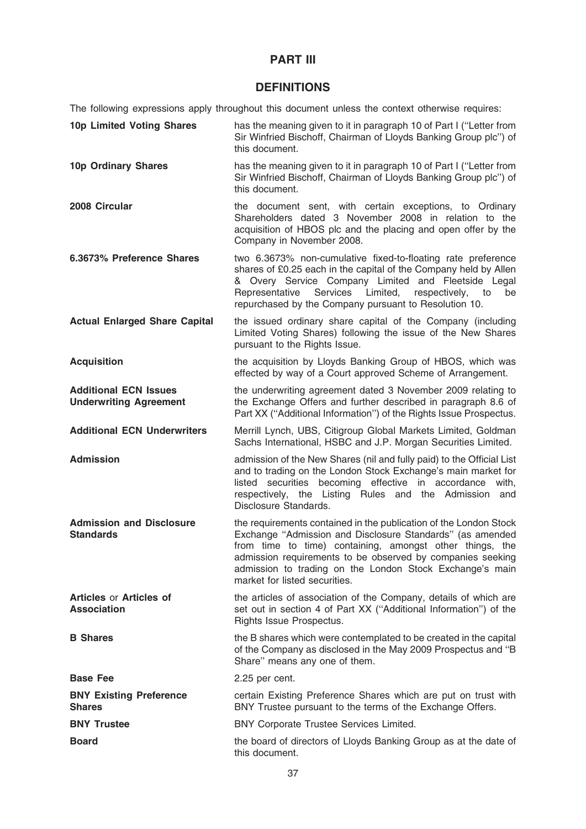# PART III

# **DEFINITIONS**

The following expressions apply throughout this document unless the context otherwise requires:

| 10p Limited Voting Shares                                     | has the meaning given to it in paragraph 10 of Part I ("Letter from<br>Sir Winfried Bischoff, Chairman of Lloyds Banking Group plc") of<br>this document.                                                                                                                                                                                             |
|---------------------------------------------------------------|-------------------------------------------------------------------------------------------------------------------------------------------------------------------------------------------------------------------------------------------------------------------------------------------------------------------------------------------------------|
| 10p Ordinary Shares                                           | has the meaning given to it in paragraph 10 of Part I ("Letter from<br>Sir Winfried Bischoff, Chairman of Lloyds Banking Group plc") of<br>this document.                                                                                                                                                                                             |
| 2008 Circular                                                 | the document sent, with certain exceptions, to Ordinary<br>Shareholders dated 3 November 2008 in relation to the<br>acquisition of HBOS plc and the placing and open offer by the<br>Company in November 2008.                                                                                                                                        |
| 6.3673% Preference Shares                                     | two 6.3673% non-cumulative fixed-to-floating rate preference<br>shares of £0.25 each in the capital of the Company held by Allen<br>& Overy Service Company Limited and Fleetside Legal<br>Services Limited,<br>respectively,<br>Representative<br>to<br>be<br>repurchased by the Company pursuant to Resolution 10.                                  |
| <b>Actual Enlarged Share Capital</b>                          | the issued ordinary share capital of the Company (including<br>Limited Voting Shares) following the issue of the New Shares<br>pursuant to the Rights Issue.                                                                                                                                                                                          |
| <b>Acquisition</b>                                            | the acquisition by Lloyds Banking Group of HBOS, which was<br>effected by way of a Court approved Scheme of Arrangement.                                                                                                                                                                                                                              |
| <b>Additional ECN Issues</b><br><b>Underwriting Agreement</b> | the underwriting agreement dated 3 November 2009 relating to<br>the Exchange Offers and further described in paragraph 8.6 of<br>Part XX ("Additional Information") of the Rights Issue Prospectus.                                                                                                                                                   |
| <b>Additional ECN Underwriters</b>                            | Merrill Lynch, UBS, Citigroup Global Markets Limited, Goldman<br>Sachs International, HSBC and J.P. Morgan Securities Limited.                                                                                                                                                                                                                        |
| <b>Admission</b>                                              | admission of the New Shares (nil and fully paid) to the Official List<br>and to trading on the London Stock Exchange's main market for<br>listed securities becoming effective in accordance with,<br>respectively, the Listing Rules and the Admission and<br>Disclosure Standards.                                                                  |
| <b>Admission and Disclosure</b><br><b>Standards</b>           | the requirements contained in the publication of the London Stock<br>Exchange "Admission and Disclosure Standards" (as amended<br>from time to time) containing, amongst other things, the<br>admission requirements to be observed by companies seeking<br>admission to trading on the London Stock Exchange's main<br>market for listed securities. |
| <b>Articles or Articles of</b><br><b>Association</b>          | the articles of association of the Company, details of which are<br>set out in section 4 of Part XX ("Additional Information") of the<br>Rights Issue Prospectus.                                                                                                                                                                                     |
| <b>B</b> Shares                                               | the B shares which were contemplated to be created in the capital<br>of the Company as disclosed in the May 2009 Prospectus and "B<br>Share" means any one of them.                                                                                                                                                                                   |
| <b>Base Fee</b>                                               | 2.25 per cent.                                                                                                                                                                                                                                                                                                                                        |
| <b>BNY Existing Preference</b><br><b>Shares</b>               | certain Existing Preference Shares which are put on trust with<br>BNY Trustee pursuant to the terms of the Exchange Offers.                                                                                                                                                                                                                           |
| <b>BNY Trustee</b>                                            | BNY Corporate Trustee Services Limited.                                                                                                                                                                                                                                                                                                               |
| <b>Board</b>                                                  | the board of directors of Lloyds Banking Group as at the date of<br>this document.                                                                                                                                                                                                                                                                    |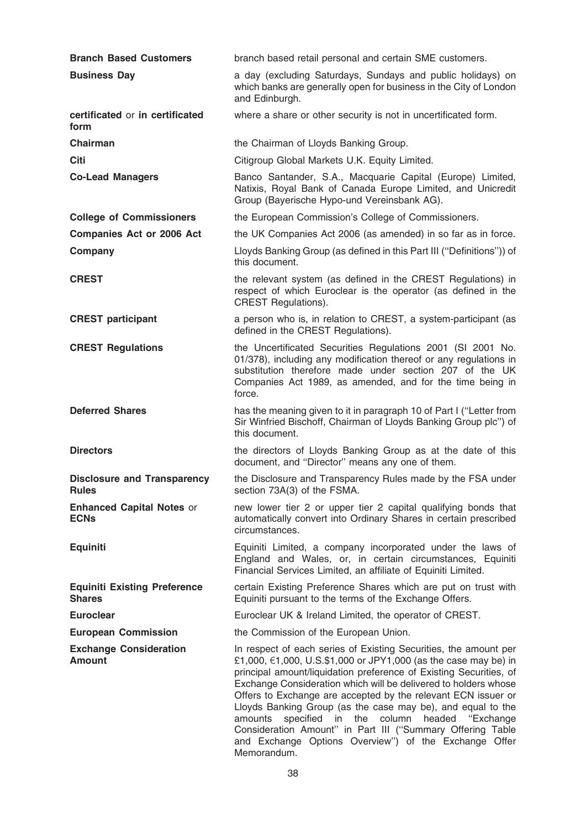| <b>Branch Based Customers</b>                        | branch based retail personal and certain SME customers.                                                                                                                                                                                                                                                                                                                                                                                                                                                                                                                                                         |
|------------------------------------------------------|-----------------------------------------------------------------------------------------------------------------------------------------------------------------------------------------------------------------------------------------------------------------------------------------------------------------------------------------------------------------------------------------------------------------------------------------------------------------------------------------------------------------------------------------------------------------------------------------------------------------|
| <b>Business Day</b>                                  | a day (excluding Saturdays, Sundays and public holidays) on<br>which banks are generally open for business in the City of London<br>and Edinburgh.                                                                                                                                                                                                                                                                                                                                                                                                                                                              |
| certificated or in certificated<br>form              | where a share or other security is not in uncertificated form.                                                                                                                                                                                                                                                                                                                                                                                                                                                                                                                                                  |
| Chairman                                             | the Chairman of Lloyds Banking Group.                                                                                                                                                                                                                                                                                                                                                                                                                                                                                                                                                                           |
| <b>Citi</b>                                          | Citigroup Global Markets U.K. Equity Limited.                                                                                                                                                                                                                                                                                                                                                                                                                                                                                                                                                                   |
| <b>Co-Lead Managers</b>                              | Banco Santander, S.A., Macquarie Capital (Europe) Limited,<br>Natixis, Royal Bank of Canada Europe Limited, and Unicredit<br>Group (Bayerische Hypo-und Vereinsbank AG).                                                                                                                                                                                                                                                                                                                                                                                                                                        |
| <b>College of Commissioners</b>                      | the European Commission's College of Commissioners.                                                                                                                                                                                                                                                                                                                                                                                                                                                                                                                                                             |
| <b>Companies Act or 2006 Act</b>                     | the UK Companies Act 2006 (as amended) in so far as in force.                                                                                                                                                                                                                                                                                                                                                                                                                                                                                                                                                   |
| Company                                              | Lloyds Banking Group (as defined in this Part III ("Definitions")) of<br>this document.                                                                                                                                                                                                                                                                                                                                                                                                                                                                                                                         |
| <b>CREST</b>                                         | the relevant system (as defined in the CREST Regulations) in<br>respect of which Euroclear is the operator (as defined in the<br><b>CREST Regulations).</b>                                                                                                                                                                                                                                                                                                                                                                                                                                                     |
| <b>CREST participant</b>                             | a person who is, in relation to CREST, a system-participant (as<br>defined in the CREST Regulations).                                                                                                                                                                                                                                                                                                                                                                                                                                                                                                           |
| <b>CREST Regulations</b>                             | the Uncertificated Securities Regulations 2001 (SI 2001 No.<br>01/378), including any modification thereof or any regulations in<br>substitution therefore made under section 207 of the UK<br>Companies Act 1989, as amended, and for the time being in<br>force.                                                                                                                                                                                                                                                                                                                                              |
| <b>Deferred Shares</b>                               | has the meaning given to it in paragraph 10 of Part I ("Letter from<br>Sir Winfried Bischoff, Chairman of Lloyds Banking Group plc") of<br>this document.                                                                                                                                                                                                                                                                                                                                                                                                                                                       |
| <b>Directors</b>                                     | the directors of Lloyds Banking Group as at the date of this<br>document, and "Director" means any one of them.                                                                                                                                                                                                                                                                                                                                                                                                                                                                                                 |
| <b>Disclosure and Transparency</b><br><b>Rules</b>   | the Disclosure and Transparency Rules made by the FSA under<br>section 73A(3) of the FSMA.                                                                                                                                                                                                                                                                                                                                                                                                                                                                                                                      |
| <b>Enhanced Capital Notes or</b><br><b>ECNs</b>      | new lower tier 2 or upper tier 2 capital qualifying bonds that<br>automatically convert into Ordinary Shares in certain prescribed<br>circumstances.                                                                                                                                                                                                                                                                                                                                                                                                                                                            |
| <b>Equiniti</b>                                      | Equiniti Limited, a company incorporated under the laws of<br>England and Wales, or, in certain circumstances, Equiniti<br>Financial Services Limited, an affiliate of Equiniti Limited.                                                                                                                                                                                                                                                                                                                                                                                                                        |
| <b>Equiniti Existing Preference</b><br><b>Shares</b> | certain Existing Preference Shares which are put on trust with<br>Equiniti pursuant to the terms of the Exchange Offers.                                                                                                                                                                                                                                                                                                                                                                                                                                                                                        |
| <b>Euroclear</b>                                     | Euroclear UK & Ireland Limited, the operator of CREST.                                                                                                                                                                                                                                                                                                                                                                                                                                                                                                                                                          |
| <b>European Commission</b>                           | the Commission of the European Union.                                                                                                                                                                                                                                                                                                                                                                                                                                                                                                                                                                           |
| <b>Exchange Consideration</b><br><b>Amount</b>       | In respect of each series of Existing Securities, the amount per<br>£1,000, €1,000, U.S.\$1,000 or JPY1,000 (as the case may be) in<br>principal amount/liquidation preference of Existing Securities, of<br>Exchange Consideration which will be delivered to holders whose<br>Offers to Exchange are accepted by the relevant ECN issuer or<br>Lloyds Banking Group (as the case may be), and equal to the<br>specified in the column<br>headed<br>"Exchange<br>amounts<br>Consideration Amount" in Part III ("Summary Offering Table<br>and Exchange Options Overview") of the Exchange Offer<br>Memorandum. |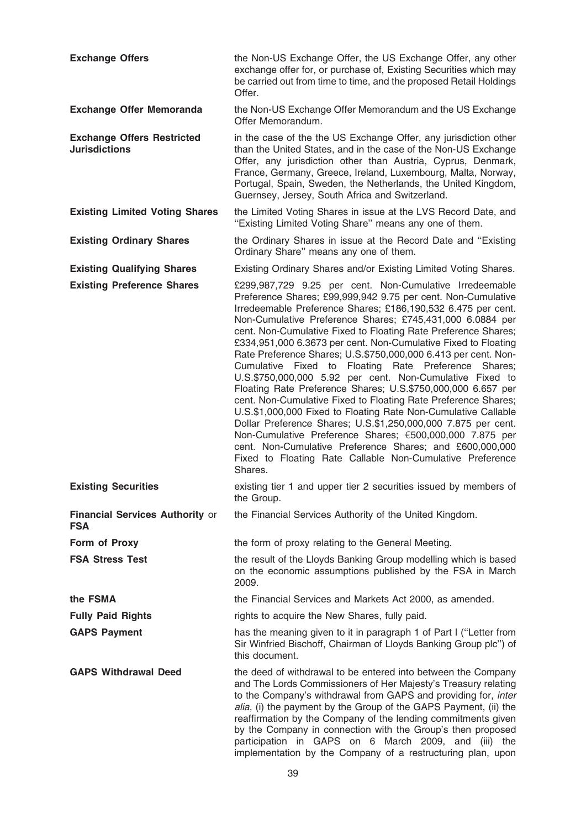| <b>Exchange Offers</b>                                    | the Non-US Exchange Offer, the US Exchange Offer, any other<br>exchange offer for, or purchase of, Existing Securities which may<br>be carried out from time to time, and the proposed Retail Holdings<br>Offer.                                                                                                                                                                                                                                                                                                                                                                                                                                                                                                                                                                                                                                                                                                                                                                                                                                    |
|-----------------------------------------------------------|-----------------------------------------------------------------------------------------------------------------------------------------------------------------------------------------------------------------------------------------------------------------------------------------------------------------------------------------------------------------------------------------------------------------------------------------------------------------------------------------------------------------------------------------------------------------------------------------------------------------------------------------------------------------------------------------------------------------------------------------------------------------------------------------------------------------------------------------------------------------------------------------------------------------------------------------------------------------------------------------------------------------------------------------------------|
| <b>Exchange Offer Memoranda</b>                           | the Non-US Exchange Offer Memorandum and the US Exchange<br>Offer Memorandum.                                                                                                                                                                                                                                                                                                                                                                                                                                                                                                                                                                                                                                                                                                                                                                                                                                                                                                                                                                       |
| <b>Exchange Offers Restricted</b><br><b>Jurisdictions</b> | in the case of the the US Exchange Offer, any jurisdiction other<br>than the United States, and in the case of the Non-US Exchange<br>Offer, any jurisdiction other than Austria, Cyprus, Denmark,<br>France, Germany, Greece, Ireland, Luxembourg, Malta, Norway,<br>Portugal, Spain, Sweden, the Netherlands, the United Kingdom,<br>Guernsey, Jersey, South Africa and Switzerland.                                                                                                                                                                                                                                                                                                                                                                                                                                                                                                                                                                                                                                                              |
| <b>Existing Limited Voting Shares</b>                     | the Limited Voting Shares in issue at the LVS Record Date, and<br>"Existing Limited Voting Share" means any one of them.                                                                                                                                                                                                                                                                                                                                                                                                                                                                                                                                                                                                                                                                                                                                                                                                                                                                                                                            |
| <b>Existing Ordinary Shares</b>                           | the Ordinary Shares in issue at the Record Date and "Existing<br>Ordinary Share" means any one of them.                                                                                                                                                                                                                                                                                                                                                                                                                                                                                                                                                                                                                                                                                                                                                                                                                                                                                                                                             |
| <b>Existing Qualifying Shares</b>                         | Existing Ordinary Shares and/or Existing Limited Voting Shares.                                                                                                                                                                                                                                                                                                                                                                                                                                                                                                                                                                                                                                                                                                                                                                                                                                                                                                                                                                                     |
| <b>Existing Preference Shares</b>                         | £299,987,729 9.25 per cent. Non-Cumulative Irredeemable<br>Preference Shares; £99,999,942 9.75 per cent. Non-Cumulative<br>Irredeemable Preference Shares; £186,190,532 6.475 per cent.<br>Non-Cumulative Preference Shares; £745,431,000 6.0884 per<br>cent. Non-Cumulative Fixed to Floating Rate Preference Shares;<br>£334,951,000 6.3673 per cent. Non-Cumulative Fixed to Floating<br>Rate Preference Shares; U.S.\$750,000,000 6.413 per cent. Non-<br>Cumulative Fixed to Floating Rate Preference Shares;<br>U.S.\$750,000,000 5.92 per cent. Non-Cumulative Fixed to<br>Floating Rate Preference Shares; U.S.\$750,000,000 6.657 per<br>cent. Non-Cumulative Fixed to Floating Rate Preference Shares;<br>U.S.\$1,000,000 Fixed to Floating Rate Non-Cumulative Callable<br>Dollar Preference Shares; U.S.\$1,250,000,000 7.875 per cent.<br>Non-Cumulative Preference Shares; €500,000,000 7.875 per<br>cent. Non-Cumulative Preference Shares; and £600,000,000<br>Fixed to Floating Rate Callable Non-Cumulative Preference<br>Shares. |
| <b>Existing Securities</b>                                | existing tier 1 and upper tier 2 securities issued by members of<br>the Group.                                                                                                                                                                                                                                                                                                                                                                                                                                                                                                                                                                                                                                                                                                                                                                                                                                                                                                                                                                      |
| <b>Financial Services Authority or</b><br><b>FSA</b>      | the Financial Services Authority of the United Kingdom.                                                                                                                                                                                                                                                                                                                                                                                                                                                                                                                                                                                                                                                                                                                                                                                                                                                                                                                                                                                             |
| Form of Proxy                                             | the form of proxy relating to the General Meeting.                                                                                                                                                                                                                                                                                                                                                                                                                                                                                                                                                                                                                                                                                                                                                                                                                                                                                                                                                                                                  |
| <b>FSA Stress Test</b>                                    | the result of the Lloyds Banking Group modelling which is based<br>on the economic assumptions published by the FSA in March<br>2009.                                                                                                                                                                                                                                                                                                                                                                                                                                                                                                                                                                                                                                                                                                                                                                                                                                                                                                               |
| the FSMA                                                  | the Financial Services and Markets Act 2000, as amended.                                                                                                                                                                                                                                                                                                                                                                                                                                                                                                                                                                                                                                                                                                                                                                                                                                                                                                                                                                                            |
| <b>Fully Paid Rights</b>                                  | rights to acquire the New Shares, fully paid.                                                                                                                                                                                                                                                                                                                                                                                                                                                                                                                                                                                                                                                                                                                                                                                                                                                                                                                                                                                                       |
| <b>GAPS Payment</b>                                       | has the meaning given to it in paragraph 1 of Part I ("Letter from<br>Sir Winfried Bischoff, Chairman of Lloyds Banking Group plc") of<br>this document.                                                                                                                                                                                                                                                                                                                                                                                                                                                                                                                                                                                                                                                                                                                                                                                                                                                                                            |
| <b>GAPS Withdrawal Deed</b>                               | the deed of withdrawal to be entered into between the Company<br>and The Lords Commissioners of Her Majesty's Treasury relating<br>to the Company's withdrawal from GAPS and providing for, inter<br>alia, (i) the payment by the Group of the GAPS Payment, (ii) the<br>reaffirmation by the Company of the lending commitments given<br>by the Company in connection with the Group's then proposed<br>participation in GAPS on 6 March 2009, and (iii) the<br>implementation by the Company of a restructuring plan, upon                                                                                                                                                                                                                                                                                                                                                                                                                                                                                                                        |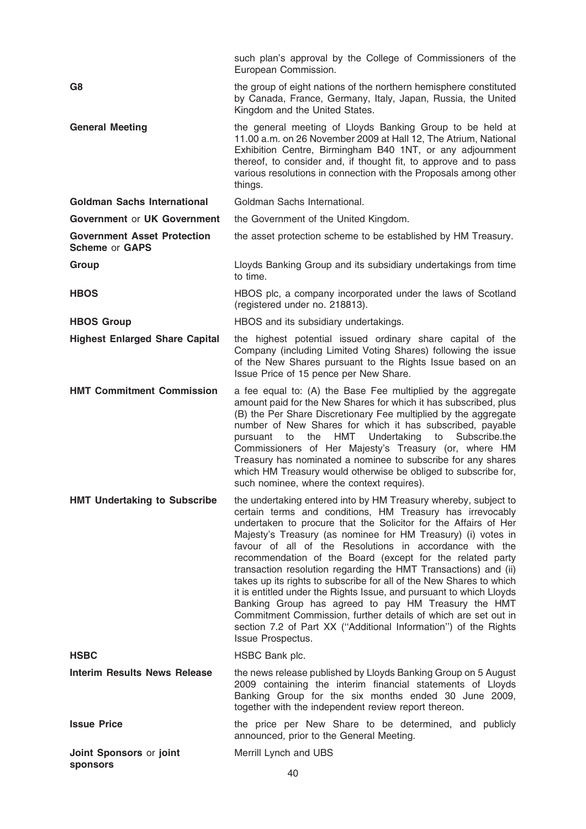|                                                             | such plan's approval by the College of Commissioners of the<br>European Commission.                                                                                                                                                                                                                                                                                                                                                                                                                                                                                                                                                                                                                                                                                                                                       |
|-------------------------------------------------------------|---------------------------------------------------------------------------------------------------------------------------------------------------------------------------------------------------------------------------------------------------------------------------------------------------------------------------------------------------------------------------------------------------------------------------------------------------------------------------------------------------------------------------------------------------------------------------------------------------------------------------------------------------------------------------------------------------------------------------------------------------------------------------------------------------------------------------|
| G8                                                          | the group of eight nations of the northern hemisphere constituted<br>by Canada, France, Germany, Italy, Japan, Russia, the United<br>Kingdom and the United States.                                                                                                                                                                                                                                                                                                                                                                                                                                                                                                                                                                                                                                                       |
| <b>General Meeting</b>                                      | the general meeting of Lloyds Banking Group to be held at<br>11.00 a.m. on 26 November 2009 at Hall 12, The Atrium, National<br>Exhibition Centre, Birmingham B40 1NT, or any adjournment<br>thereof, to consider and, if thought fit, to approve and to pass<br>various resolutions in connection with the Proposals among other<br>things.                                                                                                                                                                                                                                                                                                                                                                                                                                                                              |
| <b>Goldman Sachs International</b>                          | Goldman Sachs International.                                                                                                                                                                                                                                                                                                                                                                                                                                                                                                                                                                                                                                                                                                                                                                                              |
| <b>Government or UK Government</b>                          | the Government of the United Kingdom.                                                                                                                                                                                                                                                                                                                                                                                                                                                                                                                                                                                                                                                                                                                                                                                     |
| <b>Government Asset Protection</b><br><b>Scheme or GAPS</b> | the asset protection scheme to be established by HM Treasury.                                                                                                                                                                                                                                                                                                                                                                                                                                                                                                                                                                                                                                                                                                                                                             |
| Group                                                       | Lloyds Banking Group and its subsidiary undertakings from time<br>to time.                                                                                                                                                                                                                                                                                                                                                                                                                                                                                                                                                                                                                                                                                                                                                |
| <b>HBOS</b>                                                 | HBOS plc, a company incorporated under the laws of Scotland<br>(registered under no. 218813).                                                                                                                                                                                                                                                                                                                                                                                                                                                                                                                                                                                                                                                                                                                             |
| <b>HBOS Group</b>                                           | HBOS and its subsidiary undertakings.                                                                                                                                                                                                                                                                                                                                                                                                                                                                                                                                                                                                                                                                                                                                                                                     |
| <b>Highest Enlarged Share Capital</b>                       | the highest potential issued ordinary share capital of the<br>Company (including Limited Voting Shares) following the issue<br>of the New Shares pursuant to the Rights Issue based on an<br>Issue Price of 15 pence per New Share.                                                                                                                                                                                                                                                                                                                                                                                                                                                                                                                                                                                       |
| <b>HMT Commitment Commission</b>                            | a fee equal to: (A) the Base Fee multiplied by the aggregate<br>amount paid for the New Shares for which it has subscribed, plus<br>(B) the Per Share Discretionary Fee multiplied by the aggregate<br>number of New Shares for which it has subscribed, payable<br>HMT Undertaking<br>the<br>to<br>Subscribe.the<br>pursuant to<br>Commissioners of Her Majesty's Treasury (or, where HM<br>Treasury has nominated a nominee to subscribe for any shares<br>which HM Treasury would otherwise be obliged to subscribe for,<br>such nominee, where the context requires).                                                                                                                                                                                                                                                 |
| <b>HMT Undertaking to Subscribe</b>                         | the undertaking entered into by HM Treasury whereby, subject to<br>certain terms and conditions, HM Treasury has irrevocably<br>undertaken to procure that the Solicitor for the Affairs of Her<br>Majesty's Treasury (as nominee for HM Treasury) (i) votes in<br>favour of all of the Resolutions in accordance with the<br>recommendation of the Board (except for the related party<br>transaction resolution regarding the HMT Transactions) and (ii)<br>takes up its rights to subscribe for all of the New Shares to which<br>it is entitled under the Rights Issue, and pursuant to which Lloyds<br>Banking Group has agreed to pay HM Treasury the HMT<br>Commitment Commission, further details of which are set out in<br>section 7.2 of Part XX ("Additional Information") of the Rights<br>Issue Prospectus. |
| <b>HSBC</b>                                                 | HSBC Bank plc.                                                                                                                                                                                                                                                                                                                                                                                                                                                                                                                                                                                                                                                                                                                                                                                                            |
| <b>Interim Results News Release</b>                         | the news release published by Lloyds Banking Group on 5 August<br>2009 containing the interim financial statements of Lloyds<br>Banking Group for the six months ended 30 June 2009,<br>together with the independent review report thereon.                                                                                                                                                                                                                                                                                                                                                                                                                                                                                                                                                                              |
| <b>Issue Price</b>                                          | the price per New Share to be determined, and publicly<br>announced, prior to the General Meeting.                                                                                                                                                                                                                                                                                                                                                                                                                                                                                                                                                                                                                                                                                                                        |
| Joint Sponsors or joint                                     | Merrill Lynch and UBS                                                                                                                                                                                                                                                                                                                                                                                                                                                                                                                                                                                                                                                                                                                                                                                                     |
| sponsors                                                    |                                                                                                                                                                                                                                                                                                                                                                                                                                                                                                                                                                                                                                                                                                                                                                                                                           |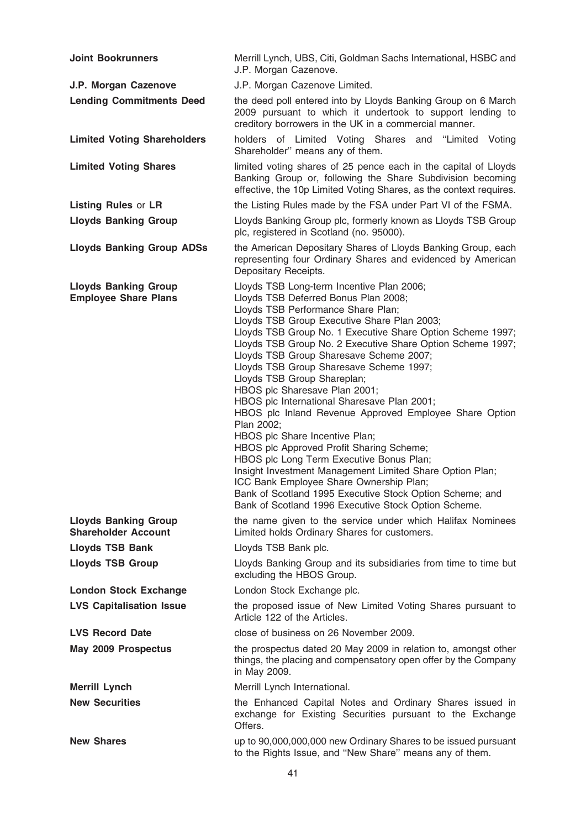| <b>Joint Bookrunners</b>                                   | Merrill Lynch, UBS, Citi, Goldman Sachs International, HSBC and<br>J.P. Morgan Cazenove.                                                                                                                                                                                                                                                                                                                                                                                                                                                                                                                                                                                                                                                                                                                                                                                                                                             |
|------------------------------------------------------------|--------------------------------------------------------------------------------------------------------------------------------------------------------------------------------------------------------------------------------------------------------------------------------------------------------------------------------------------------------------------------------------------------------------------------------------------------------------------------------------------------------------------------------------------------------------------------------------------------------------------------------------------------------------------------------------------------------------------------------------------------------------------------------------------------------------------------------------------------------------------------------------------------------------------------------------|
| J.P. Morgan Cazenove                                       | J.P. Morgan Cazenove Limited.                                                                                                                                                                                                                                                                                                                                                                                                                                                                                                                                                                                                                                                                                                                                                                                                                                                                                                        |
| <b>Lending Commitments Deed</b>                            | the deed poll entered into by Lloyds Banking Group on 6 March<br>2009 pursuant to which it undertook to support lending to<br>creditory borrowers in the UK in a commercial manner.                                                                                                                                                                                                                                                                                                                                                                                                                                                                                                                                                                                                                                                                                                                                                  |
| <b>Limited Voting Shareholders</b>                         | holders of Limited Voting Shares and "Limited<br>Voting<br>Shareholder" means any of them.                                                                                                                                                                                                                                                                                                                                                                                                                                                                                                                                                                                                                                                                                                                                                                                                                                           |
| <b>Limited Voting Shares</b>                               | limited voting shares of 25 pence each in the capital of Lloyds<br>Banking Group or, following the Share Subdivision becoming<br>effective, the 10p Limited Voting Shares, as the context requires.                                                                                                                                                                                                                                                                                                                                                                                                                                                                                                                                                                                                                                                                                                                                  |
| <b>Listing Rules or LR</b>                                 | the Listing Rules made by the FSA under Part VI of the FSMA.                                                                                                                                                                                                                                                                                                                                                                                                                                                                                                                                                                                                                                                                                                                                                                                                                                                                         |
| <b>Lloyds Banking Group</b>                                | Lloyds Banking Group plc, formerly known as Lloyds TSB Group<br>plc, registered in Scotland (no. 95000).                                                                                                                                                                                                                                                                                                                                                                                                                                                                                                                                                                                                                                                                                                                                                                                                                             |
| <b>Lloyds Banking Group ADSs</b>                           | the American Depositary Shares of Lloyds Banking Group, each<br>representing four Ordinary Shares and evidenced by American<br>Depositary Receipts.                                                                                                                                                                                                                                                                                                                                                                                                                                                                                                                                                                                                                                                                                                                                                                                  |
| <b>Lloyds Banking Group</b><br><b>Employee Share Plans</b> | Lloyds TSB Long-term Incentive Plan 2006;<br>Lloyds TSB Deferred Bonus Plan 2008;<br>Lloyds TSB Performance Share Plan;<br>Lloyds TSB Group Executive Share Plan 2003;<br>Lloyds TSB Group No. 1 Executive Share Option Scheme 1997;<br>Lloyds TSB Group No. 2 Executive Share Option Scheme 1997;<br>Lloyds TSB Group Sharesave Scheme 2007;<br>Lloyds TSB Group Sharesave Scheme 1997;<br>Lloyds TSB Group Shareplan;<br>HBOS plc Sharesave Plan 2001;<br>HBOS plc International Sharesave Plan 2001;<br>HBOS plc Inland Revenue Approved Employee Share Option<br>Plan 2002;<br>HBOS plc Share Incentive Plan;<br>HBOS plc Approved Profit Sharing Scheme;<br>HBOS plc Long Term Executive Bonus Plan;<br>Insight Investment Management Limited Share Option Plan;<br>ICC Bank Employee Share Ownership Plan;<br>Bank of Scotland 1995 Executive Stock Option Scheme; and<br>Bank of Scotland 1996 Executive Stock Option Scheme. |
| <b>Lloyds Banking Group</b><br><b>Shareholder Account</b>  | the name given to the service under which Halifax Nominees<br>Limited holds Ordinary Shares for customers.                                                                                                                                                                                                                                                                                                                                                                                                                                                                                                                                                                                                                                                                                                                                                                                                                           |
| <b>Lloyds TSB Bank</b>                                     | Lloyds TSB Bank plc.                                                                                                                                                                                                                                                                                                                                                                                                                                                                                                                                                                                                                                                                                                                                                                                                                                                                                                                 |
| <b>Lloyds TSB Group</b>                                    | Lloyds Banking Group and its subsidiaries from time to time but<br>excluding the HBOS Group.                                                                                                                                                                                                                                                                                                                                                                                                                                                                                                                                                                                                                                                                                                                                                                                                                                         |
| <b>London Stock Exchange</b>                               | London Stock Exchange plc.                                                                                                                                                                                                                                                                                                                                                                                                                                                                                                                                                                                                                                                                                                                                                                                                                                                                                                           |
| <b>LVS Capitalisation Issue</b>                            | the proposed issue of New Limited Voting Shares pursuant to<br>Article 122 of the Articles.                                                                                                                                                                                                                                                                                                                                                                                                                                                                                                                                                                                                                                                                                                                                                                                                                                          |
| <b>LVS Record Date</b>                                     | close of business on 26 November 2009.                                                                                                                                                                                                                                                                                                                                                                                                                                                                                                                                                                                                                                                                                                                                                                                                                                                                                               |
| May 2009 Prospectus                                        | the prospectus dated 20 May 2009 in relation to, amongst other<br>things, the placing and compensatory open offer by the Company<br>in May 2009.                                                                                                                                                                                                                                                                                                                                                                                                                                                                                                                                                                                                                                                                                                                                                                                     |
| <b>Merrill Lynch</b>                                       | Merrill Lynch International.                                                                                                                                                                                                                                                                                                                                                                                                                                                                                                                                                                                                                                                                                                                                                                                                                                                                                                         |
| <b>New Securities</b>                                      | the Enhanced Capital Notes and Ordinary Shares issued in<br>exchange for Existing Securities pursuant to the Exchange<br>Offers.                                                                                                                                                                                                                                                                                                                                                                                                                                                                                                                                                                                                                                                                                                                                                                                                     |
| <b>New Shares</b>                                          | up to 90,000,000,000 new Ordinary Shares to be issued pursuant<br>to the Rights Issue, and "New Share" means any of them.                                                                                                                                                                                                                                                                                                                                                                                                                                                                                                                                                                                                                                                                                                                                                                                                            |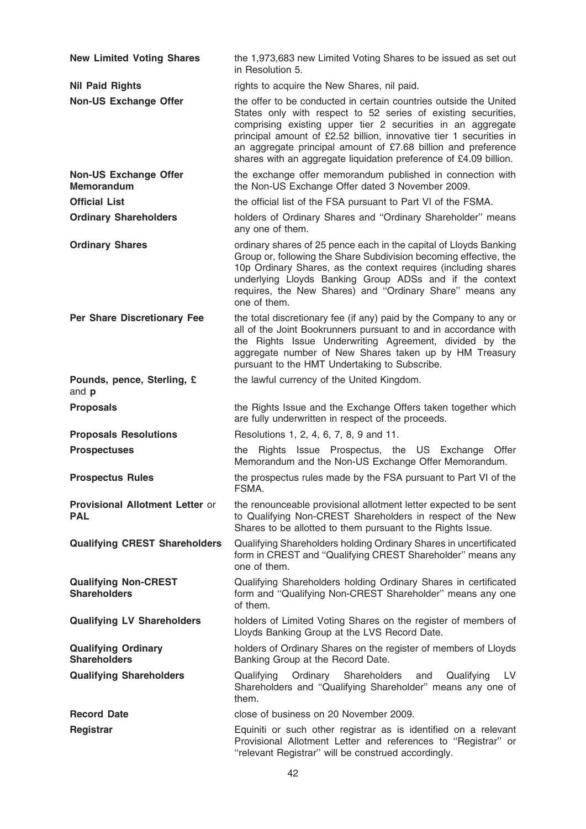| <b>New Limited Voting Shares</b>                   | the 1,973,683 new Limited Voting Shares to be issued as set out<br>in Resolution 5.                                                                                                                                                                                                                                                                                                                           |
|----------------------------------------------------|---------------------------------------------------------------------------------------------------------------------------------------------------------------------------------------------------------------------------------------------------------------------------------------------------------------------------------------------------------------------------------------------------------------|
| <b>Nil Paid Rights</b>                             | rights to acquire the New Shares, nil paid.                                                                                                                                                                                                                                                                                                                                                                   |
| <b>Non-US Exchange Offer</b>                       | the offer to be conducted in certain countries outside the United<br>States only with respect to 52 series of existing securities,<br>comprising existing upper tier 2 securities in an aggregate<br>principal amount of £2.52 billion, innovative tier 1 securities in<br>an aggregate principal amount of £7.68 billion and preference<br>shares with an aggregate liquidation preference of £4.09 billion. |
| <b>Non-US Exchange Offer</b><br><b>Memorandum</b>  | the exchange offer memorandum published in connection with<br>the Non-US Exchange Offer dated 3 November 2009.                                                                                                                                                                                                                                                                                                |
| <b>Official List</b>                               | the official list of the FSA pursuant to Part VI of the FSMA.                                                                                                                                                                                                                                                                                                                                                 |
| <b>Ordinary Shareholders</b>                       | holders of Ordinary Shares and "Ordinary Shareholder" means<br>any one of them.                                                                                                                                                                                                                                                                                                                               |
| <b>Ordinary Shares</b>                             | ordinary shares of 25 pence each in the capital of Lloyds Banking<br>Group or, following the Share Subdivision becoming effective, the<br>10p Ordinary Shares, as the context requires (including shares<br>underlying Lloyds Banking Group ADSs and if the context<br>requires, the New Shares) and "Ordinary Share" means any<br>one of them.                                                               |
| Per Share Discretionary Fee                        | the total discretionary fee (if any) paid by the Company to any or<br>all of the Joint Bookrunners pursuant to and in accordance with<br>the Rights Issue Underwriting Agreement, divided by the<br>aggregate number of New Shares taken up by HM Treasury<br>pursuant to the HMT Undertaking to Subscribe.                                                                                                   |
| Pounds, pence, Sterling, £<br>and p                | the lawful currency of the United Kingdom.                                                                                                                                                                                                                                                                                                                                                                    |
| <b>Proposals</b>                                   | the Rights Issue and the Exchange Offers taken together which<br>are fully underwritten in respect of the proceeds.                                                                                                                                                                                                                                                                                           |
| <b>Proposals Resolutions</b>                       | Resolutions 1, 2, 4, 6, 7, 8, 9 and 11.                                                                                                                                                                                                                                                                                                                                                                       |
| <b>Prospectuses</b>                                | Rights Issue Prospectus, the US Exchange Offer<br>the<br>Memorandum and the Non-US Exchange Offer Memorandum.                                                                                                                                                                                                                                                                                                 |
| <b>Prospectus Rules</b>                            | the prospectus rules made by the FSA pursuant to Part VI of the<br>FSMA.                                                                                                                                                                                                                                                                                                                                      |
| Provisional Allotment Letter or<br><b>PAL</b>      | the renounceable provisional allotment letter expected to be sent<br>to Qualifying Non-CREST Shareholders in respect of the New<br>Shares to be allotted to them pursuant to the Rights Issue.                                                                                                                                                                                                                |
| <b>Qualifying CREST Shareholders</b>               | Qualifying Shareholders holding Ordinary Shares in uncertificated<br>form in CREST and "Qualifying CREST Shareholder" means any<br>one of them.                                                                                                                                                                                                                                                               |
| <b>Qualifying Non-CREST</b><br><b>Shareholders</b> | Qualifying Shareholders holding Ordinary Shares in certificated<br>form and "Qualifying Non-CREST Shareholder" means any one<br>of them.                                                                                                                                                                                                                                                                      |
| <b>Qualifying LV Shareholders</b>                  | holders of Limited Voting Shares on the register of members of<br>Lloyds Banking Group at the LVS Record Date.                                                                                                                                                                                                                                                                                                |
| <b>Qualifying Ordinary</b><br><b>Shareholders</b>  | holders of Ordinary Shares on the register of members of Lloyds<br>Banking Group at the Record Date.                                                                                                                                                                                                                                                                                                          |
| <b>Qualifying Shareholders</b>                     | Shareholders<br>Qualifying<br>LV<br>Qualifying<br>Ordinary<br>and<br>Shareholders and "Qualifying Shareholder" means any one of<br>them.                                                                                                                                                                                                                                                                      |
| <b>Record Date</b>                                 | close of business on 20 November 2009.                                                                                                                                                                                                                                                                                                                                                                        |
| Registrar                                          | Equiniti or such other registrar as is identified on a relevant<br>Provisional Allotment Letter and references to "Registrar" or<br>"relevant Registrar" will be construed accordingly.                                                                                                                                                                                                                       |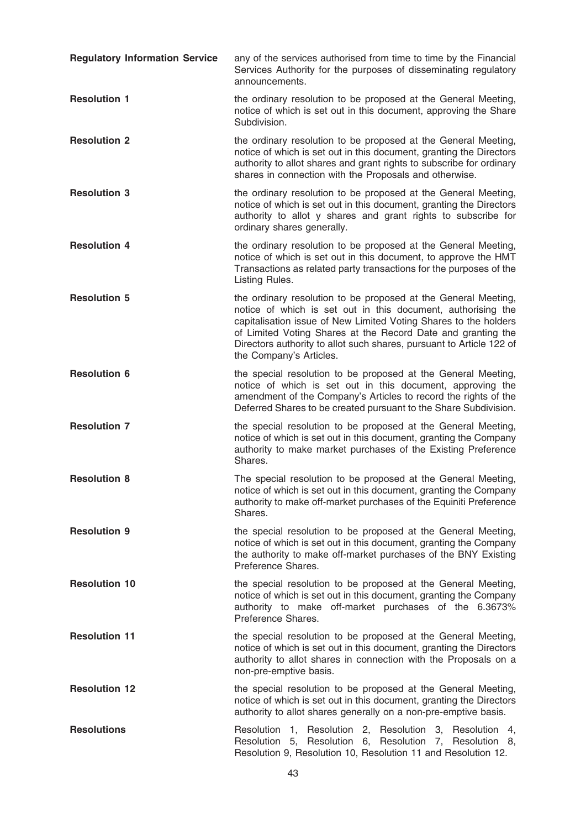| <b>Regulatory Information Service</b> | any of the services authorised from time to time by the Financial<br>Services Authority for the purposes of disseminating regulatory<br>announcements.                                                                                                                                                                                                                |
|---------------------------------------|-----------------------------------------------------------------------------------------------------------------------------------------------------------------------------------------------------------------------------------------------------------------------------------------------------------------------------------------------------------------------|
| <b>Resolution 1</b>                   | the ordinary resolution to be proposed at the General Meeting,<br>notice of which is set out in this document, approving the Share<br>Subdivision.                                                                                                                                                                                                                    |
| <b>Resolution 2</b>                   | the ordinary resolution to be proposed at the General Meeting,<br>notice of which is set out in this document, granting the Directors<br>authority to allot shares and grant rights to subscribe for ordinary<br>shares in connection with the Proposals and otherwise.                                                                                               |
| <b>Resolution 3</b>                   | the ordinary resolution to be proposed at the General Meeting,<br>notice of which is set out in this document, granting the Directors<br>authority to allot y shares and grant rights to subscribe for<br>ordinary shares generally.                                                                                                                                  |
| <b>Resolution 4</b>                   | the ordinary resolution to be proposed at the General Meeting,<br>notice of which is set out in this document, to approve the HMT<br>Transactions as related party transactions for the purposes of the<br>Listing Rules.                                                                                                                                             |
| <b>Resolution 5</b>                   | the ordinary resolution to be proposed at the General Meeting,<br>notice of which is set out in this document, authorising the<br>capitalisation issue of New Limited Voting Shares to the holders<br>of Limited Voting Shares at the Record Date and granting the<br>Directors authority to allot such shares, pursuant to Article 122 of<br>the Company's Articles. |
| <b>Resolution 6</b>                   | the special resolution to be proposed at the General Meeting,<br>notice of which is set out in this document, approving the<br>amendment of the Company's Articles to record the rights of the<br>Deferred Shares to be created pursuant to the Share Subdivision.                                                                                                    |
| <b>Resolution 7</b>                   | the special resolution to be proposed at the General Meeting,<br>notice of which is set out in this document, granting the Company<br>authority to make market purchases of the Existing Preference<br>Shares.                                                                                                                                                        |
| <b>Resolution 8</b>                   | The special resolution to be proposed at the General Meeting,<br>notice of which is set out in this document, granting the Company<br>authority to make off-market purchases of the Equiniti Preference<br>Shares.                                                                                                                                                    |
| <b>Resolution 9</b>                   | the special resolution to be proposed at the General Meeting,<br>notice of which is set out in this document, granting the Company<br>the authority to make off-market purchases of the BNY Existing<br>Preference Shares.                                                                                                                                            |
| <b>Resolution 10</b>                  | the special resolution to be proposed at the General Meeting,<br>notice of which is set out in this document, granting the Company<br>authority to make off-market purchases of the 6.3673%<br>Preference Shares.                                                                                                                                                     |
| <b>Resolution 11</b>                  | the special resolution to be proposed at the General Meeting,<br>notice of which is set out in this document, granting the Directors<br>authority to allot shares in connection with the Proposals on a<br>non-pre-emptive basis.                                                                                                                                     |
| <b>Resolution 12</b>                  | the special resolution to be proposed at the General Meeting,<br>notice of which is set out in this document, granting the Directors<br>authority to allot shares generally on a non-pre-emptive basis.                                                                                                                                                               |
| <b>Resolutions</b>                    | Resolution 1, Resolution 2, Resolution 3, Resolution 4,<br>Resolution 5, Resolution 6, Resolution 7, Resolution 8,<br>Resolution 9, Resolution 10, Resolution 11 and Resolution 12.                                                                                                                                                                                   |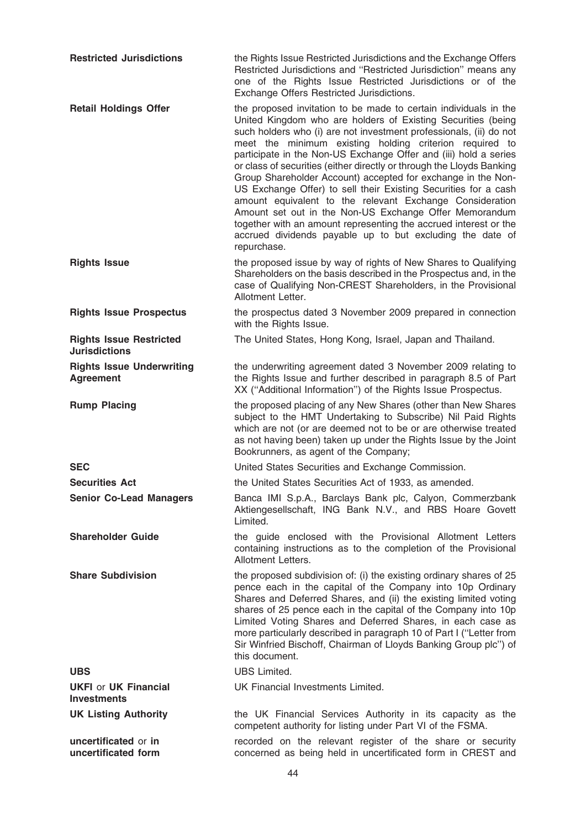| <b>Restricted Jurisdictions</b>                        | the Rights Issue Restricted Jurisdictions and the Exchange Offers<br>Restricted Jurisdictions and "Restricted Jurisdiction" means any<br>one of the Rights Issue Restricted Jurisdictions or of the<br>Exchange Offers Restricted Jurisdictions.                                                                                                                                                                                                                                                                                                                                                                                                                                                                                                                                                                        |
|--------------------------------------------------------|-------------------------------------------------------------------------------------------------------------------------------------------------------------------------------------------------------------------------------------------------------------------------------------------------------------------------------------------------------------------------------------------------------------------------------------------------------------------------------------------------------------------------------------------------------------------------------------------------------------------------------------------------------------------------------------------------------------------------------------------------------------------------------------------------------------------------|
| <b>Retail Holdings Offer</b>                           | the proposed invitation to be made to certain individuals in the<br>United Kingdom who are holders of Existing Securities (being<br>such holders who (i) are not investment professionals, (ii) do not<br>meet the minimum existing holding criterion required to<br>participate in the Non-US Exchange Offer and (iii) hold a series<br>or class of securities (either directly or through the Lloyds Banking<br>Group Shareholder Account) accepted for exchange in the Non-<br>US Exchange Offer) to sell their Existing Securities for a cash<br>amount equivalent to the relevant Exchange Consideration<br>Amount set out in the Non-US Exchange Offer Memorandum<br>together with an amount representing the accrued interest or the<br>accrued dividends payable up to but excluding the date of<br>repurchase. |
| <b>Rights Issue</b>                                    | the proposed issue by way of rights of New Shares to Qualifying<br>Shareholders on the basis described in the Prospectus and, in the<br>case of Qualifying Non-CREST Shareholders, in the Provisional<br>Allotment Letter.                                                                                                                                                                                                                                                                                                                                                                                                                                                                                                                                                                                              |
| <b>Rights Issue Prospectus</b>                         | the prospectus dated 3 November 2009 prepared in connection<br>with the Rights Issue.                                                                                                                                                                                                                                                                                                                                                                                                                                                                                                                                                                                                                                                                                                                                   |
| <b>Rights Issue Restricted</b><br><b>Jurisdictions</b> | The United States, Hong Kong, Israel, Japan and Thailand.                                                                                                                                                                                                                                                                                                                                                                                                                                                                                                                                                                                                                                                                                                                                                               |
| <b>Rights Issue Underwriting</b><br><b>Agreement</b>   | the underwriting agreement dated 3 November 2009 relating to<br>the Rights Issue and further described in paragraph 8.5 of Part<br>XX ("Additional Information") of the Rights Issue Prospectus.                                                                                                                                                                                                                                                                                                                                                                                                                                                                                                                                                                                                                        |
| <b>Rump Placing</b>                                    | the proposed placing of any New Shares (other than New Shares<br>subject to the HMT Undertaking to Subscribe) Nil Paid Rights<br>which are not (or are deemed not to be or are otherwise treated<br>as not having been) taken up under the Rights Issue by the Joint<br>Bookrunners, as agent of the Company;                                                                                                                                                                                                                                                                                                                                                                                                                                                                                                           |
| <b>SEC</b>                                             | United States Securities and Exchange Commission.                                                                                                                                                                                                                                                                                                                                                                                                                                                                                                                                                                                                                                                                                                                                                                       |
| <b>Securities Act</b>                                  | the United States Securities Act of 1933, as amended.                                                                                                                                                                                                                                                                                                                                                                                                                                                                                                                                                                                                                                                                                                                                                                   |
| <b>Senior Co-Lead Managers</b>                         | Banca IMI S.p.A., Barclays Bank plc, Calyon, Commerzbank<br>Aktiengesellschaft, ING Bank N.V., and RBS Hoare Govett<br>Limited.                                                                                                                                                                                                                                                                                                                                                                                                                                                                                                                                                                                                                                                                                         |
| <b>Shareholder Guide</b>                               | the guide enclosed with the Provisional Allotment Letters<br>containing instructions as to the completion of the Provisional<br>Allotment Letters.                                                                                                                                                                                                                                                                                                                                                                                                                                                                                                                                                                                                                                                                      |
| <b>Share Subdivision</b>                               | the proposed subdivision of: (i) the existing ordinary shares of 25<br>pence each in the capital of the Company into 10p Ordinary<br>Shares and Deferred Shares, and (ii) the existing limited voting<br>shares of 25 pence each in the capital of the Company into 10p<br>Limited Voting Shares and Deferred Shares, in each case as<br>more particularly described in paragraph 10 of Part I ("Letter from<br>Sir Winfried Bischoff, Chairman of Lloyds Banking Group plc") of<br>this document.                                                                                                                                                                                                                                                                                                                      |
| <b>UBS</b>                                             | <b>UBS Limited.</b>                                                                                                                                                                                                                                                                                                                                                                                                                                                                                                                                                                                                                                                                                                                                                                                                     |
| <b>UKFI or UK Financial</b><br><b>Investments</b>      | UK Financial Investments Limited.                                                                                                                                                                                                                                                                                                                                                                                                                                                                                                                                                                                                                                                                                                                                                                                       |
| <b>UK Listing Authority</b>                            | the UK Financial Services Authority in its capacity as the<br>competent authority for listing under Part VI of the FSMA.                                                                                                                                                                                                                                                                                                                                                                                                                                                                                                                                                                                                                                                                                                |
| uncertificated or in<br>uncertificated form            | recorded on the relevant register of the share or security<br>concerned as being held in uncertificated form in CREST and                                                                                                                                                                                                                                                                                                                                                                                                                                                                                                                                                                                                                                                                                               |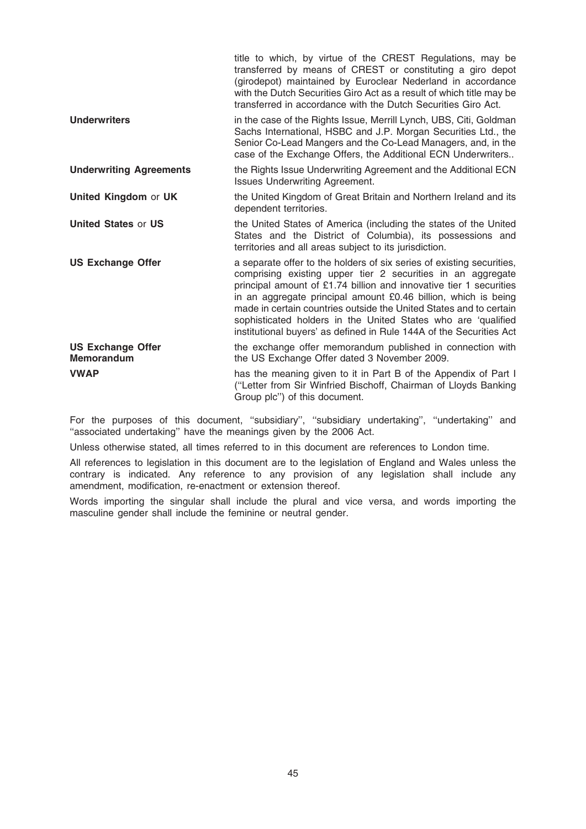|                                               | title to which, by virtue of the CREST Regulations, may be<br>transferred by means of CREST or constituting a giro depot<br>(girodepot) maintained by Euroclear Nederland in accordance<br>with the Dutch Securities Giro Act as a result of which title may be<br>transferred in accordance with the Dutch Securities Giro Act.                                                                                                                                                           |
|-----------------------------------------------|--------------------------------------------------------------------------------------------------------------------------------------------------------------------------------------------------------------------------------------------------------------------------------------------------------------------------------------------------------------------------------------------------------------------------------------------------------------------------------------------|
| <b>Underwriters</b>                           | in the case of the Rights Issue, Merrill Lynch, UBS, Citi, Goldman<br>Sachs International, HSBC and J.P. Morgan Securities Ltd., the<br>Senior Co-Lead Mangers and the Co-Lead Managers, and, in the<br>case of the Exchange Offers, the Additional ECN Underwriters                                                                                                                                                                                                                       |
| <b>Underwriting Agreements</b>                | the Rights Issue Underwriting Agreement and the Additional ECN<br><b>Issues Underwriting Agreement.</b>                                                                                                                                                                                                                                                                                                                                                                                    |
| United Kingdom or UK                          | the United Kingdom of Great Britain and Northern Ireland and its<br>dependent territories.                                                                                                                                                                                                                                                                                                                                                                                                 |
| <b>United States or US</b>                    | the United States of America (including the states of the United<br>States and the District of Columbia), its possessions and<br>territories and all areas subject to its jurisdiction.                                                                                                                                                                                                                                                                                                    |
| <b>US Exchange Offer</b>                      | a separate offer to the holders of six series of existing securities,<br>comprising existing upper tier 2 securities in an aggregate<br>principal amount of £1.74 billion and innovative tier 1 securities<br>in an aggregate principal amount £0.46 billion, which is being<br>made in certain countries outside the United States and to certain<br>sophisticated holders in the United States who are 'qualified<br>institutional buyers' as defined in Rule 144A of the Securities Act |
| <b>US Exchange Offer</b><br><b>Memorandum</b> | the exchange offer memorandum published in connection with<br>the US Exchange Offer dated 3 November 2009.                                                                                                                                                                                                                                                                                                                                                                                 |
| <b>VWAP</b>                                   | has the meaning given to it in Part B of the Appendix of Part I<br>("Letter from Sir Winfried Bischoff, Chairman of Lloyds Banking<br>Group plc") of this document.                                                                                                                                                                                                                                                                                                                        |

For the purposes of this document, "subsidiary", "subsidiary undertaking", "undertaking" and "associated undertaking" have the meanings given by the 2006 Act.

Unless otherwise stated, all times referred to in this document are references to London time.

All references to legislation in this document are to the legislation of England and Wales unless the contrary is indicated. Any reference to any provision of any legislation shall include any amendment, modification, re-enactment or extension thereof.

Words importing the singular shall include the plural and vice versa, and words importing the masculine gender shall include the feminine or neutral gender.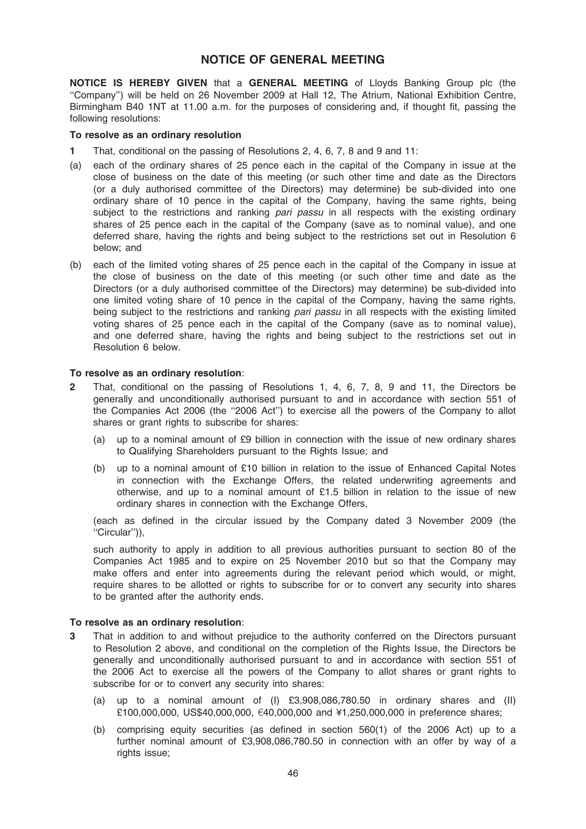### NOTICE OF GENERAL MEETING

NOTICE IS HEREBY GIVEN that a GENERAL MEETING of Lloyds Banking Group plc (the ''Company'') will be held on 26 November 2009 at Hall 12, The Atrium, National Exhibition Centre, Birmingham B40 1NT at 11.00 a.m. for the purposes of considering and, if thought fit, passing the following resolutions:

### To resolve as an ordinary resolution

- 1 That, conditional on the passing of Resolutions 2, 4, 6, 7, 8 and 9 and 11:
- (a) each of the ordinary shares of 25 pence each in the capital of the Company in issue at the close of business on the date of this meeting (or such other time and date as the Directors (or a duly authorised committee of the Directors) may determine) be sub-divided into one ordinary share of 10 pence in the capital of the Company, having the same rights, being subject to the restrictions and ranking *pari passu* in all respects with the existing ordinary shares of 25 pence each in the capital of the Company (save as to nominal value), and one deferred share, having the rights and being subject to the restrictions set out in Resolution 6 below; and
- (b) each of the limited voting shares of 25 pence each in the capital of the Company in issue at the close of business on the date of this meeting (or such other time and date as the Directors (or a duly authorised committee of the Directors) may determine) be sub-divided into one limited voting share of 10 pence in the capital of the Company, having the same rights, being subject to the restrictions and ranking pari passu in all respects with the existing limited voting shares of 25 pence each in the capital of the Company (save as to nominal value), and one deferred share, having the rights and being subject to the restrictions set out in Resolution 6 below.

### To resolve as an ordinary resolution:

- 2 That, conditional on the passing of Resolutions 1, 4, 6, 7, 8, 9 and 11, the Directors be generally and unconditionally authorised pursuant to and in accordance with section 551 of the Companies Act 2006 (the ''2006 Act'') to exercise all the powers of the Company to allot shares or grant rights to subscribe for shares:
	- (a) up to a nominal amount of £9 billion in connection with the issue of new ordinary shares to Qualifying Shareholders pursuant to the Rights Issue; and
	- (b) up to a nominal amount of £10 billion in relation to the issue of Enhanced Capital Notes in connection with the Exchange Offers, the related underwriting agreements and otherwise, and up to a nominal amount of  $£1.5$  billion in relation to the issue of new ordinary shares in connection with the Exchange Offers,

(each as defined in the circular issued by the Company dated 3 November 2009 (the ''Circular'')),

such authority to apply in addition to all previous authorities pursuant to section 80 of the Companies Act 1985 and to expire on 25 November 2010 but so that the Company may make offers and enter into agreements during the relevant period which would, or might, require shares to be allotted or rights to subscribe for or to convert any security into shares to be granted after the authority ends.

### To resolve as an ordinary resolution:

- 3 That in addition to and without prejudice to the authority conferred on the Directors pursuant to Resolution 2 above, and conditional on the completion of the Rights Issue, the Directors be generally and unconditionally authorised pursuant to and in accordance with section 551 of the 2006 Act to exercise all the powers of the Company to allot shares or grant rights to subscribe for or to convert any security into shares:
	- (a) up to a nominal amount of (I) £3,908,086,780.50 in ordinary shares and (II) £100,000,000, US\$40,000,000,  $\epsilon$ 40,000,000 and ¥1,250,000,000 in preference shares;
	- (b) comprising equity securities (as defined in section 560(1) of the 2006 Act) up to a further nominal amount of £3,908,086,780.50 in connection with an offer by way of a rights issue;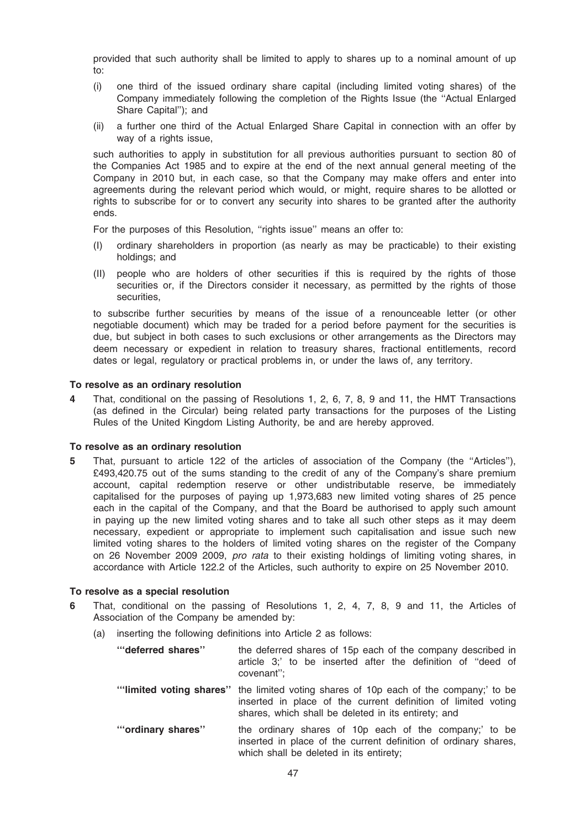provided that such authority shall be limited to apply to shares up to a nominal amount of up to:

- (i) one third of the issued ordinary share capital (including limited voting shares) of the Company immediately following the completion of the Rights Issue (the ''Actual Enlarged Share Capital''); and
- (ii) a further one third of the Actual Enlarged Share Capital in connection with an offer by way of a rights issue.

such authorities to apply in substitution for all previous authorities pursuant to section 80 of the Companies Act 1985 and to expire at the end of the next annual general meeting of the Company in 2010 but, in each case, so that the Company may make offers and enter into agreements during the relevant period which would, or might, require shares to be allotted or rights to subscribe for or to convert any security into shares to be granted after the authority ends.

For the purposes of this Resolution, ''rights issue'' means an offer to:

- (I) ordinary shareholders in proportion (as nearly as may be practicable) to their existing holdings; and
- (II) people who are holders of other securities if this is required by the rights of those securities or, if the Directors consider it necessary, as permitted by the rights of those securities,

to subscribe further securities by means of the issue of a renounceable letter (or other negotiable document) which may be traded for a period before payment for the securities is due, but subject in both cases to such exclusions or other arrangements as the Directors may deem necessary or expedient in relation to treasury shares, fractional entitlements, record dates or legal, regulatory or practical problems in, or under the laws of, any territory.

### To resolve as an ordinary resolution

That, conditional on the passing of Resolutions 1, 2, 6, 7, 8, 9 and 11, the HMT Transactions (as defined in the Circular) being related party transactions for the purposes of the Listing Rules of the United Kingdom Listing Authority, be and are hereby approved.

### To resolve as an ordinary resolution

5 That, pursuant to article 122 of the articles of association of the Company (the ''Articles''), £493,420.75 out of the sums standing to the credit of any of the Company's share premium account, capital redemption reserve or other undistributable reserve, be immediately capitalised for the purposes of paying up 1,973,683 new limited voting shares of 25 pence each in the capital of the Company, and that the Board be authorised to apply such amount in paying up the new limited voting shares and to take all such other steps as it may deem necessary, expedient or appropriate to implement such capitalisation and issue such new limited voting shares to the holders of limited voting shares on the register of the Company on 26 November 2009 2009, *pro rata* to their existing holdings of limiting voting shares, in accordance with Article 122.2 of the Articles, such authority to expire on 25 November 2010.

### To resolve as a special resolution

- 6 That, conditional on the passing of Resolutions 1, 2, 4, 7, 8, 9 and 11, the Articles of Association of the Company be amended by:
	- (a) inserting the following definitions into Article 2 as follows:

| "deferred shares" | the deferred shares of 15p each of the company described in<br>article 3;' to be inserted after the definition of "deed of<br>covenant";                                                                     |
|-------------------|--------------------------------------------------------------------------------------------------------------------------------------------------------------------------------------------------------------|
|                   | "limited voting shares" the limited voting shares of 10p each of the company;' to be<br>inserted in place of the current definition of limited voting<br>shares, which shall be deleted in its entirety; and |
| "ordinary shares" | the ordinary shares of 10p each of the company;' to be<br>inserted in place of the current definition of ordinary shares,<br>which shall be deleted in its entirety;                                         |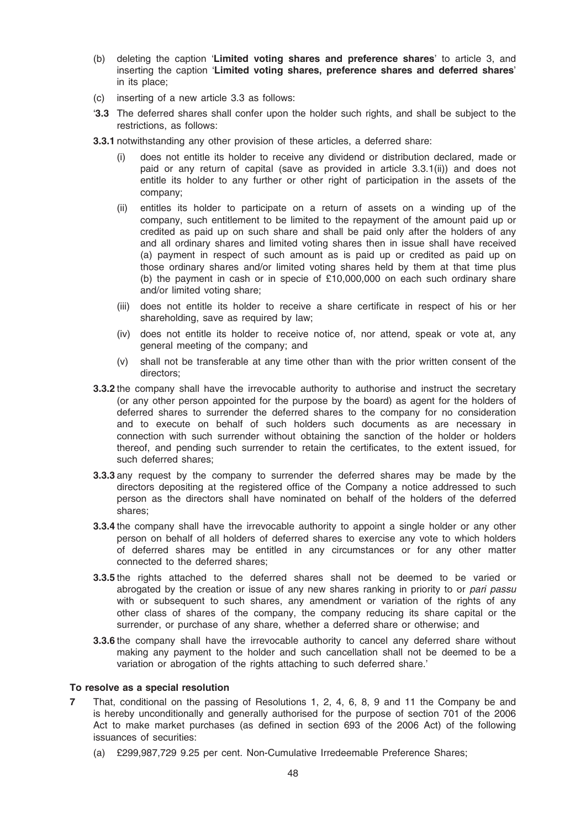- (b) deleting the caption 'Limited voting shares and preference shares' to article 3, and inserting the caption 'Limited voting shares, preference shares and deferred shares' in its place;
- (c) inserting of a new article 3.3 as follows:
- '3.3 The deferred shares shall confer upon the holder such rights, and shall be subject to the restrictions, as follows:
- 3.3.1 notwithstanding any other provision of these articles, a deferred share:
	- (i) does not entitle its holder to receive any dividend or distribution declared, made or paid or any return of capital (save as provided in article 3.3.1(ii)) and does not entitle its holder to any further or other right of participation in the assets of the company;
	- (ii) entitles its holder to participate on a return of assets on a winding up of the company, such entitlement to be limited to the repayment of the amount paid up or credited as paid up on such share and shall be paid only after the holders of any and all ordinary shares and limited voting shares then in issue shall have received (a) payment in respect of such amount as is paid up or credited as paid up on those ordinary shares and/or limited voting shares held by them at that time plus (b) the payment in cash or in specie of £10,000,000 on each such ordinary share and/or limited voting share;
	- (iii) does not entitle its holder to receive a share certificate in respect of his or her shareholding, save as required by law;
	- (iv) does not entitle its holder to receive notice of, nor attend, speak or vote at, any general meeting of the company; and
	- (v) shall not be transferable at any time other than with the prior written consent of the directors;
- **3.3.2** the company shall have the irrevocable authority to authorise and instruct the secretary (or any other person appointed for the purpose by the board) as agent for the holders of deferred shares to surrender the deferred shares to the company for no consideration and to execute on behalf of such holders such documents as are necessary in connection with such surrender without obtaining the sanction of the holder or holders thereof, and pending such surrender to retain the certificates, to the extent issued, for such deferred shares;
- 3.3.3 any request by the company to surrender the deferred shares may be made by the directors depositing at the registered office of the Company a notice addressed to such person as the directors shall have nominated on behalf of the holders of the deferred shares;
- **3.3.4** the company shall have the irrevocable authority to appoint a single holder or any other person on behalf of all holders of deferred shares to exercise any vote to which holders of deferred shares may be entitled in any circumstances or for any other matter connected to the deferred shares;
- 3.3.5 the rights attached to the deferred shares shall not be deemed to be varied or abrogated by the creation or issue of any new shares ranking in priority to or pari passu with or subsequent to such shares, any amendment or variation of the rights of any other class of shares of the company, the company reducing its share capital or the surrender, or purchase of any share, whether a deferred share or otherwise; and
- 3.3.6 the company shall have the irrevocable authority to cancel any deferred share without making any payment to the holder and such cancellation shall not be deemed to be a variation or abrogation of the rights attaching to such deferred share.'

### To resolve as a special resolution

- 7 That, conditional on the passing of Resolutions 1, 2, 4, 6, 8, 9 and 11 the Company be and is hereby unconditionally and generally authorised for the purpose of section 701 of the 2006 Act to make market purchases (as defined in section 693 of the 2006 Act) of the following issuances of securities:
	- (a) £299,987,729 9.25 per cent. Non-Cumulative Irredeemable Preference Shares;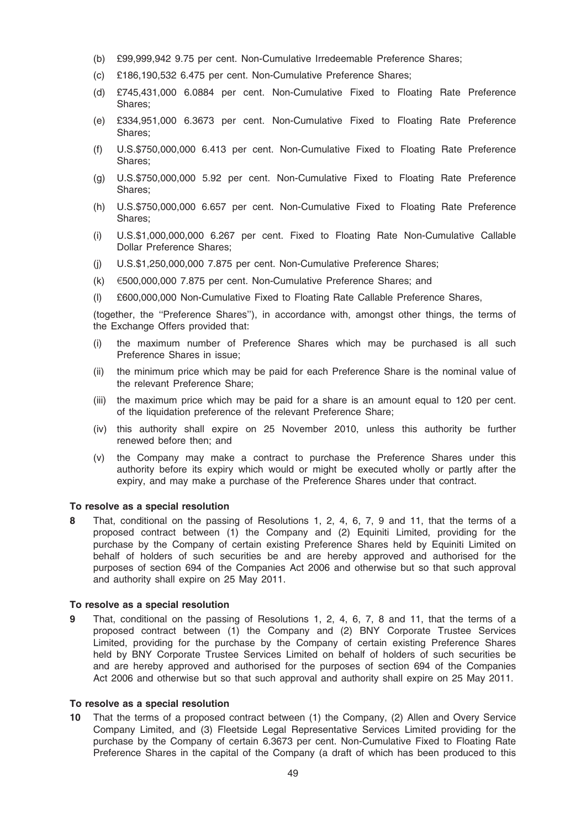- (b) £99,999,942 9.75 per cent. Non-Cumulative Irredeemable Preference Shares;
- (c) £186,190,532 6.475 per cent. Non-Cumulative Preference Shares;
- (d) £745,431,000 6.0884 per cent. Non-Cumulative Fixed to Floating Rate Preference Shares;
- (e) £334,951,000 6.3673 per cent. Non-Cumulative Fixed to Floating Rate Preference Shares;
- (f) U.S.\$750,000,000 6.413 per cent. Non-Cumulative Fixed to Floating Rate Preference Shares;
- (g) U.S.\$750,000,000 5.92 per cent. Non-Cumulative Fixed to Floating Rate Preference Shares;
- (h) U.S.\$750,000,000 6.657 per cent. Non-Cumulative Fixed to Floating Rate Preference Shares;
- (i) U.S.\$1,000,000,000 6.267 per cent. Fixed to Floating Rate Non-Cumulative Callable Dollar Preference Shares;
- (j) U.S.\$1,250,000,000 7.875 per cent. Non-Cumulative Preference Shares;
- (k)  $\epsilon$ 500,000,000 7.875 per cent. Non-Cumulative Preference Shares; and
- (l) £600,000,000 Non-Cumulative Fixed to Floating Rate Callable Preference Shares,

(together, the ''Preference Shares''), in accordance with, amongst other things, the terms of the Exchange Offers provided that:

- (i) the maximum number of Preference Shares which may be purchased is all such Preference Shares in issue;
- (ii) the minimum price which may be paid for each Preference Share is the nominal value of the relevant Preference Share;
- (iii) the maximum price which may be paid for a share is an amount equal to 120 per cent. of the liquidation preference of the relevant Preference Share;
- (iv) this authority shall expire on 25 November 2010, unless this authority be further renewed before then; and
- (v) the Company may make a contract to purchase the Preference Shares under this authority before its expiry which would or might be executed wholly or partly after the expiry, and may make a purchase of the Preference Shares under that contract.

### To resolve as a special resolution

8 That, conditional on the passing of Resolutions 1, 2, 4, 6, 7, 9 and 11, that the terms of a proposed contract between (1) the Company and (2) Equiniti Limited, providing for the purchase by the Company of certain existing Preference Shares held by Equiniti Limited on behalf of holders of such securities be and are hereby approved and authorised for the purposes of section 694 of the Companies Act 2006 and otherwise but so that such approval and authority shall expire on 25 May 2011.

#### To resolve as a special resolution

That, conditional on the passing of Resolutions 1, 2, 4, 6, 7, 8 and 11, that the terms of a proposed contract between (1) the Company and (2) BNY Corporate Trustee Services Limited, providing for the purchase by the Company of certain existing Preference Shares held by BNY Corporate Trustee Services Limited on behalf of holders of such securities be and are hereby approved and authorised for the purposes of section 694 of the Companies Act 2006 and otherwise but so that such approval and authority shall expire on 25 May 2011.

#### To resolve as a special resolution

10 That the terms of a proposed contract between (1) the Company, (2) Allen and Overy Service Company Limited, and (3) Fleetside Legal Representative Services Limited providing for the purchase by the Company of certain 6.3673 per cent. Non-Cumulative Fixed to Floating Rate Preference Shares in the capital of the Company (a draft of which has been produced to this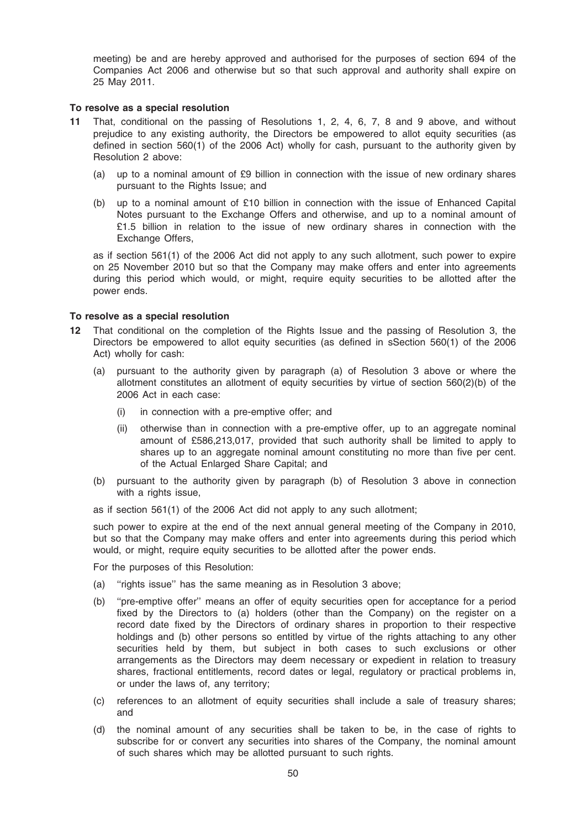meeting) be and are hereby approved and authorised for the purposes of section 694 of the Companies Act 2006 and otherwise but so that such approval and authority shall expire on 25 May 2011.

#### To resolve as a special resolution

- 11 That, conditional on the passing of Resolutions 1, 2, 4, 6, 7, 8 and 9 above, and without prejudice to any existing authority, the Directors be empowered to allot equity securities (as defined in section 560(1) of the 2006 Act) wholly for cash, pursuant to the authority given by Resolution 2 above:
	- (a) up to a nominal amount of £9 billion in connection with the issue of new ordinary shares pursuant to the Rights Issue; and
	- (b) up to a nominal amount of £10 billion in connection with the issue of Enhanced Capital Notes pursuant to the Exchange Offers and otherwise, and up to a nominal amount of £1.5 billion in relation to the issue of new ordinary shares in connection with the Exchange Offers,

as if section 561(1) of the 2006 Act did not apply to any such allotment, such power to expire on 25 November 2010 but so that the Company may make offers and enter into agreements during this period which would, or might, require equity securities to be allotted after the power ends.

#### To resolve as a special resolution

- 12 That conditional on the completion of the Rights Issue and the passing of Resolution 3, the Directors be empowered to allot equity securities (as defined in sSection 560(1) of the 2006 Act) wholly for cash:
	- (a) pursuant to the authority given by paragraph (a) of Resolution 3 above or where the allotment constitutes an allotment of equity securities by virtue of section 560(2)(b) of the 2006 Act in each case:
		- (i) in connection with a pre-emptive offer; and
		- (ii) otherwise than in connection with a pre-emptive offer, up to an aggregate nominal amount of £586,213,017, provided that such authority shall be limited to apply to shares up to an aggregate nominal amount constituting no more than five per cent. of the Actual Enlarged Share Capital; and
	- (b) pursuant to the authority given by paragraph (b) of Resolution 3 above in connection with a rights issue,
	- as if section 561(1) of the 2006 Act did not apply to any such allotment;

such power to expire at the end of the next annual general meeting of the Company in 2010, but so that the Company may make offers and enter into agreements during this period which would, or might, require equity securities to be allotted after the power ends.

For the purposes of this Resolution:

- (a) ''rights issue'' has the same meaning as in Resolution 3 above;
- (b) ''pre-emptive offer'' means an offer of equity securities open for acceptance for a period fixed by the Directors to (a) holders (other than the Company) on the register on a record date fixed by the Directors of ordinary shares in proportion to their respective holdings and (b) other persons so entitled by virtue of the rights attaching to any other securities held by them, but subject in both cases to such exclusions or other arrangements as the Directors may deem necessary or expedient in relation to treasury shares, fractional entitlements, record dates or legal, regulatory or practical problems in, or under the laws of, any territory;
- (c) references to an allotment of equity securities shall include a sale of treasury shares; and
- (d) the nominal amount of any securities shall be taken to be, in the case of rights to subscribe for or convert any securities into shares of the Company, the nominal amount of such shares which may be allotted pursuant to such rights.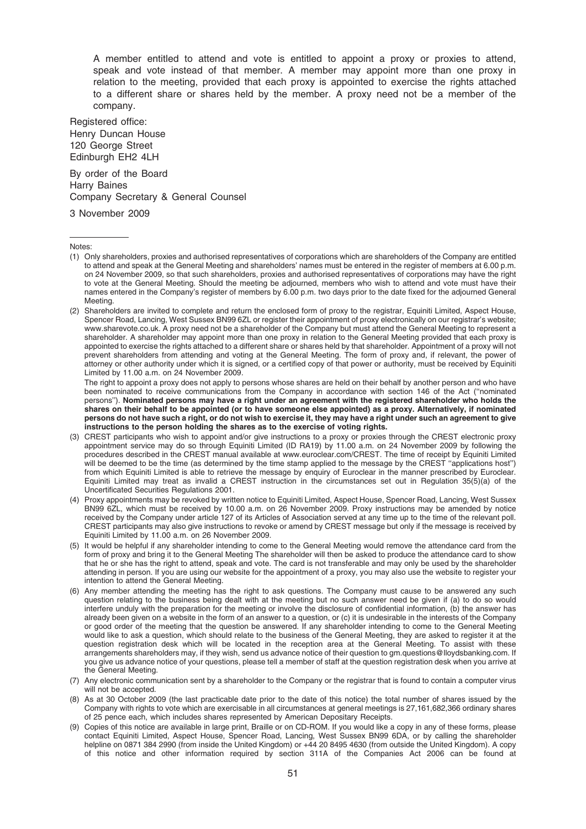A member entitled to attend and vote is entitled to appoint a proxy or proxies to attend, speak and vote instead of that member. A member may appoint more than one proxy in relation to the meeting, provided that each proxy is appointed to exercise the rights attached to a different share or shares held by the member. A proxy need not be a member of the company.

Registered office: Henry Duncan House 120 George Street Edinburgh EH2 4LH

By order of the Board Harry Baines Company Secretary & General Counsel

3 November 2009

- (1) Only shareholders, proxies and authorised representatives of corporations which are shareholders of the Company are entitled to attend and speak at the General Meeting and shareholders' names must be entered in the register of members at 6.00 p.m. on 24 November 2009, so that such shareholders, proxies and authorised representatives of corporations may have the right to vote at the General Meeting. Should the meeting be adjourned, members who wish to attend and vote must have their names entered in the Company's register of members by 6.00 p.m. two days prior to the date fixed for the adjourned General Meeting.
- (2) Shareholders are invited to complete and return the enclosed form of proxy to the registrar, Equiniti Limited, Aspect House, Spencer Road, Lancing, West Sussex BN99 6ZL or register their appointment of proxy electronically on our registrar's website; www.sharevote.co.uk. A proxy need not be a shareholder of the Company but must attend the General Meeting to represent a shareholder. A shareholder may appoint more than one proxy in relation to the General Meeting provided that each proxy is appointed to exercise the rights attached to a different share or shares held by that shareholder. Appointment of a proxy will not prevent shareholders from attending and voting at the General Meeting. The form of proxy and, if relevant, the power of attorney or other authority under which it is signed, or a certified copy of that power or authority, must be received by Equiniti Limited by 11.00 a.m. on 24 November 2009.

The right to appoint a proxy does not apply to persons whose shares are held on their behalf by another person and who have been nominated to receive communications from the Company in accordance with section 146 of the Act (''nominated persons''). Nominated persons may have a right under an agreement with the registered shareholder who holds the shares on their behalf to be appointed (or to have someone else appointed) as a proxy. Alternatively, if nominated persons do not have such a right, or do not wish to exercise it, they may have a right under such an agreement to give instructions to the person holding the shares as to the exercise of voting rights.

- (3) CREST participants who wish to appoint and/or give instructions to a proxy or proxies through the CREST electronic proxy appointment service may do so through Equiniti Limited (ID RA19) by 11.00 a.m. on 24 November 2009 by following the procedures described in the CREST manual available at www.euroclear.com/CREST. The time of receipt by Equiniti Limited will be deemed to be the time (as determined by the time stamp applied to the message by the CREST "applications host") from which Equiniti Limited is able to retrieve the message by enquiry of Euroclear in the manner prescribed by Euroclear. Equiniti Limited may treat as invalid a CREST instruction in the circumstances set out in Regulation 35(5)(a) of the Uncertificated Securities Regulations 2001.
- (4) Proxy appointments may be revoked by written notice to Equiniti Limited, Aspect House, Spencer Road, Lancing, West Sussex BN99 6ZL, which must be received by 10.00 a.m. on 26 November 2009. Proxy instructions may be amended by notice received by the Company under article 127 of its Articles of Association served at any time up to the time of the relevant poll. CREST participants may also give instructions to revoke or amend by CREST message but only if the message is received by Equiniti Limited by 11.00 a.m. on 26 November 2009.
- (5) It would be helpful if any shareholder intending to come to the General Meeting would remove the attendance card from the form of proxy and bring it to the General Meeting The shareholder will then be asked to produce the attendance card to show that he or she has the right to attend, speak and vote. The card is not transferable and may only be used by the shareholder attending in person. If you are using our website for the appointment of a proxy, you may also use the website to register your intention to attend the General Meeting.
- (6) Any member attending the meeting has the right to ask questions. The Company must cause to be answered any such question relating to the business being dealt with at the meeting but no such answer need be given if (a) to do so would interfere unduly with the preparation for the meeting or involve the disclosure of confidential information, (b) the answer has already been given on a website in the form of an answer to a question, or (c) it is undesirable in the interests of the Company or good order of the meeting that the question be answered. If any shareholder intending to come to the General Meeting would like to ask a question, which should relate to the business of the General Meeting, they are asked to register it at the question registration desk which will be located in the reception area at the General Meeting. To assist with these arrangements shareholders may, if they wish, send us advance notice of their question to gm.questions@lloydsbanking.com. If you give us advance notice of your questions, please tell a member of staff at the question registration desk when you arrive at the General Meeting.
- (7) Any electronic communication sent by a shareholder to the Company or the registrar that is found to contain a computer virus will not be accepted.
- (8) As at 30 October 2009 (the last practicable date prior to the date of this notice) the total number of shares issued by the Company with rights to vote which are exercisable in all circumstances at general meetings is 27,161,682,366 ordinary shares of 25 pence each, which includes shares represented by American Depositary Receipts.
- (9) Copies of this notice are available in large print, Braille or on CD-ROM. If you would like a copy in any of these forms, please contact Equiniti Limited, Aspect House, Spencer Road, Lancing, West Sussex BN99 6DA, or by calling the shareholder helpline on 0871 384 2990 (from inside the United Kingdom) or +44 20 8495 4630 (from outside the United Kingdom). A copy of this notice and other information required by section 311A of the Companies Act 2006 can be found at

Notes: